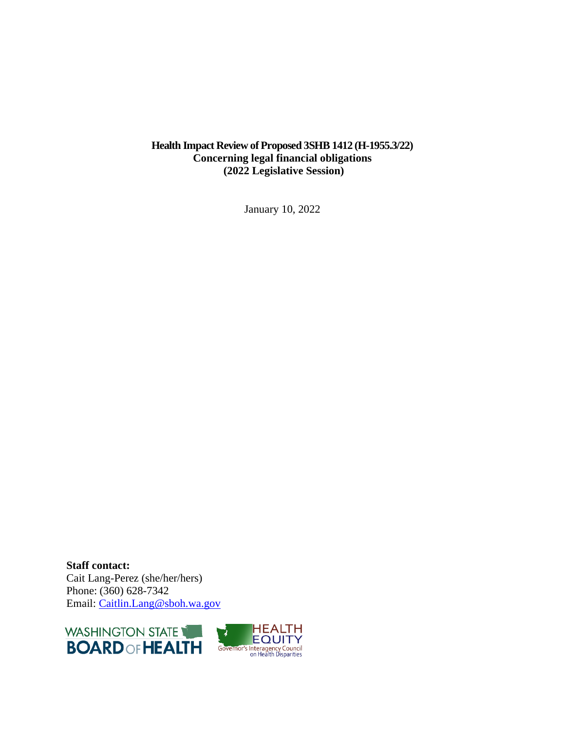## **Health Impact Review of Proposed 3SHB 1412 (H-1955.3/22) Concerning legal financial obligations (2022 Legislative Session)**

January 10, 2022

**Staff contact:** Cait Lang-Perez (she/her/hers) Phone: (360) 628-7342 Email: [Caitlin.Lang@sboh.wa.gov](mailto:Caitlin.Lang@sboh.wa.gov)

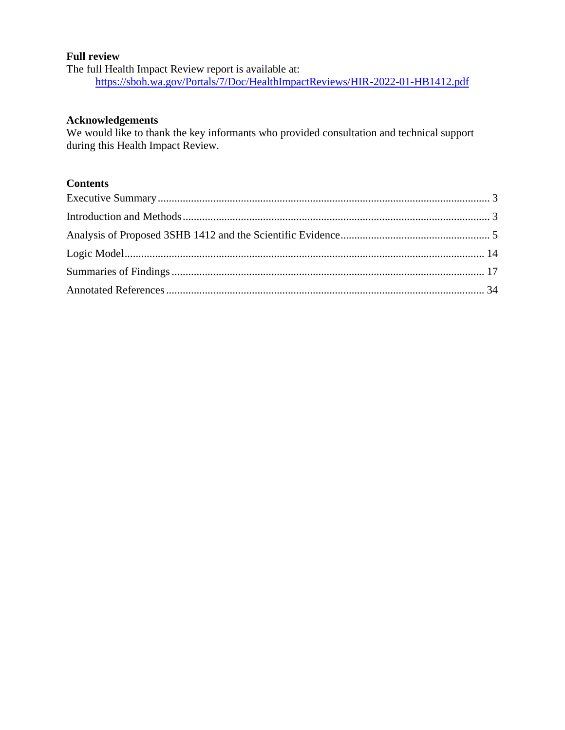#### **Full review**

The full Health Impact Review report is available at: <https://sboh.wa.gov/Portals/7/Doc/HealthImpactReviews/HIR-2022-01-HB1412.pdf>

#### **Acknowledgements**

We would like to thank the key informants who provided consultation and technical support during this Health Impact Review.

## **Contents**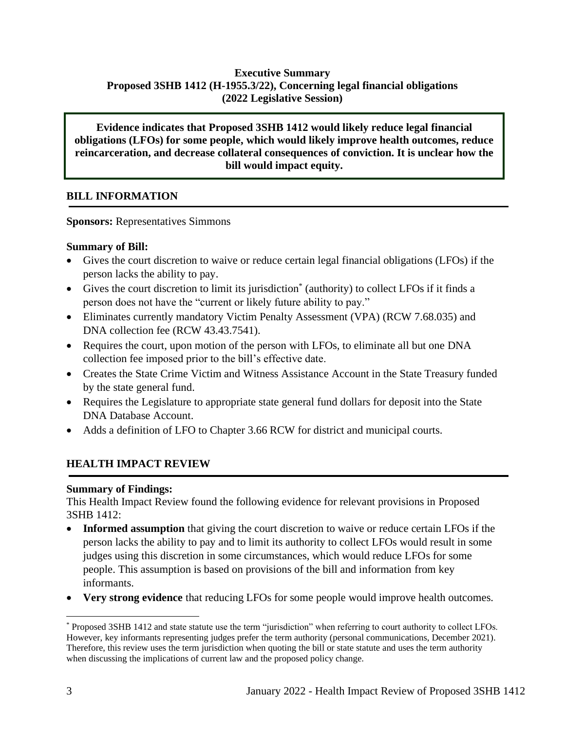# **Executive Summary Proposed 3SHB 1412 (H-1955.3/22), Concerning legal financial obligations (2022 Legislative Session)**

**Evidence indicates that Proposed 3SHB 1412 would likely reduce legal financial obligations (LFOs) for some people, which would likely improve health outcomes, reduce reincarceration, and decrease collateral consequences of conviction. It is unclear how the bill would impact equity.**

## **BILL INFORMATION**

**Sponsors:** Representatives Simmons

#### **Summary of Bill:**

- Gives the court discretion to waive or reduce certain legal financial obligations (LFOs) if the person lacks the ability to pay.
- Gives the court discretion to limit its jurisdiction\* (authority) to collect LFOs if it finds a person does not have the "current or likely future ability to pay."
- Eliminates currently mandatory Victim Penalty Assessment (VPA) (RCW 7.68.035) and DNA collection fee (RCW 43.43.7541).
- Requires the court, upon motion of the person with LFOs, to eliminate all but one DNA collection fee imposed prior to the bill's effective date.
- Creates the State Crime Victim and Witness Assistance Account in the State Treasury funded by the state general fund.
- Requires the Legislature to appropriate state general fund dollars for deposit into the State DNA Database Account.
- Adds a definition of LFO to Chapter 3.66 RCW for district and municipal courts.

# **HEALTH IMPACT REVIEW**

#### **Summary of Findings:**

This Health Impact Review found the following evidence for relevant provisions in Proposed 3SHB 1412:

- <span id="page-2-0"></span>• **Informed assumption** that giving the court discretion to waive or reduce certain LFOs if the person lacks the ability to pay and to limit its authority to collect LFOs would result in some judges using this discretion in some circumstances, which would reduce LFOs for some people. This assumption is based on provisions of the bill and information from key informants.
- **Very strong evidence** that reducing LFOs for some people would improve health outcomes.

<sup>\*</sup> Proposed 3SHB 1412 and state statute use the term "jurisdiction" when referring to court authority to collect LFOs. However, key informants representing judges prefer the term authority (personal communications, December 2021). Therefore, this review uses the term jurisdiction when quoting the bill or state statute and uses the term authority when discussing the implications of current law and the proposed policy change.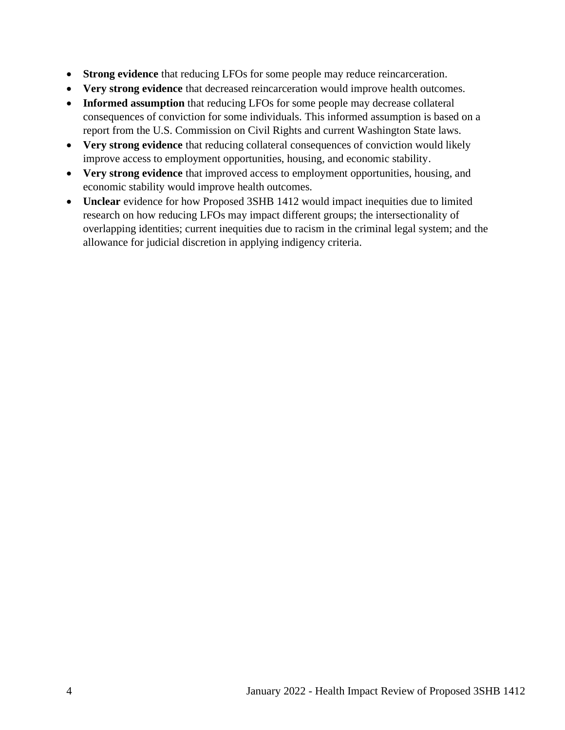- **Strong evidence** that reducing LFOs for some people may reduce reincarceration.
- **Very strong evidence** that decreased reincarceration would improve health outcomes.
- **Informed assumption** that reducing LFOs for some people may decrease collateral consequences of conviction for some individuals. This informed assumption is based on a report from the U.S. Commission on Civil Rights and current Washington State laws.
- **Very strong evidence** that reducing collateral consequences of conviction would likely improve access to employment opportunities, housing, and economic stability.
- **Very strong evidence** that improved access to employment opportunities, housing, and economic stability would improve health outcomes.
- **Unclear** evidence for how Proposed 3SHB 1412 would impact inequities due to limited research on how reducing LFOs may impact different groups; the intersectionality of overlapping identities; current inequities due to racism in the criminal legal system; and the allowance for judicial discretion in applying indigency criteria.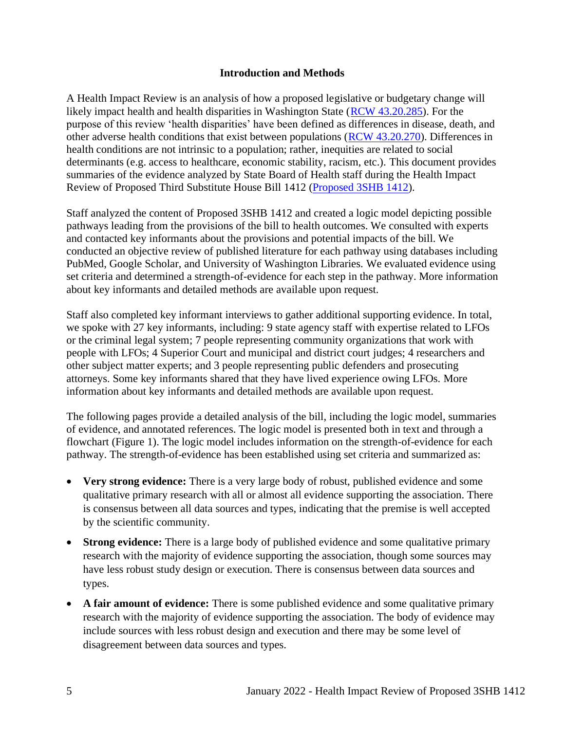#### **Introduction and Methods**

<span id="page-4-0"></span>A Health Impact Review is an analysis of how a proposed legislative or budgetary change will likely impact health and health disparities in Washington State [\(RCW 43.20.285\)](http://apps.leg.wa.gov/rcw/default.aspx?cite=43.20.285). For the purpose of this review 'health disparities' have been defined as differences in disease, death, and other adverse health conditions that exist between populations [\(RCW 43.20.270\)](http://apps.leg.wa.gov/rcw/default.aspx?cite=43.20.270). Differences in health conditions are not intrinsic to a population; rather, inequities are related to social determinants (e.g. access to healthcare, economic stability, racism, etc.). This document provides summaries of the evidence analyzed by State Board of Health staff during the Health Impact Review of Proposed Third Substitute House Bill 1412 [\(Proposed 3SHB 1412\)](https://app.leg.wa.gov/billsummary?BillNumber=1412&Year=2021&Initiative=false).

Staff analyzed the content of Proposed 3SHB 1412 and created a logic model depicting possible pathways leading from the provisions of the bill to health outcomes. We consulted with experts and contacted key informants about the provisions and potential impacts of the bill. We conducted an objective review of published literature for each pathway using databases including PubMed, Google Scholar, and University of Washington Libraries. We evaluated evidence using set criteria and determined a strength-of-evidence for each step in the pathway. More information about key informants and detailed methods are available upon request.

Staff also completed key informant interviews to gather additional supporting evidence. In total, we spoke with 27 key informants, including: 9 state agency staff with expertise related to LFOs or the criminal legal system; 7 people representing community organizations that work with people with LFOs; 4 Superior Court and municipal and district court judges; 4 researchers and other subject matter experts; and 3 people representing public defenders and prosecuting attorneys. Some key informants shared that they have lived experience owing LFOs. More information about key informants and detailed methods are available upon request.

The following pages provide a detailed analysis of the bill, including the logic model, summaries of evidence, and annotated references. The logic model is presented both in text and through a flowchart (Figure 1). The logic model includes information on the strength-of-evidence for each pathway. The strength-of-evidence has been established using set criteria and summarized as:

- **Very strong evidence:** There is a very large body of robust, published evidence and some qualitative primary research with all or almost all evidence supporting the association. There is consensus between all data sources and types, indicating that the premise is well accepted by the scientific community.
- **Strong evidence:** There is a large body of published evidence and some qualitative primary research with the majority of evidence supporting the association, though some sources may have less robust study design or execution. There is consensus between data sources and types.
- A fair amount of evidence: There is some published evidence and some qualitative primary research with the majority of evidence supporting the association. The body of evidence may include sources with less robust design and execution and there may be some level of disagreement between data sources and types.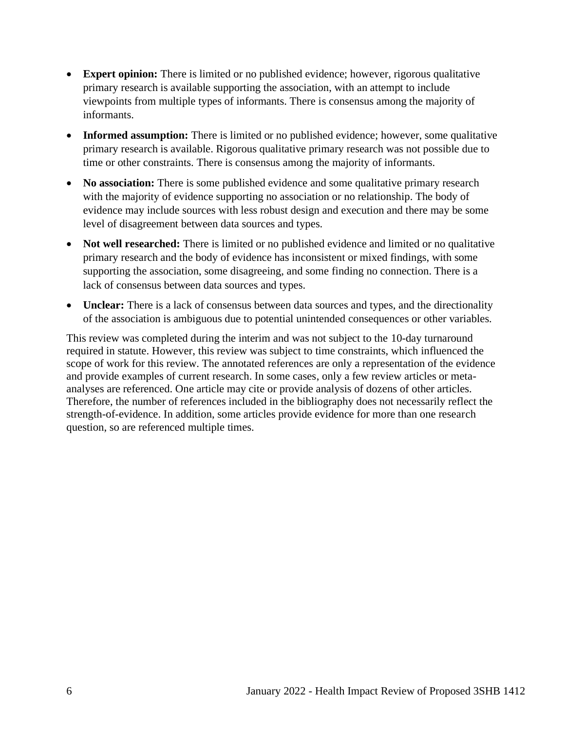- **Expert opinion:** There is limited or no published evidence; however, rigorous qualitative primary research is available supporting the association, with an attempt to include viewpoints from multiple types of informants. There is consensus among the majority of informants.
- **Informed assumption:** There is limited or no published evidence; however, some qualitative primary research is available. Rigorous qualitative primary research was not possible due to time or other constraints. There is consensus among the majority of informants.
- **No association:** There is some published evidence and some qualitative primary research with the majority of evidence supporting no association or no relationship. The body of evidence may include sources with less robust design and execution and there may be some level of disagreement between data sources and types.
- **Not well researched:** There is limited or no published evidence and limited or no qualitative primary research and the body of evidence has inconsistent or mixed findings, with some supporting the association, some disagreeing, and some finding no connection. There is a lack of consensus between data sources and types.
- **Unclear:** There is a lack of consensus between data sources and types, and the directionality of the association is ambiguous due to potential unintended consequences or other variables.

This review was completed during the interim and was not subject to the 10-day turnaround required in statute. However, this review was subject to time constraints, which influenced the scope of work for this review. The annotated references are only a representation of the evidence and provide examples of current research. In some cases, only a few review articles or metaanalyses are referenced. One article may cite or provide analysis of dozens of other articles. Therefore, the number of references included in the bibliography does not necessarily reflect the strength-of-evidence. In addition, some articles provide evidence for more than one research question, so are referenced multiple times.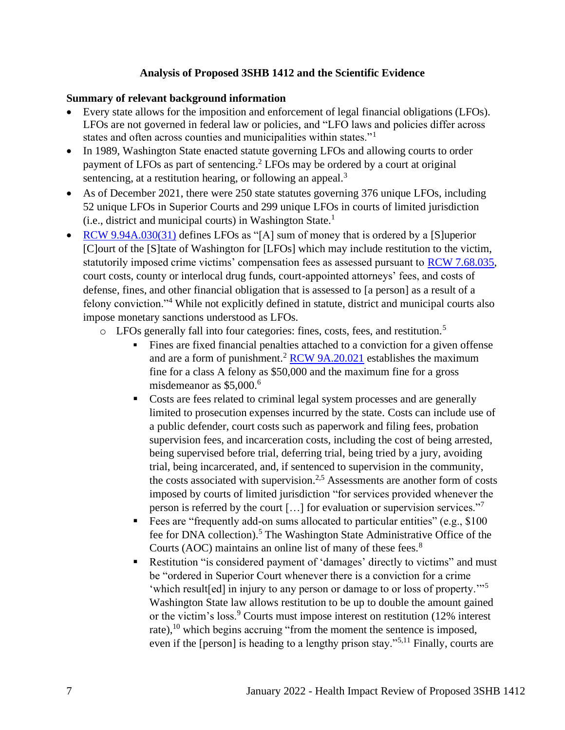#### **Analysis of Proposed 3SHB 1412 and the Scientific Evidence**

#### **Summary of relevant background information**

- Every state allows for the imposition and enforcement of legal financial obligations (LFOs). LFOs are not governed in federal law or policies, and "LFO laws and policies differ across states and often across counties and municipalities within states."<sup>1</sup>
- In 1989, Washington State enacted statute governing LFOs and allowing courts to order payment of LFOs as part of sentencing. <sup>2</sup> LFOs may be ordered by a court at original sentencing, at a restitution hearing, or following an appeal.<sup>3</sup>
- As of December 2021, there were 250 state statutes governing 376 unique LFOs, including 52 unique LFOs in Superior Courts and 299 unique LFOs in courts of limited jurisdiction  $(i.e.,$  district and municipal courts) in Washington State.<sup>1</sup>
- [RCW 9.94A.030\(31\)](https://apps.leg.wa.gov/rcw/default.aspx?cite=9.94A.030) defines LFOs as "[A] sum of money that is ordered by a [S]uperior [C]ourt of the [S]tate of Washington for [LFOs] which may include restitution to the victim, statutorily imposed crime victims' compensation fees as assessed pursuant to [RCW 7.68.035,](https://app.leg.wa.gov/RCW/default.aspx?cite=7.68.035) court costs, county or interlocal drug funds, court-appointed attorneys' fees, and costs of defense, fines, and other financial obligation that is assessed to [a person] as a result of a felony conviction."<sup>4</sup> While not explicitly defined in statute, district and municipal courts also impose monetary sanctions understood as LFOs.
	- o LFOs generally fall into four categories: fines, costs, fees, and restitution.<sup>5</sup>
		- Fines are fixed financial penalties attached to a conviction for a given offense and are a form of punishment.<sup>2</sup> [RCW 9A.20.021](https://app.leg.wa.gov/rcw/default.aspx?cite=9a.20.021) establishes the maximum fine for a class A felony as \$50,000 and the maximum fine for a gross misdemeanor as  $$5,000<sup>6</sup>$
		- Costs are fees related to criminal legal system processes and are generally limited to prosecution expenses incurred by the state. Costs can include use of a public defender, court costs such as paperwork and filing fees, probation supervision fees, and incarceration costs, including the cost of being arrested, being supervised before trial, deferring trial, being tried by a jury, avoiding trial, being incarcerated, and, if sentenced to supervision in the community, the costs associated with supervision.<sup>2,5</sup> Assessments are another form of costs imposed by courts of limited jurisdiction "for services provided whenever the person is referred by the court […] for evaluation or supervision services."<sup>7</sup>
		- **Example 1** Fees are "frequently add-on sums allocated to particular entities" (e.g., \$100) fee for DNA collection).<sup>5</sup> The Washington State Administrative Office of the Courts (AOC) maintains an online list of many of these fees.<sup>8</sup>
		- **EXECUTE:** Restitution "is considered payment of 'damages' directly to victims" and must be "ordered in Superior Court whenever there is a conviction for a crime 'which result[ed] in injury to any person or damage to or loss of property.'"<sup>5</sup> Washington State law allows restitution to be up to double the amount gained or the victim's loss.<sup>9</sup> Courts must impose interest on restitution (12% interest) rate), $^{10}$  which begins accruing "from the moment the sentence is imposed, even if the [person] is heading to a lengthy prison stay."<sup>5,11</sup> Finally, courts are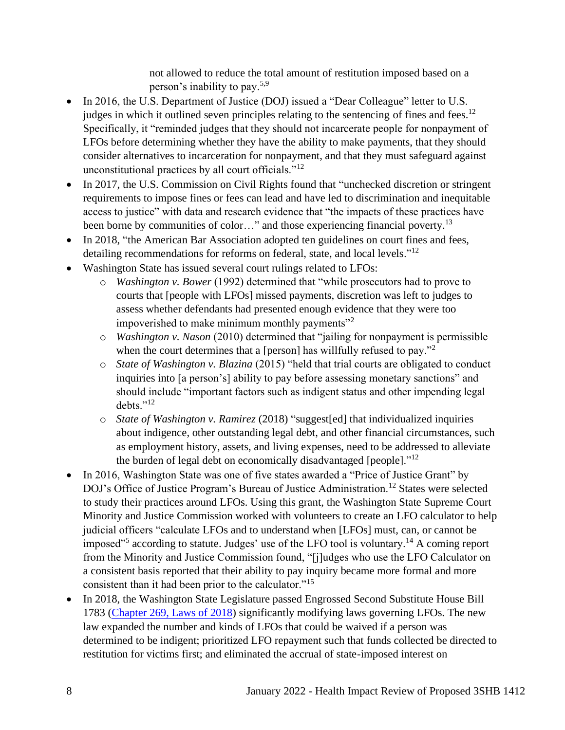not allowed to reduce the total amount of restitution imposed based on a person's inability to pay.5,9

- In 2016, the U.S. Department of Justice (DOJ) issued a "Dear Colleague" letter to U.S. judges in which it outlined seven principles relating to the sentencing of fines and fees.<sup>12</sup> Specifically, it "reminded judges that they should not incarcerate people for nonpayment of LFOs before determining whether they have the ability to make payments, that they should consider alternatives to incarceration for nonpayment, and that they must safeguard against unconstitutional practices by all court officials." $12$
- In 2017, the U.S. Commission on Civil Rights found that "unchecked discretion or stringent" requirements to impose fines or fees can lead and have led to discrimination and inequitable access to justice" with data and research evidence that "the impacts of these practices have been borne by communities of color..." and those experiencing financial poverty.<sup>13</sup>
- In 2018, "the American Bar Association adopted ten guidelines on court fines and fees, detailing recommendations for reforms on federal, state, and local levels."<sup>12</sup>
- Washington State has issued several court rulings related to LFOs:
	- o *Washington v. Bower* (1992) determined that "while prosecutors had to prove to courts that [people with LFOs] missed payments, discretion was left to judges to assess whether defendants had presented enough evidence that they were too impoverished to make minimum monthly payments<sup>"2</sup>
	- o *Washington v. Nason* (2010) determined that "jailing for nonpayment is permissible when the court determines that a [person] has willfully refused to pay."<sup>2</sup>
	- o *State of Washington v. Blazina* (2015) "held that trial courts are obligated to conduct inquiries into [a person's] ability to pay before assessing monetary sanctions" and should include "important factors such as indigent status and other impending legal debts."<sup>12</sup>
	- o *State of Washington v. Ramirez* (2018) "suggest[ed] that individualized inquiries about indigence, other outstanding legal debt, and other financial circumstances, such as employment history, assets, and living expenses, need to be addressed to alleviate the burden of legal debt on economically disadvantaged [people]."<sup>12</sup>
- In 2016, Washington State was one of five states awarded a "Price of Justice Grant" by DOJ's Office of Justice Program's Bureau of Justice Administration.<sup>12</sup> States were selected to study their practices around LFOs. Using this grant, the Washington State Supreme Court Minority and Justice Commission worked with volunteers to create an LFO calculator to help judicial officers "calculate LFOs and to understand when [LFOs] must, can, or cannot be imposed"<sup>5</sup> according to statute. Judges' use of the LFO tool is voluntary.<sup>14</sup> A coming report from the Minority and Justice Commission found, "[j]udges who use the LFO Calculator on a consistent basis reported that their ability to pay inquiry became more formal and more consistent than it had been prior to the calculator."<sup>15</sup>
- In 2018, the Washington State Legislature passed Engrossed Second Substitute House Bill 1783 [\(Chapter 269, Laws of 2018\)](https://lawfilesext.leg.wa.gov/biennium/2017-18/Pdf/Bills/Session%20Laws/House/1783-S2.SL.pdf#page=1) significantly modifying laws governing LFOs. The new law expanded the number and kinds of LFOs that could be waived if a person was determined to be indigent; prioritized LFO repayment such that funds collected be directed to restitution for victims first; and eliminated the accrual of state-imposed interest on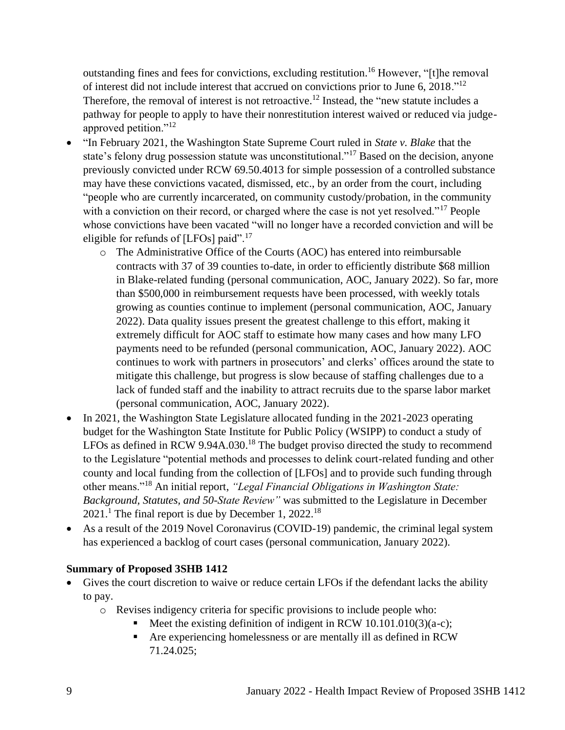outstanding fines and fees for convictions, excluding restitution.<sup>16</sup> However, "[t]he removal of interest did not include interest that accrued on convictions prior to June 6, 2018."<sup>12</sup> Therefore, the removal of interest is not retroactive.<sup>12</sup> Instead, the "new statute includes a pathway for people to apply to have their nonrestitution interest waived or reduced via judgeapproved petition."<sup>12</sup>

- "In February 2021, the Washington State Supreme Court ruled in *State v. Blake* that the state's felony drug possession statute was unconstitutional."<sup>17</sup> Based on the decision, anyone previously convicted under RCW 69.50.4013 for simple possession of a controlled substance may have these convictions vacated, dismissed, etc., by an order from the court, including "people who are currently incarcerated, on community custody/probation, in the community with a conviction on their record, or charged where the case is not yet resolved."<sup>17</sup> People whose convictions have been vacated "will no longer have a recorded conviction and will be eligible for refunds of [LFOs] paid".<sup>17</sup>
	- o The Administrative Office of the Courts (AOC) has entered into reimbursable contracts with 37 of 39 counties to-date, in order to efficiently distribute \$68 million in Blake-related funding (personal communication, AOC, January 2022). So far, more than \$500,000 in reimbursement requests have been processed, with weekly totals growing as counties continue to implement (personal communication, AOC, January 2022). Data quality issues present the greatest challenge to this effort, making it extremely difficult for AOC staff to estimate how many cases and how many LFO payments need to be refunded (personal communication, AOC, January 2022). AOC continues to work with partners in prosecutors' and clerks' offices around the state to mitigate this challenge, but progress is slow because of staffing challenges due to a lack of funded staff and the inability to attract recruits due to the sparse labor market (personal communication, AOC, January 2022).
- In 2021, the Washington State Legislature allocated funding in the 2021-2023 operating budget for the Washington State Institute for Public Policy (WSIPP) to conduct a study of LFOs as defined in RCW 9.94A.030.<sup>18</sup> The budget proviso directed the study to recommend to the Legislature "potential methods and processes to delink court-related funding and other county and local funding from the collection of [LFOs] and to provide such funding through other means."<sup>18</sup> An initial report, *"Legal Financial Obligations in Washington State: Background, Statutes, and 50-State Review"* was submitted to the Legislature in December  $2021$ .<sup>1</sup> The final report is due by December 1, 2022.<sup>18</sup>
- As a result of the 2019 Novel Coronavirus (COVID-19) pandemic, the criminal legal system has experienced a backlog of court cases (personal communication, January 2022).

## **Summary of Proposed 3SHB 1412**

- Gives the court discretion to waive or reduce certain LFOs if the defendant lacks the ability to pay.
	- o Revises indigency criteria for specific provisions to include people who:
		- Meet the existing definition of indigent in RCW  $10.101.010(3)(a-c)$ ;
		- Are experiencing homelessness or are mentally ill as defined in RCW 71.24.025;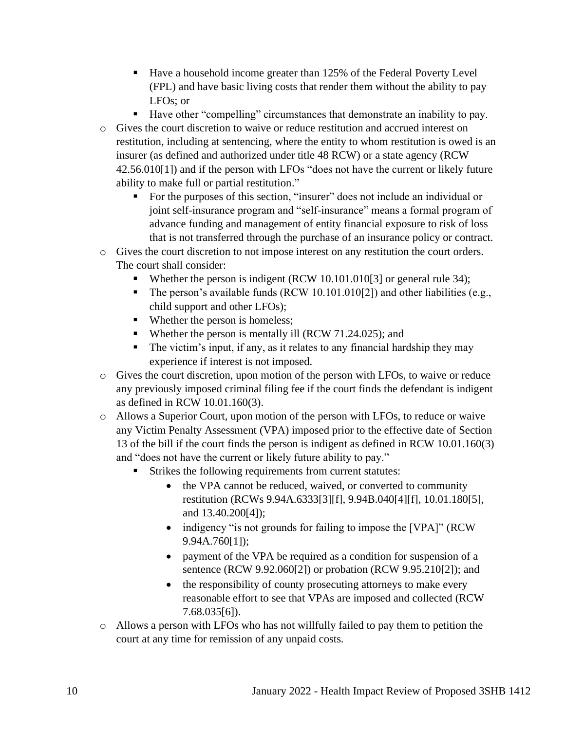- Have a household income greater than 125% of the Federal Poverty Level (FPL) and have basic living costs that render them without the ability to pay LFOs; or
- Have other "compelling" circumstances that demonstrate an inability to pay.
- o Gives the court discretion to waive or reduce restitution and accrued interest on restitution, including at sentencing, where the entity to whom restitution is owed is an insurer (as defined and authorized under title 48 RCW) or a state agency (RCW 42.56.010[1]) and if the person with LFOs "does not have the current or likely future ability to make full or partial restitution."
	- For the purposes of this section, "insurer" does not include an individual or joint self-insurance program and "self-insurance" means a formal program of advance funding and management of entity financial exposure to risk of loss that is not transferred through the purchase of an insurance policy or contract.
- o Gives the court discretion to not impose interest on any restitution the court orders. The court shall consider:
	- Whether the person is indigent (RCW 10.101.010[3] or general rule 34);
	- The person's available funds (RCW 10.101.010[2]) and other liabilities (e.g., child support and other LFOs);
	- Whether the person is homeless;
	- Whether the person is mentally ill (RCW 71.24.025); and
	- The victim's input, if any, as it relates to any financial hardship they may experience if interest is not imposed.
- o Gives the court discretion, upon motion of the person with LFOs, to waive or reduce any previously imposed criminal filing fee if the court finds the defendant is indigent as defined in RCW 10.01.160(3).
- o Allows a Superior Court, upon motion of the person with LFOs, to reduce or waive any Victim Penalty Assessment (VPA) imposed prior to the effective date of Section 13 of the bill if the court finds the person is indigent as defined in RCW 10.01.160(3) and "does not have the current or likely future ability to pay."
	- Strikes the following requirements from current statutes:
		- the VPA cannot be reduced, waived, or converted to community restitution (RCWs 9.94A.6333[3][f], 9.94B.040[4][f], 10.01.180[5], and 13.40.200[4]);
		- indigency "is not grounds for failing to impose the [VPA]" (RCW 9.94A.760[1]);
		- payment of the VPA be required as a condition for suspension of a sentence (RCW 9.92.060[2]) or probation (RCW 9.95.210[2]); and
		- the responsibility of county prosecuting attorneys to make every reasonable effort to see that VPAs are imposed and collected (RCW 7.68.035[6]).
- o Allows a person with LFOs who has not willfully failed to pay them to petition the court at any time for remission of any unpaid costs.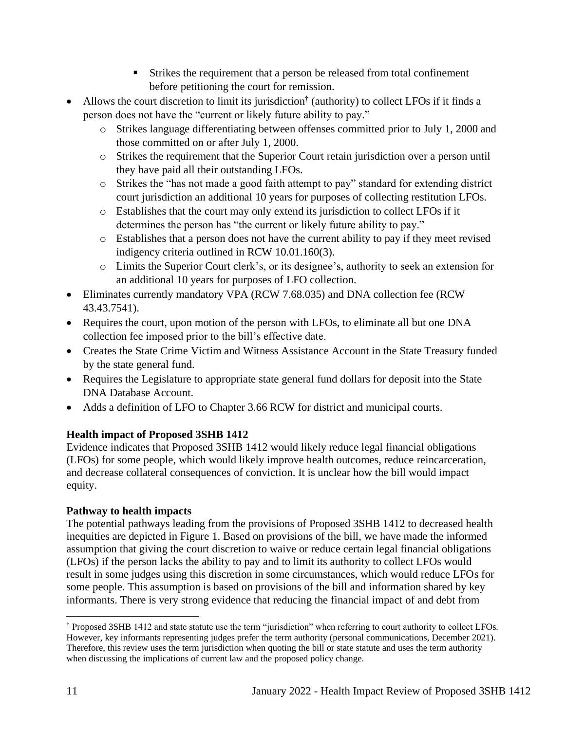- Strikes the requirement that a person be released from total confinement before petitioning the court for remission.
- Allows the court discretion to limit its jurisdiction<sup>†</sup> (authority) to collect LFOs if it finds a person does not have the "current or likely future ability to pay."
	- o Strikes language differentiating between offenses committed prior to July 1, 2000 and those committed on or after July 1, 2000.
	- o Strikes the requirement that the Superior Court retain jurisdiction over a person until they have paid all their outstanding LFOs.
	- o Strikes the "has not made a good faith attempt to pay" standard for extending district court jurisdiction an additional 10 years for purposes of collecting restitution LFOs.
	- o Establishes that the court may only extend its jurisdiction to collect LFOs if it determines the person has "the current or likely future ability to pay."
	- o Establishes that a person does not have the current ability to pay if they meet revised indigency criteria outlined in RCW 10.01.160(3).
	- o Limits the Superior Court clerk's, or its designee's, authority to seek an extension for an additional 10 years for purposes of LFO collection.
- Eliminates currently mandatory VPA (RCW 7.68.035) and DNA collection fee (RCW) 43.43.7541).
- Requires the court, upon motion of the person with LFOs, to eliminate all but one DNA collection fee imposed prior to the bill's effective date.
- Creates the State Crime Victim and Witness Assistance Account in the State Treasury funded by the state general fund.
- Requires the Legislature to appropriate state general fund dollars for deposit into the State DNA Database Account.
- Adds a definition of LFO to Chapter 3.66 RCW for district and municipal courts.

# **Health impact of Proposed 3SHB 1412**

Evidence indicates that Proposed 3SHB 1412 would likely reduce legal financial obligations (LFOs) for some people, which would likely improve health outcomes, reduce reincarceration, and decrease collateral consequences of conviction. It is unclear how the bill would impact equity.

# **Pathway to health impacts**

The potential pathways leading from the provisions of Proposed 3SHB 1412 to decreased health inequities are depicted in Figure 1. Based on provisions of the bill, we have made the informed assumption that giving the court discretion to waive or reduce certain legal financial obligations (LFOs) if the person lacks the ability to pay and to limit its authority to collect LFOs would result in some judges using this discretion in some circumstances, which would reduce LFOs for some people. This assumption is based on provisions of the bill and information shared by key informants. There is very strong evidence that reducing the financial impact of and debt from

<sup>†</sup> Proposed 3SHB 1412 and state statute use the term "jurisdiction" when referring to court authority to collect LFOs. However, key informants representing judges prefer the term authority (personal communications, December 2021). Therefore, this review uses the term jurisdiction when quoting the bill or state statute and uses the term authority when discussing the implications of current law and the proposed policy change.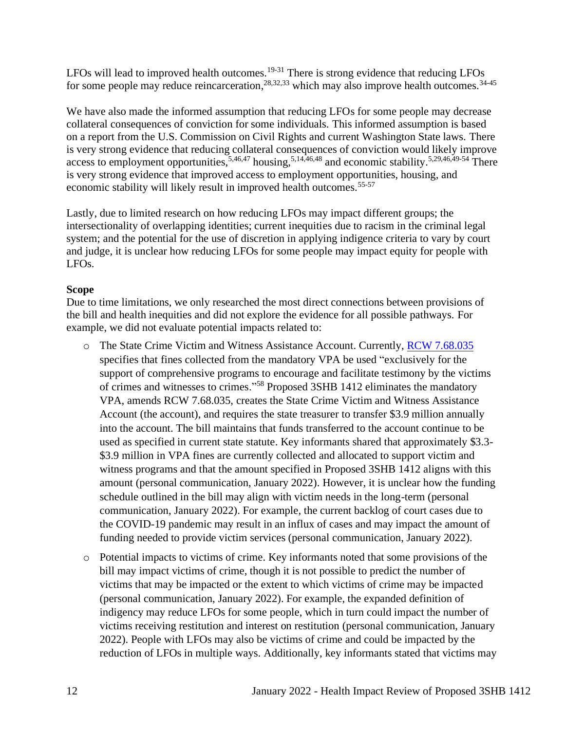LFOs will lead to improved health outcomes.<sup>19-31</sup> There is strong evidence that reducing LFOs for some people may reduce reincarceration,  $28,32,33$  which may also improve health outcomes.  $34-45$ 

We have also made the informed assumption that reducing LFOs for some people may decrease collateral consequences of conviction for some individuals. This informed assumption is based on a report from the U.S. Commission on Civil Rights and current Washington State laws. There is very strong evidence that reducing collateral consequences of conviction would likely improve access to employment opportunities,  $5,46,47$  housing,  $5,14,46,48$  and economic stability.  $5,29,46,49.54$  There is very strong evidence that improved access to employment opportunities, housing, and economic stability will likely result in improved health outcomes.<sup>55-57</sup>

Lastly, due to limited research on how reducing LFOs may impact different groups; the intersectionality of overlapping identities; current inequities due to racism in the criminal legal system; and the potential for the use of discretion in applying indigence criteria to vary by court and judge, it is unclear how reducing LFOs for some people may impact equity for people with LFOs.

#### **Scope**

Due to time limitations, we only researched the most direct connections between provisions of the bill and health inequities and did not explore the evidence for all possible pathways. For example, we did not evaluate potential impacts related to:

- o The State Crime Victim and Witness Assistance Account. Currently, [RCW 7.68.035](https://app.leg.wa.gov/rcw/default.aspx?cite=7.68.035) specifies that fines collected from the mandatory VPA be used "exclusively for the support of comprehensive programs to encourage and facilitate testimony by the victims of crimes and witnesses to crimes."<sup>58</sup> Proposed 3SHB 1412 eliminates the mandatory VPA, amends RCW 7.68.035, creates the State Crime Victim and Witness Assistance Account (the account), and requires the state treasurer to transfer \$3.9 million annually into the account. The bill maintains that funds transferred to the account continue to be used as specified in current state statute. Key informants shared that approximately \$3.3- \$3.9 million in VPA fines are currently collected and allocated to support victim and witness programs and that the amount specified in Proposed 3SHB 1412 aligns with this amount (personal communication, January 2022). However, it is unclear how the funding schedule outlined in the bill may align with victim needs in the long-term (personal communication, January 2022). For example, the current backlog of court cases due to the COVID-19 pandemic may result in an influx of cases and may impact the amount of funding needed to provide victim services (personal communication, January 2022).
- o Potential impacts to victims of crime. Key informants noted that some provisions of the bill may impact victims of crime, though it is not possible to predict the number of victims that may be impacted or the extent to which victims of crime may be impacted (personal communication, January 2022). For example, the expanded definition of indigency may reduce LFOs for some people, which in turn could impact the number of victims receiving restitution and interest on restitution (personal communication, January 2022). People with LFOs may also be victims of crime and could be impacted by the reduction of LFOs in multiple ways. Additionally, key informants stated that victims may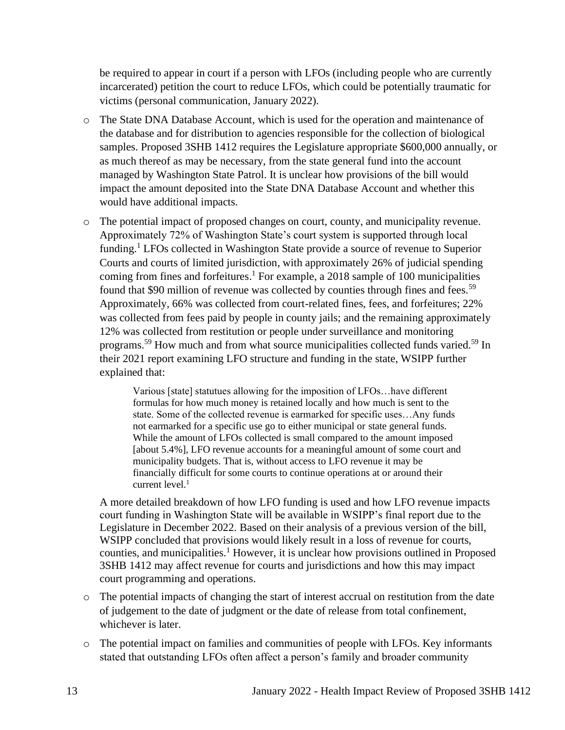be required to appear in court if a person with LFOs (including people who are currently incarcerated) petition the court to reduce LFOs, which could be potentially traumatic for victims (personal communication, January 2022).

- o The State DNA Database Account, which is used for the operation and maintenance of the database and for distribution to agencies responsible for the collection of biological samples. Proposed 3SHB 1412 requires the Legislature appropriate \$600,000 annually, or as much thereof as may be necessary, from the state general fund into the account managed by Washington State Patrol. It is unclear how provisions of the bill would impact the amount deposited into the State DNA Database Account and whether this would have additional impacts.
- o The potential impact of proposed changes on court, county, and municipality revenue. Approximately 72% of Washington State's court system is supported through local funding. <sup>1</sup> LFOs collected in Washington State provide a source of revenue to Superior Courts and courts of limited jurisdiction, with approximately 26% of judicial spending coming from fines and forfeitures. <sup>1</sup> For example, a 2018 sample of 100 municipalities found that \$90 million of revenue was collected by counties through fines and fees.<sup>59</sup> Approximately, 66% was collected from court-related fines, fees, and forfeitures; 22% was collected from fees paid by people in county jails; and the remaining approximately 12% was collected from restitution or people under surveillance and monitoring programs.<sup>59</sup> How much and from what source municipalities collected funds varied.<sup>59</sup> In their 2021 report examining LFO structure and funding in the state, WSIPP further explained that:

Various [state] statutues allowing for the imposition of LFOs…have different formulas for how much money is retained locally and how much is sent to the state. Some of the collected revenue is earmarked for specific uses…Any funds not earmarked for a specific use go to either municipal or state general funds. While the amount of LFOs collected is small compared to the amount imposed [about 5.4%], LFO revenue accounts for a meaningful amount of some court and municipality budgets. That is, without access to LFO revenue it may be financially difficult for some courts to continue operations at or around their current level. $1$ 

A more detailed breakdown of how LFO funding is used and how LFO revenue impacts court funding in Washington State will be available in WSIPP's final report due to the Legislature in December 2022. Based on their analysis of a previous version of the bill, WSIPP concluded that provisions would likely result in a loss of revenue for courts, counties, and municipalities.<sup>1</sup> However, it is unclear how provisions outlined in Proposed 3SHB 1412 may affect revenue for courts and jurisdictions and how this may impact court programming and operations.

- o The potential impacts of changing the start of interest accrual on restitution from the date of judgement to the date of judgment or the date of release from total confinement, whichever is later.
- o The potential impact on families and communities of people with LFOs. Key informants stated that outstanding LFOs often affect a person's family and broader community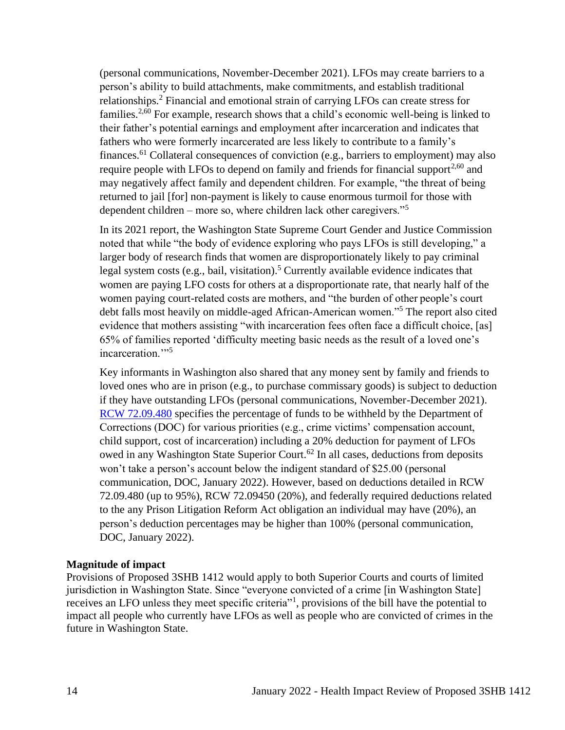(personal communications, November-December 2021). LFOs may create barriers to a person's ability to build attachments, make commitments, and establish traditional relationships.<sup>2</sup> Financial and emotional strain of carrying LFOs can create stress for families.<sup>2,60</sup> For example, research shows that a child's economic well-being is linked to their father's potential earnings and employment after incarceration and indicates that fathers who were formerly incarcerated are less likely to contribute to a family's finances.<sup>61</sup> Collateral consequences of conviction (e.g., barriers to employment) may also require people with LFOs to depend on family and friends for financial support<sup>2,60</sup> and may negatively affect family and dependent children. For example, "the threat of being returned to jail [for] non-payment is likely to cause enormous turmoil for those with dependent children – more so, where children lack other caregivers."<sup>5</sup>

In its 2021 report, the Washington State Supreme Court Gender and Justice Commission noted that while "the body of evidence exploring who pays LFOs is still developing," a larger body of research finds that women are disproportionately likely to pay criminal legal system costs (e.g., bail, visitation).<sup>5</sup> Currently available evidence indicates that women are paying LFO costs for others at a disproportionate rate, that nearly half of the women paying court-related costs are mothers, and "the burden of other people's court debt falls most heavily on middle-aged African-American women."<sup>5</sup> The report also cited evidence that mothers assisting "with incarceration fees often face a difficult choice, [as] 65% of families reported 'difficulty meeting basic needs as the result of a loved one's incarceration."<sup>5</sup>

Key informants in Washington also shared that any money sent by family and friends to loved ones who are in prison (e.g., to purchase commissary goods) is subject to deduction if they have outstanding LFOs (personal communications, November-December 2021). [RCW 72.09.480](https://app.leg.wa.gov/rcw/default.aspx?cite=72.09.480) specifies the percentage of funds to be withheld by the Department of Corrections (DOC) for various priorities (e.g., crime victims' compensation account, child support, cost of incarceration) including a 20% deduction for payment of LFOs owed in any Washington State Superior Court.<sup>62</sup> In all cases, deductions from deposits won't take a person's account below the indigent standard of \$25.00 (personal communication, DOC, January 2022). However, based on deductions detailed in RCW 72.09.480 (up to 95%), RCW 72.09450 (20%), and federally required deductions related to the any Prison Litigation Reform Act obligation an individual may have (20%), an person's deduction percentages may be higher than 100% (personal communication, DOC, January 2022).

#### <span id="page-13-0"></span>**Magnitude of impact**

Provisions of Proposed 3SHB 1412 would apply to both Superior Courts and courts of limited jurisdiction in Washington State. Since "everyone convicted of a crime [in Washington State] receives an LFO unless they meet specific criteria<sup>"1</sup>, provisions of the bill have the potential to impact all people who currently have LFOs as well as people who are convicted of crimes in the future in Washington State.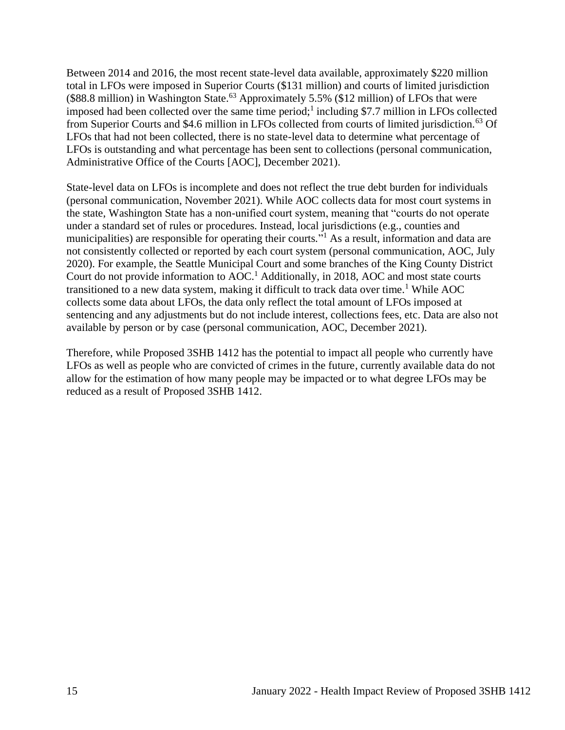Between 2014 and 2016, the most recent state-level data available, approximately \$220 million total in LFOs were imposed in Superior Courts (\$131 million) and courts of limited jurisdiction  $($88.8 \text{ million})$  in Washington State.<sup>63</sup> Approximately 5.5%  $($12 \text{ million})$  of LFOs that were imposed had been collected over the same time period;<sup>1</sup> including \$7.7 million in LFOs collected from Superior Courts and \$4.6 million in LFOs collected from courts of limited jurisdiction.<sup>63</sup> Of LFOs that had not been collected, there is no state-level data to determine what percentage of LFOs is outstanding and what percentage has been sent to collections (personal communication, Administrative Office of the Courts [AOC], December 2021).

State-level data on LFOs is incomplete and does not reflect the true debt burden for individuals (personal communication, November 2021). While AOC collects data for most court systems in the state, Washington State has a non-unified court system, meaning that "courts do not operate under a standard set of rules or procedures. Instead, local jurisdictions (e.g., counties and municipalities) are responsible for operating their courts."<sup>1</sup> As a result, information and data are not consistently collected or reported by each court system (personal communication, AOC, July 2020). For example, the Seattle Municipal Court and some branches of the King County District Court do not provide information to  $AOC<sup>1</sup>$  Additionally, in 2018, AOC and most state courts transitioned to a new data system, making it difficult to track data over time.<sup>1</sup> While AOC collects some data about LFOs, the data only reflect the total amount of LFOs imposed at sentencing and any adjustments but do not include interest, collections fees, etc. Data are also not available by person or by case (personal communication, AOC, December 2021).

Therefore, while Proposed 3SHB 1412 has the potential to impact all people who currently have LFOs as well as people who are convicted of crimes in the future, currently available data do not allow for the estimation of how many people may be impacted or to what degree LFOs may be reduced as a result of Proposed 3SHB 1412.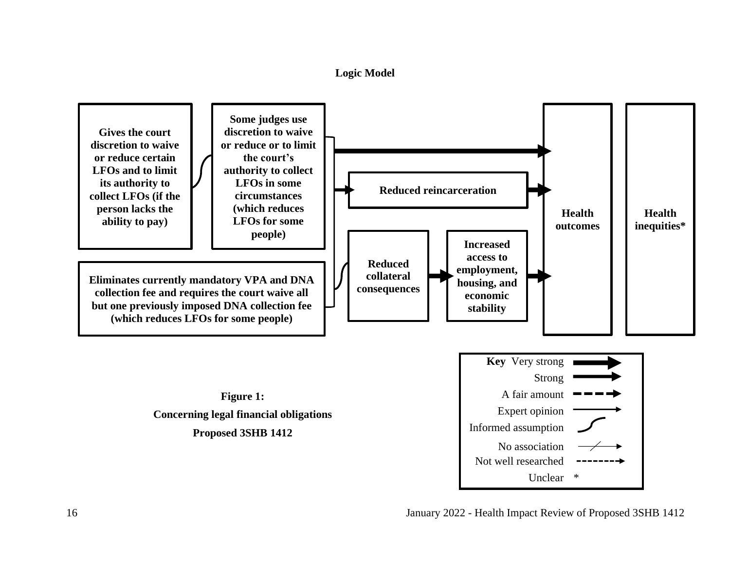



16 January 2022 - Health Impact Review of Proposed 3SHB 1412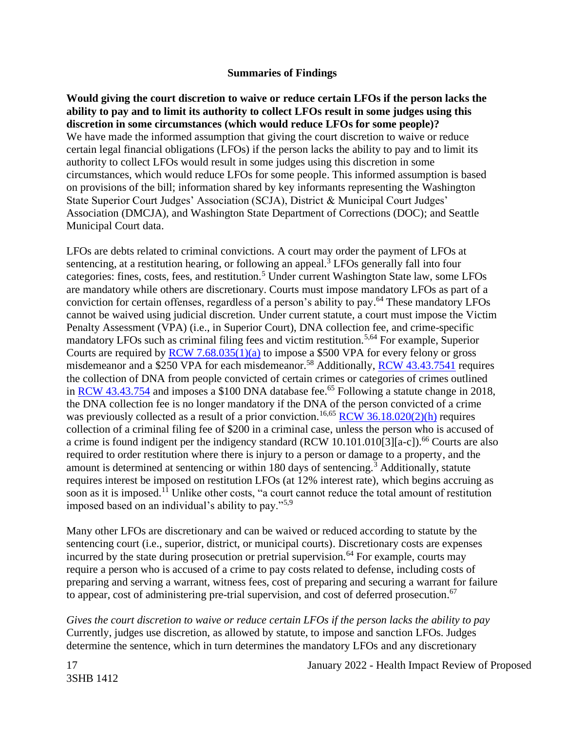#### **Summaries of Findings**

<span id="page-16-0"></span>**Would giving the court discretion to waive or reduce certain LFOs if the person lacks the ability to pay and to limit its authority to collect LFOs result in some judges using this discretion in some circumstances (which would reduce LFOs for some people)?** We have made the informed assumption that giving the court discretion to waive or reduce certain legal financial obligations (LFOs) if the person lacks the ability to pay and to limit its authority to collect LFOs would result in some judges using this discretion in some circumstances, which would reduce LFOs for some people. This informed assumption is based on provisions of the bill; information shared by key informants representing the Washington State Superior Court Judges' Association (SCJA), District & Municipal Court Judges' Association (DMCJA), and Washington State Department of Corrections (DOC); and Seattle Municipal Court data.

LFOs are debts related to criminal convictions. A court may order the payment of LFOs at sentencing, at a restitution hearing, or following an appeal.<sup>3</sup> LFOs generally fall into four categories: fines, costs, fees, and restitution.<sup>5</sup> Under current Washington State law, some LFOs are mandatory while others are discretionary. Courts must impose mandatory LFOs as part of a conviction for certain offenses, regardless of a person's ability to pay. <sup>64</sup> These mandatory LFOs cannot be waived using judicial discretion. Under current statute, a court must impose the Victim Penalty Assessment (VPA) (i.e., in Superior Court), DNA collection fee, and crime-specific mandatory LFOs such as criminal filing fees and victim restitution.<sup>5,64</sup> For example, Superior Courts are required by  $RCW$  7.68.035(1)(a) to impose a \$500 VPA for every felony or gross misdemeanor and a \$250 VPA for each misdemeanor.<sup>58</sup> Additionally, [RCW 43.43.7541](https://app.leg.wa.gov/rcw/default.aspx?cite=43.43.7541#:~:text=RCW%2043.43.7541-,DNA%20identification%20system%E2%80%94Collection%20of%20biological%20samples%E2%80%94Fee.,result%20of%20a%20prior%20conviction.) requires the collection of DNA from people convicted of certain crimes or categories of crimes outlined in [RCW 43.43.754](https://app.leg.wa.gov/rcw/default.aspx?cite=43.43.754) and imposes a \$100 DNA database fee.<sup>65</sup> Following a statute change in 2018, the DNA collection fee is no longer mandatory if the DNA of the person convicted of a crime was previously collected as a result of a prior conviction.<sup>16,65</sup> RCW [36.18.020\(2\)\(h\)](https://app.leg.wa.gov/rcw/default.aspx?cite=36.18.020) requires collection of a criminal filing fee of \$200 in a criminal case, unless the person who is accused of a crime is found indigent per the indigency standard (RCW 10.101.010[3][a-c]).<sup>66</sup> Courts are also required to order restitution where there is injury to a person or damage to a property, and the amount is determined at sentencing or within 180 days of sentencing.<sup>3</sup> Additionally, statute requires interest be imposed on restitution LFOs (at 12% interest rate), which begins accruing as soon as it is imposed.<sup>11</sup> Unlike other costs, "a court cannot reduce the total amount of restitution imposed based on an individual's ability to pay."5,9

Many other LFOs are discretionary and can be waived or reduced according to statute by the sentencing court (i.e., superior, district, or municipal courts). Discretionary costs are expenses incurred by the state during prosecution or pretrial supervision.<sup>64</sup> For example, courts may require a person who is accused of a crime to pay costs related to defense, including costs of preparing and serving a warrant, witness fees, cost of preparing and securing a warrant for failure to appear, cost of administering pre-trial supervision, and cost of deferred prosecution.<sup>67</sup>

*Gives the court discretion to waive or reduce certain LFOs if the person lacks the ability to pay* Currently, judges use discretion, as allowed by statute, to impose and sanction LFOs. Judges determine the sentence, which in turn determines the mandatory LFOs and any discretionary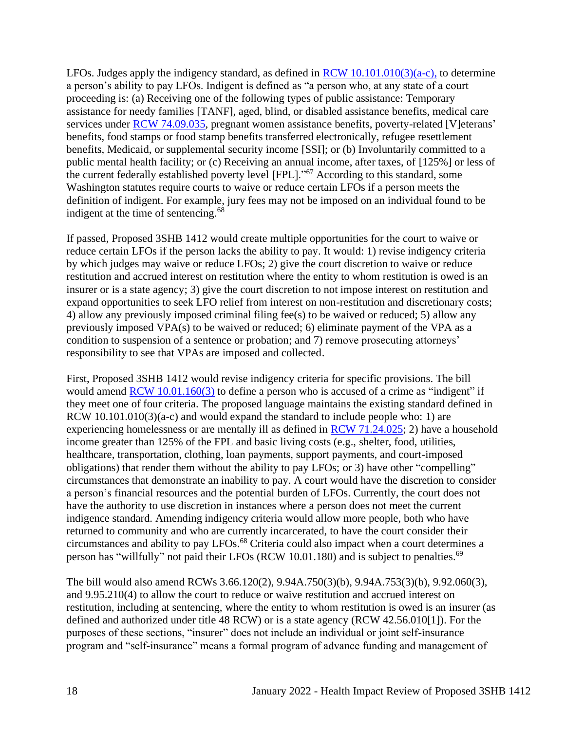LFOs. Judges apply the indigency standard, as defined in RCW  $10.101.010(3)(a-c)$ , to determine a person's ability to pay LFOs. Indigent is defined as "a person who, at any state of a court proceeding is: (a) Receiving one of the following types of public assistance: Temporary assistance for needy families [TANF], aged, blind, or disabled assistance benefits, medical care services under [RCW 74.09.035,](https://app.leg.wa.gov/rcw/default.aspx?cite=74.09.035) pregnant women assistance benefits, poverty-related [V]eterans' benefits, food stamps or food stamp benefits transferred electronically, refugee resettlement benefits, Medicaid, or supplemental security income [SSI]; or (b) Involuntarily committed to a public mental health facility; or (c) Receiving an annual income, after taxes, of [125%] or less of the current federally established poverty level [FPL]."<sup>67</sup> According to this standard, some Washington statutes require courts to waive or reduce certain LFOs if a person meets the definition of indigent. For example, jury fees may not be imposed on an individual found to be indigent at the time of sentencing.<sup>68</sup>

If passed, Proposed 3SHB 1412 would create multiple opportunities for the court to waive or reduce certain LFOs if the person lacks the ability to pay. It would: 1) revise indigency criteria by which judges may waive or reduce LFOs; 2) give the court discretion to waive or reduce restitution and accrued interest on restitution where the entity to whom restitution is owed is an insurer or is a state agency; 3) give the court discretion to not impose interest on restitution and expand opportunities to seek LFO relief from interest on non-restitution and discretionary costs; 4) allow any previously imposed criminal filing fee(s) to be waived or reduced; 5) allow any previously imposed VPA(s) to be waived or reduced; 6) eliminate payment of the VPA as a condition to suspension of a sentence or probation; and 7) remove prosecuting attorneys' responsibility to see that VPAs are imposed and collected.

First, Proposed 3SHB 1412 would revise indigency criteria for specific provisions. The bill would amend [RCW 10.01.160\(3\)](https://app.leg.wa.gov/rcw/default.aspx?cite=10.01.160) to define a person who is accused of a crime as "indigent" if they meet one of four criteria. The proposed language maintains the existing standard defined in RCW  $10.101.010(3)(a-c)$  and would expand the standard to include people who: 1) are experiencing homelessness or are mentally ill as defined in [RCW 71.24.025;](https://app.leg.wa.gov/rcw/default.aspx?cite=71.24.025) 2) have a household income greater than 125% of the FPL and basic living costs (e.g., shelter, food, utilities, healthcare, transportation, clothing, loan payments, support payments, and court-imposed obligations) that render them without the ability to pay LFOs; or 3) have other "compelling" circumstances that demonstrate an inability to pay. A court would have the discretion to consider a person's financial resources and the potential burden of LFOs. Currently, the court does not have the authority to use discretion in instances where a person does not meet the current indigence standard. Amending indigency criteria would allow more people, both who have returned to community and who are currently incarcerated, to have the court consider their circumstances and ability to pay LFOs. <sup>68</sup> Criteria could also impact when a court determines a person has "willfully" not paid their LFOs (RCW 10.01.180) and is subject to penalties.<sup>69</sup>

The bill would also amend RCWs 3.66.120(2), 9.94A.750(3)(b), 9.94A.753(3)(b), 9.92.060(3), and 9.95.210(4) to allow the court to reduce or waive restitution and accrued interest on restitution, including at sentencing, where the entity to whom restitution is owed is an insurer (as defined and authorized under title 48 RCW) or is a state agency (RCW 42.56.010[1]). For the purposes of these sections, "insurer" does not include an individual or joint self-insurance program and "self-insurance" means a formal program of advance funding and management of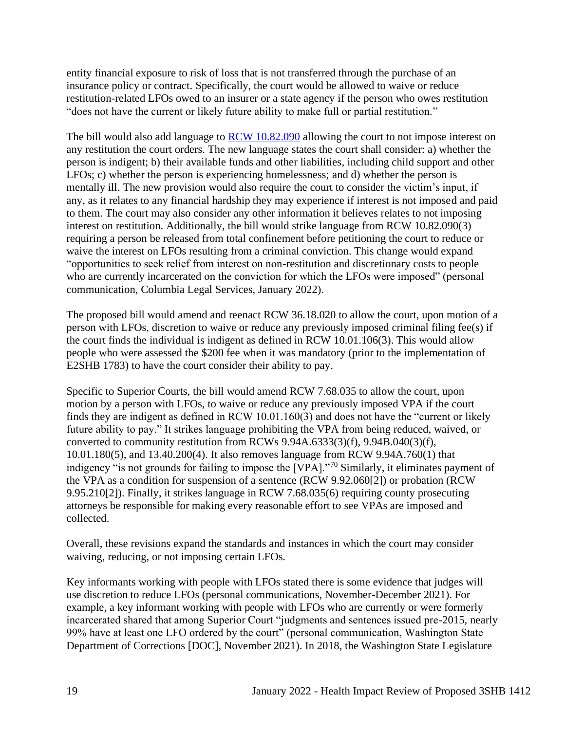entity financial exposure to risk of loss that is not transferred through the purchase of an insurance policy or contract. Specifically, the court would be allowed to waive or reduce restitution-related LFOs owed to an insurer or a state agency if the person who owes restitution "does not have the current or likely future ability to make full or partial restitution."

The bill would also add language to **RCW** 10.82.090 allowing the court to not impose interest on any restitution the court orders. The new language states the court shall consider: a) whether the person is indigent; b) their available funds and other liabilities, including child support and other LFOs; c) whether the person is experiencing homelessness; and d) whether the person is mentally ill. The new provision would also require the court to consider the victim's input, if any, as it relates to any financial hardship they may experience if interest is not imposed and paid to them. The court may also consider any other information it believes relates to not imposing interest on restitution. Additionally, the bill would strike language from RCW 10.82.090(3) requiring a person be released from total confinement before petitioning the court to reduce or waive the interest on LFOs resulting from a criminal conviction. This change would expand "opportunities to seek relief from interest on non-restitution and discretionary costs to people who are currently incarcerated on the conviction for which the LFOs were imposed" (personal communication, Columbia Legal Services, January 2022).

The proposed bill would amend and reenact RCW 36.18.020 to allow the court, upon motion of a person with LFOs, discretion to waive or reduce any previously imposed criminal filing fee(s) if the court finds the individual is indigent as defined in RCW 10.01.106(3). This would allow people who were assessed the \$200 fee when it was mandatory (prior to the implementation of E2SHB 1783) to have the court consider their ability to pay.

Specific to Superior Courts, the bill would amend [RCW 7.68.035](https://apps.leg.wa.gov/RCW/default.aspx?cite=7.68.035) to allow the court, upon motion by a person with LFOs, to waive or reduce any previously imposed VPA if the court finds they are indigent as defined in RCW 10.01.160(3) and does not have the "current or likely future ability to pay." It strikes language prohibiting the VPA from being reduced, waived, or converted to community restitution from RCWs [9.94A.6333\(3\)\(f\),](https://app.leg.wa.gov/rcw/default.aspx?cite=9.94A.6333) [9.94B.040\(3\)\(f\),](https://app.leg.wa.gov/rcw/default.aspx?cite=9.94B.040) [10.01.180\(5\),](https://app.leg.wa.gov/rcw/default.aspx?cite=10.01.180) and 13.40.200(4). It also removes language from RCW 9.94A.760(1) that indigency "is not grounds for failing to impose the [VPA]."<sup>70</sup> Similarly, it eliminates payment of the VPA as a condition for suspension of a sentence (RCW 9.92.060[2]) or probation (RCW 9.95.210[2]). Finally, it strikes language in RCW 7.68.035(6) requiring county prosecuting attorneys be responsible for making every reasonable effort to see VPAs are imposed and collected.

Overall, these revisions expand the standards and instances in which the court may consider waiving, reducing, or not imposing certain LFOs.

Key informants working with people with LFOs stated there is some evidence that judges will use discretion to reduce LFOs (personal communications, November-December 2021). For example, a key informant working with people with LFOs who are currently or were formerly incarcerated shared that among Superior Court "judgments and sentences issued pre-2015, nearly 99% have at least one LFO ordered by the court" (personal communication, Washington State Department of Corrections [DOC], November 2021). In 2018, the Washington State Legislature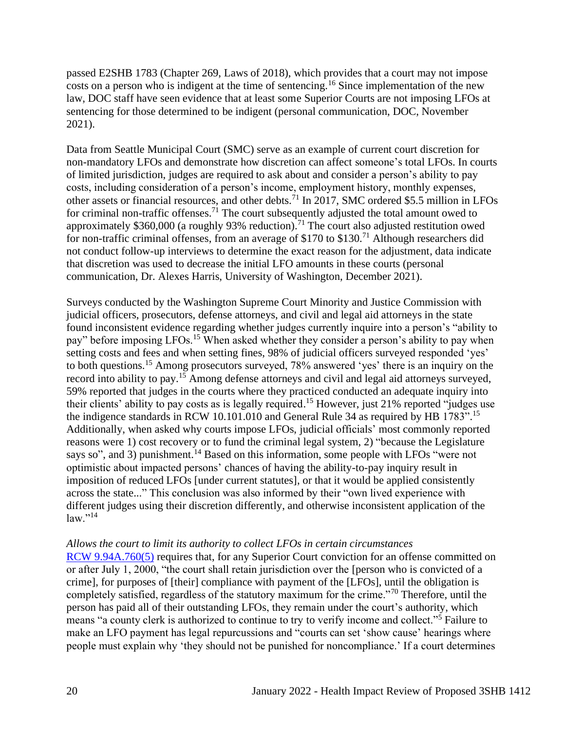passed E2SHB 1783 (Chapter 269, Laws of 2018), which provides that a court may not impose costs on a person who is indigent at the time of sentencing.<sup>16</sup> Since implementation of the new law, DOC staff have seen evidence that at least some Superior Courts are not imposing LFOs at sentencing for those determined to be indigent (personal communication, DOC, November 2021).

Data from Seattle Municipal Court (SMC) serve as an example of current court discretion for non-mandatory LFOs and demonstrate how discretion can affect someone's total LFOs. In courts of limited jurisdiction, judges are required to ask about and consider a person's ability to pay costs, including consideration of a person's income, employment history, monthly expenses, other assets or financial resources, and other debts.<sup>71</sup> In 2017, SMC ordered \$5.5 million in LFOs for criminal non-traffic offenses.<sup>71</sup> The court subsequently adjusted the total amount owed to approximately \$360,000 (a roughly 93% reduction).<sup>71</sup> The court also adjusted restitution owed for non-traffic criminal offenses, from an average of \$170 to \$130.<sup>71</sup> Although researchers did not conduct follow-up interviews to determine the exact reason for the adjustment, data indicate that discretion was used to decrease the initial LFO amounts in these courts (personal communication, Dr. Alexes Harris, University of Washington, December 2021).

Surveys conducted by the Washington Supreme Court Minority and Justice Commission with judicial officers, prosecutors, defense attorneys, and civil and legal aid attorneys in the state found inconsistent evidence regarding whether judges currently inquire into a person's "ability to pay" before imposing LFOs.<sup>15</sup> When asked whether they consider a person's ability to pay when setting costs and fees and when setting fines, 98% of judicial officers surveyed responded 'yes' to both questions.<sup>15</sup> Among prosecutors surveyed, 78% answered 'yes' there is an inquiry on the record into ability to pay.<sup>15</sup> Among defense attorneys and civil and legal aid attorneys surveyed, 59% reported that judges in the courts where they practiced conducted an adequate inquiry into their clients' ability to pay costs as is legally required.<sup>15</sup> However, just 21% reported "judges use the indigence standards in RCW 10.101.010 and General Rule 34 as required by HB 1783".<sup>15</sup> Additionally, when asked why courts impose LFOs, judicial officials' most commonly reported reasons were 1) cost recovery or to fund the criminal legal system, 2) "because the Legislature says so", and 3) punishment.<sup>14</sup> Based on this information, some people with LFOs "were not optimistic about impacted persons' chances of having the ability-to-pay inquiry result in imposition of reduced LFOs [under current statutes], or that it would be applied consistently across the state..." This conclusion was also informed by their "own lived experience with different judges using their discretion differently, and otherwise inconsistent application of the  $law.^{"14}$ 

#### *Allows the court to limit its authority to collect LFOs in certain circumstances*

[RCW 9.94A.760\(5\)](https://apps.leg.wa.gov/rcw/default.aspx?cite=9.94A.760#:~:text=(1)%20Whenever%20a%20person%20is,as%20described%20in%20RCW%2010.01.) requires that, for any Superior Court conviction for an offense committed on or after July 1, 2000, "the court shall retain jurisdiction over the [person who is convicted of a crime], for purposes of [their] compliance with payment of the [LFOs], until the obligation is completely satisfied, regardless of the statutory maximum for the crime."<sup>70</sup> Therefore, until the person has paid all of their outstanding LFOs, they remain under the court's authority, which means "a county clerk is authorized to continue to try to verify income and collect."<sup>5</sup> Failure to make an LFO payment has legal repurcussions and "courts can set 'show cause' hearings where people must explain why 'they should not be punished for noncompliance.' If a court determines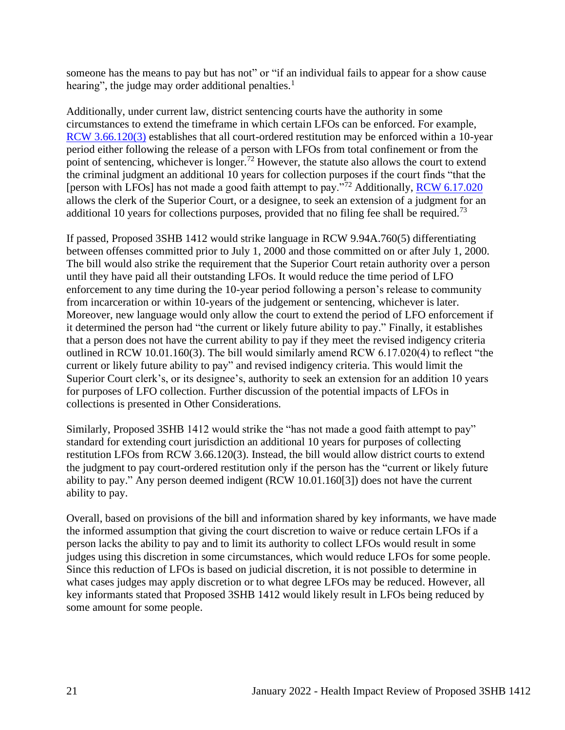someone has the means to pay but has not" or "if an individual fails to appear for a show cause hearing", the judge may order additional penalties.<sup>1</sup>

Additionally, under current law, district sentencing courts have the authority in some circumstances to extend the timeframe in which certain LFOs can be enforced. For example, [RCW 3.66.120\(3\)](https://app.leg.wa.gov/rcw/default.aspx?cite=3.66.120) establishes that all court-ordered restitution may be enforced within a 10-year period either following the release of a person with LFOs from total confinement or from the point of sentencing, whichever is longer.<sup>72</sup> However, the statute also allows the court to extend the criminal judgment an additional 10 years for collection purposes if the court finds "that the [person with LFOs] has not made a good faith attempt to pay."<sup>72</sup> Additionally, [RCW 6.17.020](https://app.leg.wa.gov/rcw/default.aspx?cite=6.17.020) allows the clerk of the Superior Court, or a designee, to seek an extension of a judgment for an additional 10 years for collections purposes, provided that no filing fee shall be required.<sup>73</sup>

If passed, Proposed 3SHB 1412 would strike language in RCW 9.94A.760(5) differentiating between offenses committed prior to July 1, 2000 and those committed on or after July 1, 2000. The bill would also strike the requirement that the Superior Court retain authority over a person until they have paid all their outstanding LFOs. It would reduce the time period of LFO enforcement to any time during the 10-year period following a person's release to community from incarceration or within 10-years of the judgement or sentencing, whichever is later. Moreover, new language would only allow the court to extend the period of LFO enforcement if it determined the person had "the current or likely future ability to pay." Finally, it establishes that a person does not have the current ability to pay if they meet the revised indigency criteria outlined in RCW 10.01.160(3). The bill would similarly amend RCW 6.17.020(4) to reflect "the current or likely future ability to pay" and revised indigency criteria. This would limit the Superior Court clerk's, or its designee's, authority to seek an extension for an addition 10 years for purposes of LFO collection. Further discussion of the potential impacts of LFOs in collections is presented in Other Considerations.

Similarly, Proposed 3SHB 1412 would strike the "has not made a good faith attempt to pay" standard for extending court jurisdiction an additional 10 years for purposes of collecting restitution LFOs from RCW 3.66.120(3). Instead, the bill would allow district courts to extend the judgment to pay court-ordered restitution only if the person has the "current or likely future ability to pay." Any person deemed indigent (RCW 10.01.160[3]) does not have the current ability to pay.

Overall, based on provisions of the bill and information shared by key informants, we have made the informed assumption that giving the court discretion to waive or reduce certain LFOs if a person lacks the ability to pay and to limit its authority to collect LFOs would result in some judges using this discretion in some circumstances, which would reduce LFOs for some people. Since this reduction of LFOs is based on judicial discretion, it is not possible to determine in what cases judges may apply discretion or to what degree LFOs may be reduced. However, all key informants stated that Proposed 3SHB 1412 would likely result in LFOs being reduced by some amount for some people.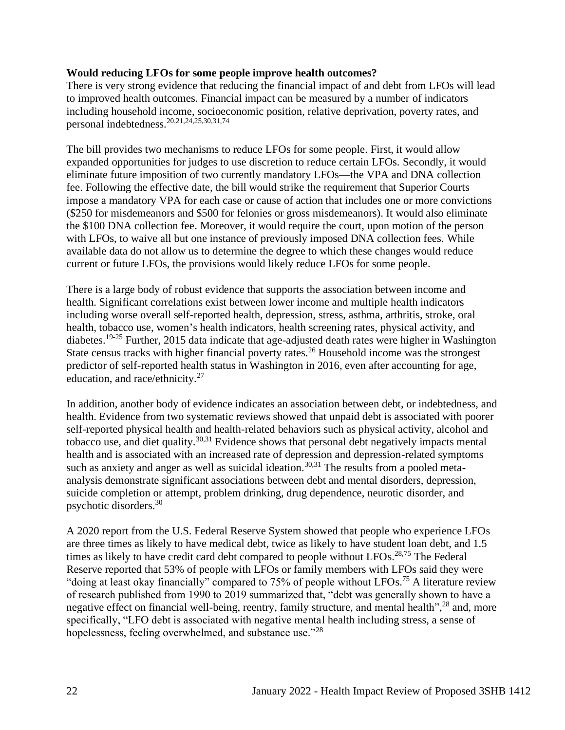#### **Would reducing LFOs for some people improve health outcomes?**

There is very strong evidence that reducing the financial impact of and debt from LFOs will lead to improved health outcomes. Financial impact can be measured by a number of indicators including household income, socioeconomic position, relative deprivation, poverty rates, and personal indebtedness.20,21,24,25,30,31,74

The bill provides two mechanisms to reduce LFOs for some people. First, it would allow expanded opportunities for judges to use discretion to reduce certain LFOs. Secondly, it would eliminate future imposition of two currently mandatory LFOs—the VPA and DNA collection fee. Following the effective date, the bill would strike the requirement that Superior Courts impose a mandatory VPA for each case or cause of action that includes one or more convictions (\$250 for misdemeanors and \$500 for felonies or gross misdemeanors). It would also eliminate the \$100 DNA collection fee. Moreover, it would require the court, upon motion of the person with LFOs, to waive all but one instance of previously imposed DNA collection fees. While available data do not allow us to determine the degree to which these changes would reduce current or future LFOs, the provisions would likely reduce LFOs for some people.

There is a large body of robust evidence that supports the association between income and health. Significant correlations exist between lower income and multiple health indicators including worse overall self-reported health, depression, stress, asthma, arthritis, stroke, oral health, tobacco use, women's health indicators, health screening rates, physical activity, and diabetes.<sup>19-25</sup> Further, 2015 data indicate that age-adjusted death rates were higher in Washington State census tracks with higher financial poverty rates.<sup>26</sup> Household income was the strongest predictor of self-reported health status in Washington in 2016, even after accounting for age, education, and race/ethnicity.<sup>27</sup>

In addition, another body of evidence indicates an association between debt, or indebtedness, and health. Evidence from two systematic reviews showed that unpaid debt is associated with poorer self-reported physical health and health-related behaviors such as physical activity, alcohol and tobacco use, and diet quality.<sup>30,31</sup> Evidence shows that personal debt negatively impacts mental health and is associated with an increased rate of depression and depression-related symptoms such as anxiety and anger as well as suicidal ideation.<sup>30,31</sup> The results from a pooled metaanalysis demonstrate significant associations between debt and mental disorders, depression, suicide completion or attempt, problem drinking, drug dependence, neurotic disorder, and psychotic disorders.<sup>30</sup>

A 2020 report from the U.S. Federal Reserve System showed that people who experience LFOs are three times as likely to have medical debt, twice as likely to have student loan debt, and 1.5 times as likely to have credit card debt compared to people without LFOs.<sup>28,75</sup> The Federal Reserve reported that 53% of people with LFOs or family members with LFOs said they were "doing at least okay financially" compared to 75% of people without LFOs.<sup>75</sup> A literature review of research published from 1990 to 2019 summarized that, "debt was generally shown to have a negative effect on financial well-being, reentry, family structure, and mental health",<sup>28</sup> and, more specifically, "LFO debt is associated with negative mental health including stress, a sense of hopelessness, feeling overwhelmed, and substance use."<sup>28</sup>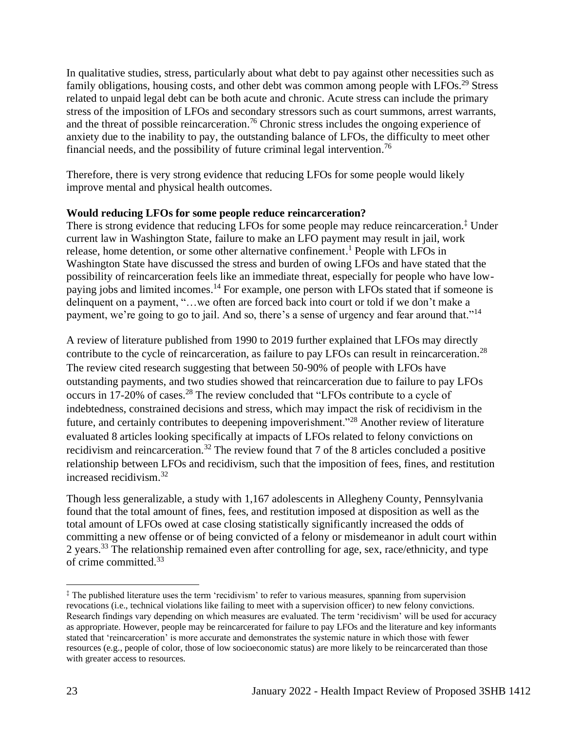In qualitative studies, stress, particularly about what debt to pay against other necessities such as family obligations, housing costs, and other debt was common among people with LFOs.<sup>29</sup> Stress related to unpaid legal debt can be both acute and chronic. Acute stress can include the primary stress of the imposition of LFOs and secondary stressors such as court summons, arrest warrants, and the threat of possible reincarceration.<sup>76</sup> Chronic stress includes the ongoing experience of anxiety due to the inability to pay, the outstanding balance of LFOs, the difficulty to meet other financial needs, and the possibility of future criminal legal intervention.<sup>76</sup>

Therefore, there is very strong evidence that reducing LFOs for some people would likely improve mental and physical health outcomes.

#### **Would reducing LFOs for some people reduce reincarceration?**

There is strong evidence that reducing LFOs for some people may reduce reincarceration.<sup>‡</sup> Under current law in Washington State, failure to make an LFO payment may result in jail, work release, home detention, or some other alternative confinement. <sup>1</sup> People with LFOs in Washington State have discussed the stress and burden of owing LFOs and have stated that the possibility of reincarceration feels like an immediate threat, especially for people who have lowpaying jobs and limited incomes.<sup>14</sup> For example, one person with LFOs stated that if someone is delinquent on a payment, "…we often are forced back into court or told if we don't make a payment, we're going to go to jail. And so, there's a sense of urgency and fear around that."<sup>14</sup>

A review of literature published from 1990 to 2019 further explained that LFOs may directly contribute to the cycle of reincarceration, as failure to pay LFOs can result in reincarceration.<sup>28</sup> The review cited research suggesting that between 50-90% of people with LFOs have outstanding payments, and two studies showed that reincarceration due to failure to pay LFOs occurs in 17-20% of cases.<sup>28</sup> The review concluded that "LFOs contribute to a cycle of indebtedness, constrained decisions and stress, which may impact the risk of recidivism in the future, and certainly contributes to deepening impoverishment."<sup>28</sup> Another review of literature evaluated 8 articles looking specifically at impacts of LFOs related to felony convictions on recidivism and reincarceration.<sup>32</sup> The review found that 7 of the 8 articles concluded a positive relationship between LFOs and recidivism, such that the imposition of fees, fines, and restitution increased recidivism.<sup>32</sup>

Though less generalizable, a study with 1,167 adolescents in Allegheny County, Pennsylvania found that the total amount of fines, fees, and restitution imposed at disposition as well as the total amount of LFOs owed at case closing statistically significantly increased the odds of committing a new offense or of being convicted of a felony or misdemeanor in adult court within 2 years.<sup>33</sup> The relationship remained even after controlling for age, sex, race/ethnicity, and type of crime committed.<sup>33</sup>

<sup>‡</sup> The published literature uses the term 'recidivism' to refer to various measures, spanning from supervision revocations (i.e., technical violations like failing to meet with a supervision officer) to new felony convictions. Research findings vary depending on which measures are evaluated. The term 'recidivism' will be used for accuracy as appropriate. However, people may be reincarcerated for failure to pay LFOs and the literature and key informants stated that 'reincarceration' is more accurate and demonstrates the systemic nature in which those with fewer resources (e.g., people of color, those of low socioeconomic status) are more likely to be reincarcerated than those with greater access to resources.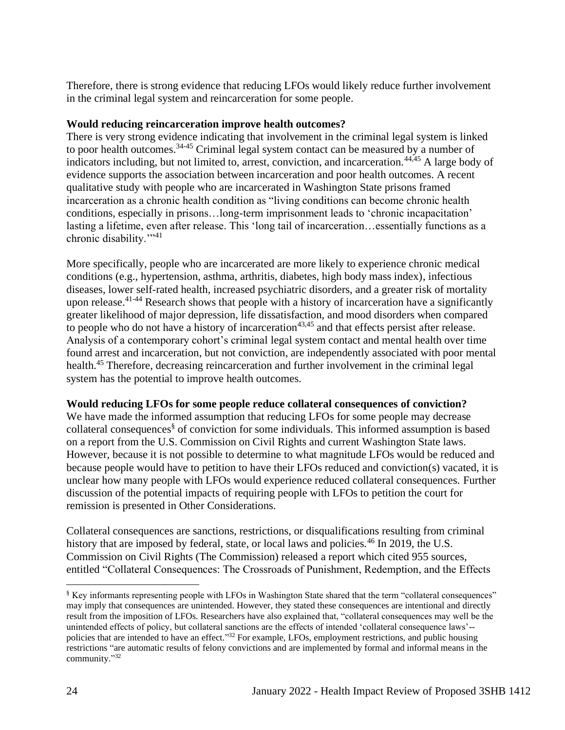Therefore, there is strong evidence that reducing LFOs would likely reduce further involvement in the criminal legal system and reincarceration for some people.

## **Would reducing reincarceration improve health outcomes?**

There is very strong evidence indicating that involvement in the criminal legal system is linked to poor health outcomes.<sup>34-45</sup> Criminal legal system contact can be measured by a number of indicators including, but not limited to, arrest, conviction, and incarceration.<sup>44,45</sup> A large body of evidence supports the association between incarceration and poor health outcomes. A recent qualitative study with people who are incarcerated in Washington State prisons framed incarceration as a chronic health condition as "living conditions can become chronic health conditions, especially in prisons…long-term imprisonment leads to 'chronic incapacitation' lasting a lifetime, even after release. This 'long tail of incarceration...essentially functions as a chronic disability."<sup>41</sup>

More specifically, people who are incarcerated are more likely to experience chronic medical conditions (e.g., hypertension, asthma, arthritis, diabetes, high body mass index), infectious diseases, lower self-rated health, increased psychiatric disorders, and a greater risk of mortality upon release.<sup>41-44</sup> Research shows that people with a history of incarceration have a significantly greater likelihood of major depression, life dissatisfaction, and mood disorders when compared to people who do not have a history of incarceration<sup>43,45</sup> and that effects persist after release. Analysis of a contemporary cohort's criminal legal system contact and mental health over time found arrest and incarceration, but not conviction, are independently associated with poor mental health.<sup>45</sup> Therefore, decreasing reincarceration and further involvement in the criminal legal system has the potential to improve health outcomes.

## **Would reducing LFOs for some people reduce collateral consequences of conviction?**

We have made the informed assumption that reducing LFOs for some people may decrease collateral consequences§ of conviction for some individuals. This informed assumption is based on a report from the U.S. Commission on Civil Rights and current Washington State laws. However, because it is not possible to determine to what magnitude LFOs would be reduced and because people would have to petition to have their LFOs reduced and conviction(s) vacated, it is unclear how many people with LFOs would experience reduced collateral consequences. Further discussion of the potential impacts of requiring people with LFOs to petition the court for remission is presented in Other Considerations.

Collateral consequences are sanctions, restrictions, or disqualifications resulting from criminal history that are imposed by federal, state, or local laws and policies.<sup>46</sup> In 2019, the U.S. Commission on Civil Rights (The Commission) released a report which cited 955 sources, entitled "Collateral Consequences: The Crossroads of Punishment, Redemption, and the Effects

<sup>§</sup> Key informants representing people with LFOs in Washington State shared that the term "collateral consequences" may imply that consequences are unintended. However, they stated these consequences are intentional and directly result from the imposition of LFOs. Researchers have also explained that, "collateral consequences may well be the unintended effects of policy, but collateral sanctions are the effects of intended 'collateral consequence laws'- policies that are intended to have an effect."<sup>32</sup> For example, LFOs, employment restrictions, and public housing restrictions "are automatic results of felony convictions and are implemented by formal and informal means in the community." 32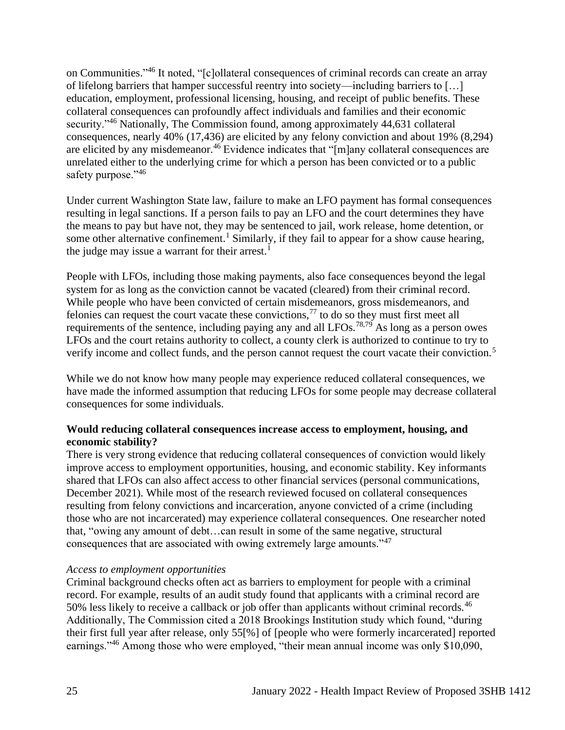on Communities."<sup>46</sup> It noted, "[c]ollateral consequences of criminal records can create an array of lifelong barriers that hamper successful reentry into society—including barriers to […] education, employment, professional licensing, housing, and receipt of public benefits. These collateral consequences can profoundly affect individuals and families and their economic security."<sup>46</sup> Nationally, The Commission found, among approximately 44,631 collateral consequences, nearly 40% (17,436) are elicited by any felony conviction and about 19% (8,294) are elicited by any misdemeanor.<sup>46</sup> Evidence indicates that "[m]any collateral consequences are unrelated either to the underlying crime for which a person has been convicted or to a public safety purpose."<sup>46</sup>

Under current Washington State law, failure to make an LFO payment has formal consequences resulting in legal sanctions. If a person fails to pay an LFO and the court determines they have the means to pay but have not, they may be sentenced to jail, work release, home detention, or some other alternative confinement.<sup>1</sup> Similarly, if they fail to appear for a show cause hearing, the judge may issue a warrant for their arrest.<sup>1</sup>

People with LFOs, including those making payments, also face consequences beyond the legal system for as long as the conviction cannot be vacated (cleared) from their criminal record. While people who have been convicted of certain misdemeanors, gross misdemeanors, and felonies can request the court vacate these convictions,<sup>77</sup> to do so they must first meet all requirements of the sentence, including paying any and all LFOs.<sup>78,79</sup> As long as a person owes LFOs and the court retains authority to collect, a county clerk is authorized to continue to try to verify income and collect funds, and the person cannot request the court vacate their conviction.<sup>5</sup>

While we do not know how many people may experience reduced collateral consequences, we have made the informed assumption that reducing LFOs for some people may decrease collateral consequences for some individuals.

## **Would reducing collateral consequences increase access to employment, housing, and economic stability?**

There is very strong evidence that reducing collateral consequences of conviction would likely improve access to employment opportunities, housing, and economic stability. Key informants shared that LFOs can also affect access to other financial services (personal communications, December 2021). While most of the research reviewed focused on collateral consequences resulting from felony convictions and incarceration, anyone convicted of a crime (including those who are not incarcerated) may experience collateral consequences. One researcher noted that, "owing any amount of debt…can result in some of the same negative, structural consequences that are associated with owing extremely large amounts."<sup>47</sup>

#### *Access to employment opportunities*

Criminal background checks often act as barriers to employment for people with a criminal record. For example, results of an audit study found that applicants with a criminal record are 50% less likely to receive a callback or job offer than applicants without criminal records.<sup>46</sup> Additionally, The Commission cited a 2018 Brookings Institution study which found, "during their first full year after release, only 55[%] of [people who were formerly incarcerated] reported earnings."<sup>46</sup> Among those who were employed, "their mean annual income was only \$10,090,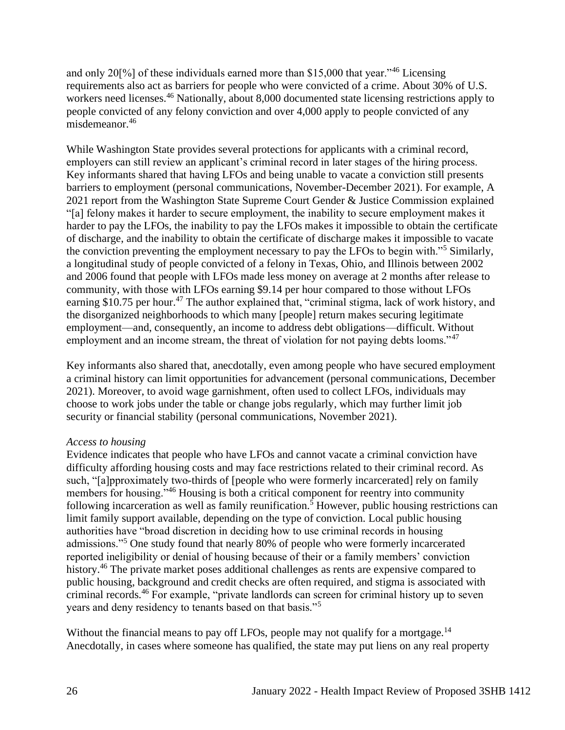and only 20[%] of these individuals earned more than \$15,000 that year."<sup>46</sup> Licensing requirements also act as barriers for people who were convicted of a crime. About 30% of U.S. workers need licenses.<sup>46</sup> Nationally, about 8,000 documented state licensing restrictions apply to people convicted of any felony conviction and over 4,000 apply to people convicted of any misdemeanor.<sup>46</sup>

While Washington State provides several protections for applicants with a criminal record, employers can still review an applicant's criminal record in later stages of the hiring process. Key informants shared that having LFOs and being unable to vacate a conviction still presents barriers to employment (personal communications, November-December 2021). For example, A 2021 report from the Washington State Supreme Court Gender & Justice Commission explained "[a] felony makes it harder to secure employment, the inability to secure employment makes it harder to pay the LFOs, the inability to pay the LFOs makes it impossible to obtain the certificate of discharge, and the inability to obtain the certificate of discharge makes it impossible to vacate the conviction preventing the employment necessary to pay the LFOs to begin with."<sup>5</sup> Similarly, a longitudinal study of people convicted of a felony in Texas, Ohio, and Illinois between 2002 and 2006 found that people with LFOs made less money on average at 2 months after release to community, with those with LFOs earning \$9.14 per hour compared to those without LFOs earning \$10.75 per hour.<sup>47</sup> The author explained that, "criminal stigma, lack of work history, and the disorganized neighborhoods to which many [people] return makes securing legitimate employment—and, consequently, an income to address debt obligations—difficult. Without employment and an income stream, the threat of violation for not paying debts looms."<sup>47</sup>

Key informants also shared that, anecdotally, even among people who have secured employment a criminal history can limit opportunities for advancement (personal communications, December 2021). Moreover, to avoid wage garnishment, often used to collect LFOs, individuals may choose to work jobs under the table or change jobs regularly, which may further limit job security or financial stability (personal communications, November 2021).

#### *Access to housing*

Evidence indicates that people who have LFOs and cannot vacate a criminal conviction have difficulty affording housing costs and may face restrictions related to their criminal record. As such, "[a]pproximately two-thirds of [people who were formerly incarcerated] rely on family members for housing.<sup>346</sup> Housing is both a critical component for reentry into community following incarceration as well as family reunification.<sup>5</sup> However, public housing restrictions can limit family support available, depending on the type of conviction. Local public housing authorities have "broad discretion in deciding how to use criminal records in housing admissions."<sup>5</sup> One study found that nearly 80% of people who were formerly incarcerated reported ineligibility or denial of housing because of their or a family members' conviction history.<sup>46</sup> The private market poses additional challenges as rents are expensive compared to public housing, background and credit checks are often required, and stigma is associated with criminal records.<sup>46</sup> For example, "private landlords can screen for criminal history up to seven years and deny residency to tenants based on that basis."<sup>5</sup>

Without the financial means to pay off LFOs, people may not qualify for a mortgage.<sup>14</sup> Anecdotally, in cases where someone has qualified, the state may put liens on any real property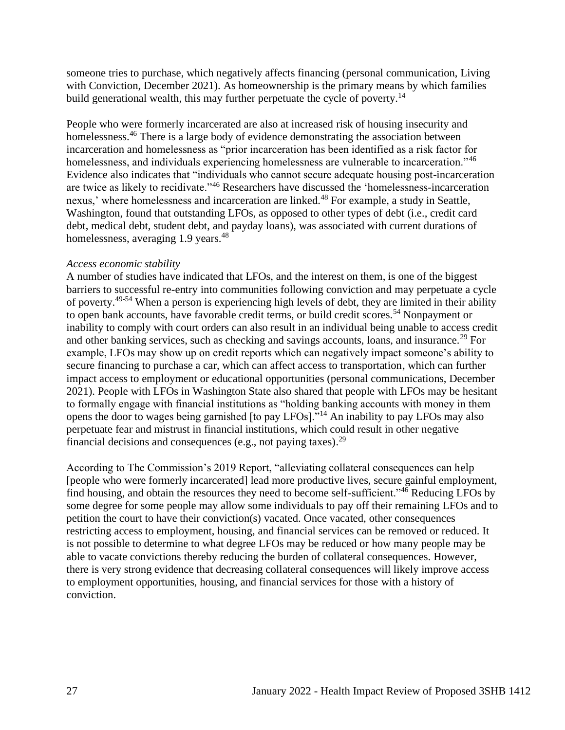someone tries to purchase, which negatively affects financing (personal communication, Living with Conviction, December 2021). As homeownership is the primary means by which families build generational wealth, this may further perpetuate the cycle of poverty.<sup>14</sup>

People who were formerly incarcerated are also at increased risk of housing insecurity and homelessness.<sup>46</sup> There is a large body of evidence demonstrating the association between incarceration and homelessness as "prior incarceration has been identified as a risk factor for homelessness, and individuals experiencing homelessness are vulnerable to incarceration."<sup>46</sup> Evidence also indicates that "individuals who cannot secure adequate housing post-incarceration are twice as likely to recidivate."<sup>46</sup> Researchers have discussed the 'homelessness-incarceration nexus,' where homelessness and incarceration are linked.<sup>48</sup> For example, a study in Seattle, Washington, found that outstanding LFOs, as opposed to other types of debt (i.e., credit card debt, medical debt, student debt, and payday loans), was associated with current durations of homelessness, averaging 1.9 years.<sup>48</sup>

#### *Access economic stability*

A number of studies have indicated that LFOs, and the interest on them, is one of the biggest barriers to successful re-entry into communities following conviction and may perpetuate a cycle of poverty.49-54 When a person is experiencing high levels of debt, they are limited in their ability to open bank accounts, have favorable credit terms, or build credit scores.<sup>54</sup> Nonpayment or inability to comply with court orders can also result in an individual being unable to access credit and other banking services, such as checking and savings accounts, loans, and insurance.<sup>29</sup> For example, LFOs may show up on credit reports which can negatively impact someone's ability to secure financing to purchase a car, which can affect access to transportation, which can further impact access to employment or educational opportunities (personal communications, December 2021). People with LFOs in Washington State also shared that people with LFOs may be hesitant to formally engage with financial institutions as "holding banking accounts with money in them opens the door to wages being garnished [to pay LFOs]."<sup>14</sup> An inability to pay LFOs may also perpetuate fear and mistrust in financial institutions, which could result in other negative financial decisions and consequences (e.g., not paying taxes).<sup>29</sup>

According to The Commission's 2019 Report, "alleviating collateral consequences can help [people who were formerly incarcerated] lead more productive lives, secure gainful employment, find housing, and obtain the resources they need to become self-sufficient." $4\overline{6}$  Reducing LFOs by some degree for some people may allow some individuals to pay off their remaining LFOs and to petition the court to have their conviction(s) vacated. Once vacated, other consequences restricting access to employment, housing, and financial services can be removed or reduced. It is not possible to determine to what degree LFOs may be reduced or how many people may be able to vacate convictions thereby reducing the burden of collateral consequences. However, there is very strong evidence that decreasing collateral consequences will likely improve access to employment opportunities, housing, and financial services for those with a history of conviction.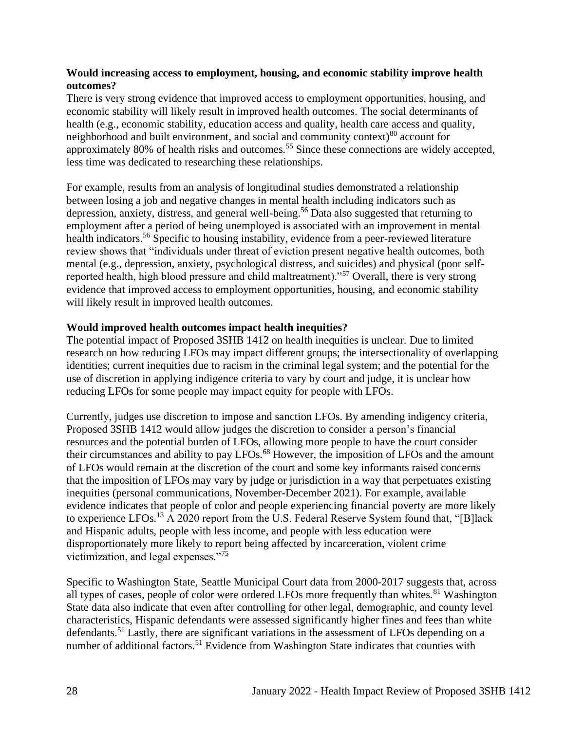#### **Would increasing access to employment, housing, and economic stability improve health outcomes?**

There is very strong evidence that improved access to employment opportunities, housing, and economic stability will likely result in improved health outcomes. The social determinants of health (e.g., economic stability, education access and quality, health care access and quality, neighborhood and built environment, and social and community context) $80$  account for approximately 80% of health risks and outcomes.<sup>55</sup> Since these connections are widely accepted, less time was dedicated to researching these relationships.

For example, results from an analysis of longitudinal studies demonstrated a relationship between losing a job and negative changes in mental health including indicators such as depression, anxiety, distress, and general well-being.<sup>56</sup> Data also suggested that returning to employment after a period of being unemployed is associated with an improvement in mental health indicators.<sup>56</sup> Specific to housing instability, evidence from a peer-reviewed literature review shows that "individuals under threat of eviction present negative health outcomes, both mental (e.g., depression, anxiety, psychological distress, and suicides) and physical (poor selfreported health, high blood pressure and child maltreatment)."<sup>57</sup> Overall, there is very strong evidence that improved access to employment opportunities, housing, and economic stability will likely result in improved health outcomes.

#### **Would improved health outcomes impact health inequities?**

The potential impact of Proposed 3SHB 1412 on health inequities is unclear. Due to limited research on how reducing LFOs may impact different groups; the intersectionality of overlapping identities; current inequities due to racism in the criminal legal system; and the potential for the use of discretion in applying indigence criteria to vary by court and judge, it is unclear how reducing LFOs for some people may impact equity for people with LFOs.

Currently, judges use discretion to impose and sanction LFOs. By amending indigency criteria, Proposed 3SHB 1412 would allow judges the discretion to consider a person's financial resources and the potential burden of LFOs, allowing more people to have the court consider their circumstances and ability to pay LFOs.<sup>68</sup> However, the imposition of LFOs and the amount of LFOs would remain at the discretion of the court and some key informants raised concerns that the imposition of LFOs may vary by judge or jurisdiction in a way that perpetuates existing inequities (personal communications, November-December 2021). For example, available evidence indicates that people of color and people experiencing financial poverty are more likely to experience LFOs.<sup>13</sup> A 2020 report from the U.S. Federal Reserve System found that, "[B]lack and Hispanic adults, people with less income, and people with less education were disproportionately more likely to report being affected by incarceration, violent crime victimization, and legal expenses." $\frac{75}{15}$ 

Specific to Washington State, Seattle Municipal Court data from 2000-2017 suggests that, across all types of cases, people of color were ordered LFOs more frequently than whites.<sup>81</sup> Washington State data also indicate that even after controlling for other legal, demographic, and county level characteristics, Hispanic defendants were assessed significantly higher fines and fees than white defendants.<sup>51</sup> Lastly, there are significant variations in the assessment of LFOs depending on a number of additional factors.<sup>51</sup> Evidence from Washington State indicates that counties with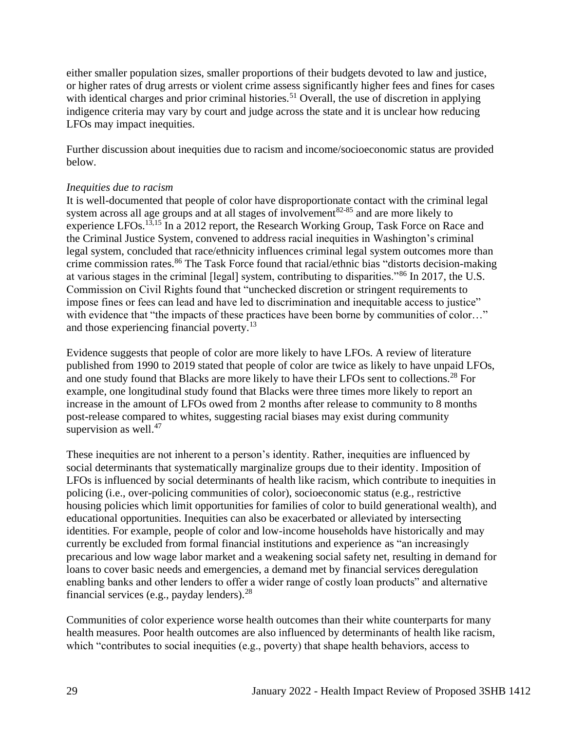either smaller population sizes, smaller proportions of their budgets devoted to law and justice, or higher rates of drug arrests or violent crime assess significantly higher fees and fines for cases with identical charges and prior criminal histories.<sup>51</sup> Overall, the use of discretion in applying indigence criteria may vary by court and judge across the state and it is unclear how reducing LFOs may impact inequities.

Further discussion about inequities due to racism and income/socioeconomic status are provided below.

#### *Inequities due to racism*

It is well-documented that people of color have disproportionate contact with the criminal legal system across all age groups and at all stages of involvement<sup>82-85</sup> and are more likely to experience LFOs.<sup>13,15</sup> In a 2012 report, the Research Working Group, Task Force on Race and the Criminal Justice System, convened to address racial inequities in Washington's criminal legal system, concluded that race/ethnicity influences criminal legal system outcomes more than crime commission rates.<sup>86</sup> The Task Force found that racial/ethnic bias "distorts decision-making at various stages in the criminal [legal] system, contributing to disparities."<sup>86</sup> In 2017, the U.S. Commission on Civil Rights found that "unchecked discretion or stringent requirements to impose fines or fees can lead and have led to discrimination and inequitable access to justice" with evidence that "the impacts of these practices have been borne by communities of color..." and those experiencing financial poverty.<sup>13</sup>

Evidence suggests that people of color are more likely to have LFOs. A review of literature published from 1990 to 2019 stated that people of color are twice as likely to have unpaid LFOs, and one study found that Blacks are more likely to have their LFOs sent to collections.<sup>28</sup> For example, one longitudinal study found that Blacks were three times more likely to report an increase in the amount of LFOs owed from 2 months after release to community to 8 months post-release compared to whites, suggesting racial biases may exist during community supervision as well. $47$ 

These inequities are not inherent to a person's identity. Rather, inequities are influenced by social determinants that systematically marginalize groups due to their identity. Imposition of LFOs is influenced by social determinants of health like racism, which contribute to inequities in policing (i.e., over-policing communities of color), socioeconomic status (e.g., restrictive housing policies which limit opportunities for families of color to build generational wealth), and educational opportunities. Inequities can also be exacerbated or alleviated by intersecting identities. For example, people of color and low-income households have historically and may currently be excluded from formal financial institutions and experience as "an increasingly precarious and low wage labor market and a weakening social safety net, resulting in demand for loans to cover basic needs and emergencies, a demand met by financial services deregulation enabling banks and other lenders to offer a wider range of costly loan products" and alternative financial services (e.g., payday lenders). $28$ 

Communities of color experience worse health outcomes than their white counterparts for many health measures. Poor health outcomes are also influenced by determinants of health like racism, which "contributes to social inequities (e.g., poverty) that shape health behaviors, access to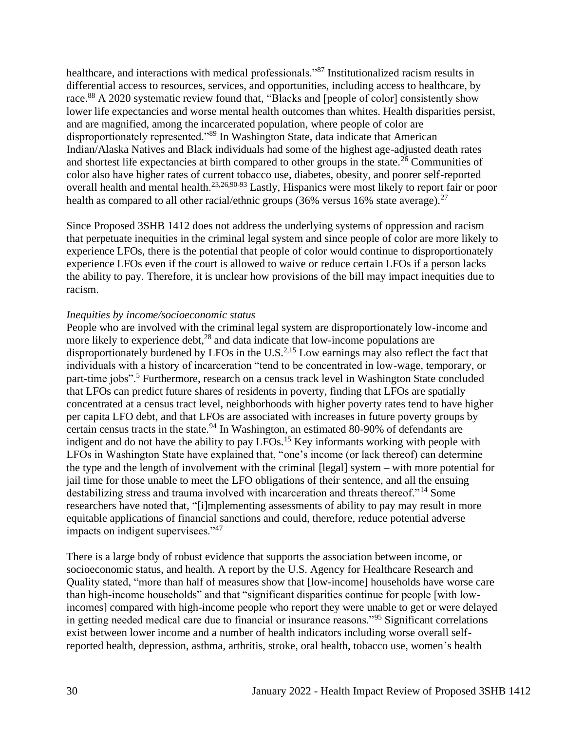healthcare, and interactions with medical professionals."<sup>87</sup> Institutionalized racism results in differential access to resources, services, and opportunities, including access to healthcare, by race.<sup>88</sup> A 2020 systematic review found that, "Blacks and [people of color] consistently show lower life expectancies and worse mental health outcomes than whites. Health disparities persist, and are magnified, among the incarcerated population, where people of color are disproportionately represented."<sup>89</sup> In Washington State, data indicate that American Indian/Alaska Natives and Black individuals had some of the highest age-adjusted death rates and shortest life expectancies at birth compared to other groups in the state.<sup>26</sup> Communities of color also have higher rates of current tobacco use, diabetes, obesity, and poorer self-reported overall health and mental health.23,26,90-93 Lastly, Hispanics were most likely to report fair or poor health as compared to all other racial/ethnic groups (36% versus 16% state average).<sup>27</sup>

Since Proposed 3SHB 1412 does not address the underlying systems of oppression and racism that perpetuate inequities in the criminal legal system and since people of color are more likely to experience LFOs, there is the potential that people of color would continue to disproportionately experience LFOs even if the court is allowed to waive or reduce certain LFOs if a person lacks the ability to pay. Therefore, it is unclear how provisions of the bill may impact inequities due to racism.

#### *Inequities by income/socioeconomic status*

People who are involved with the criminal legal system are disproportionately low-income and more likely to experience debt,  $28$  and data indicate that low-income populations are disproportionately burdened by LFOs in the U.S.<sup>2,15</sup> Low earnings may also reflect the fact that individuals with a history of incarceration "tend to be concentrated in low-wage, temporary, or part-time jobs".<sup>5</sup> Furthermore, research on a census track level in Washington State concluded that LFOs can predict future shares of residents in poverty, finding that LFOs are spatially concentrated at a census tract level, neighborhoods with higher poverty rates tend to have higher per capita LFO debt, and that LFOs are associated with increases in future poverty groups by certain census tracts in the state.<sup>94</sup> In Washington, an estimated 80-90% of defendants are indigent and do not have the ability to pay LFOs.<sup>15</sup> Key informants working with people with LFOs in Washington State have explained that, "one's income (or lack thereof) can determine the type and the length of involvement with the criminal [legal] system – with more potential for jail time for those unable to meet the LFO obligations of their sentence, and all the ensuing destabilizing stress and trauma involved with incarceration and threats thereof."<sup>14</sup> Some researchers have noted that, "[i]mplementing assessments of ability to pay may result in more equitable applications of financial sanctions and could, therefore, reduce potential adverse impacts on indigent supervisees."<sup>47</sup>

There is a large body of robust evidence that supports the association between income, or socioeconomic status, and health. A report by the U.S. Agency for Healthcare Research and Quality stated, "more than half of measures show that [low-income] households have worse care than high-income households" and that "significant disparities continue for people [with lowincomes] compared with high-income people who report they were unable to get or were delayed in getting needed medical care due to financial or insurance reasons."<sup>95</sup> Significant correlations exist between lower income and a number of health indicators including worse overall selfreported health, depression, asthma, arthritis, stroke, oral health, tobacco use, women's health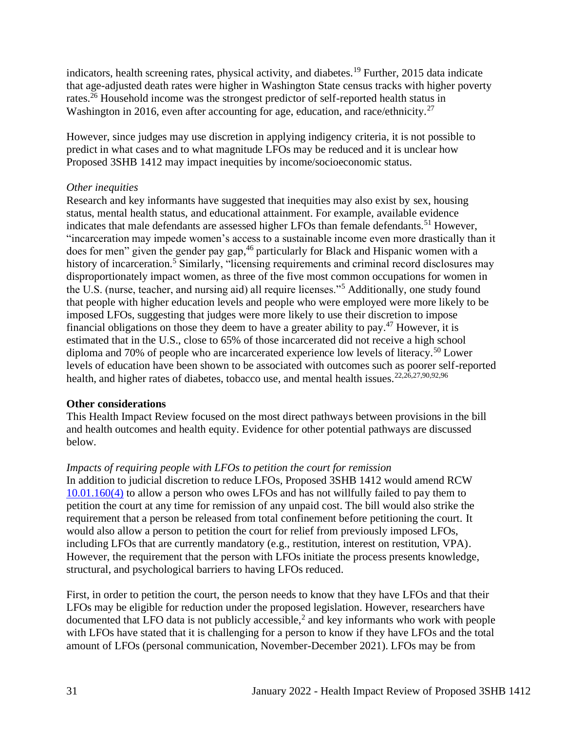indicators, health screening rates, physical activity, and diabetes.<sup>19</sup> Further, 2015 data indicate that age-adjusted death rates were higher in Washington State census tracks with higher poverty rates.<sup>26</sup> Household income was the strongest predictor of self-reported health status in Washington in 2016, even after accounting for age, education, and race/ethnicity.<sup>27</sup>

However, since judges may use discretion in applying indigency criteria, it is not possible to predict in what cases and to what magnitude LFOs may be reduced and it is unclear how Proposed 3SHB 1412 may impact inequities by income/socioeconomic status.

#### *Other inequities*

Research and key informants have suggested that inequities may also exist by sex, housing status, mental health status, and educational attainment. For example, available evidence indicates that male defendants are assessed higher LFOs than female defendants.<sup>51</sup> However, "incarceration may impede women's access to a sustainable income even more drastically than it does for men" given the gender pay gap,<sup>46</sup> particularly for Black and Hispanic women with a history of incarceration.<sup>5</sup> Similarly, "licensing requirements and criminal record disclosures may disproportionately impact women, as three of the five most common occupations for women in the U.S. (nurse, teacher, and nursing aid) all require licenses."<sup>5</sup> Additionally, one study found that people with higher education levels and people who were employed were more likely to be imposed LFOs, suggesting that judges were more likely to use their discretion to impose financial obligations on those they deem to have a greater ability to pay.<sup>47</sup> However, it is estimated that in the U.S., close to 65% of those incarcerated did not receive a high school diploma and 70% of people who are incarcerated experience low levels of literacy.<sup>50</sup> Lower levels of education have been shown to be associated with outcomes such as poorer self-reported health, and higher rates of diabetes, tobacco use, and mental health issues.<sup>22,26,27,90,92,96</sup>

## **Other considerations**

This Health Impact Review focused on the most direct pathways between provisions in the bill and health outcomes and health equity. Evidence for other potential pathways are discussed below.

# *Impacts of requiring people with LFOs to petition the court for remission*

In addition to judicial discretion to reduce LFOs, Proposed 3SHB 1412 would amend RCW [10.01.160\(4\)](https://app.leg.wa.gov/rcw/default.aspx?cite=10.01.160) to allow a person who owes LFOs and has not willfully failed to pay them to petition the court at any time for remission of any unpaid cost. The bill would also strike the requirement that a person be released from total confinement before petitioning the court. It would also allow a person to petition the court for relief from previously imposed LFOs, including LFOs that are currently mandatory (e.g., restitution, interest on restitution, VPA). However, the requirement that the person with LFOs initiate the process presents knowledge, structural, and psychological barriers to having LFOs reduced.

First, in order to petition the court, the person needs to know that they have LFOs and that their LFOs may be eligible for reduction under the proposed legislation. However, researchers have documented that LFO data is not publicly accessible,<sup>2</sup> and key informants who work with people with LFOs have stated that it is challenging for a person to know if they have LFOs and the total amount of LFOs (personal communication, November-December 2021). LFOs may be from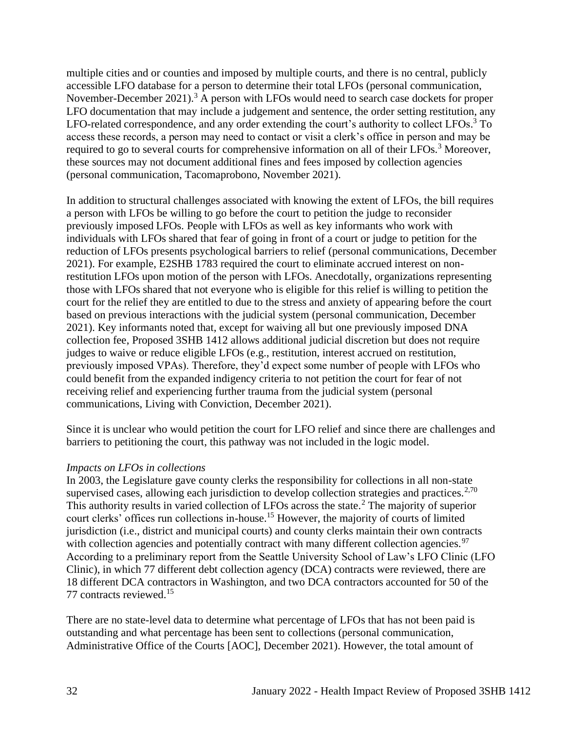multiple cities and or counties and imposed by multiple courts, and there is no central, publicly accessible LFO database for a person to determine their total LFOs (personal communication, November-December 2021).<sup>3</sup> A person with LFOs would need to search case dockets for proper LFO documentation that may include a judgement and sentence, the order setting restitution, any LFO-related correspondence, and any order extending the court's authority to collect LFOs.<sup>3</sup> To access these records, a person may need to contact or visit a clerk's office in person and may be required to go to several courts for comprehensive information on all of their LFOs.<sup>3</sup> Moreover, these sources may not document additional fines and fees imposed by collection agencies (personal communication, Tacomaprobono, November 2021).

In addition to structural challenges associated with knowing the extent of LFOs, the bill requires a person with LFOs be willing to go before the court to petition the judge to reconsider previously imposed LFOs. People with LFOs as well as key informants who work with individuals with LFOs shared that fear of going in front of a court or judge to petition for the reduction of LFOs presents psychological barriers to relief (personal communications, December 2021). For example, E2SHB 1783 required the court to eliminate accrued interest on nonrestitution LFOs upon motion of the person with LFOs. Anecdotally, organizations representing those with LFOs shared that not everyone who is eligible for this relief is willing to petition the court for the relief they are entitled to due to the stress and anxiety of appearing before the court based on previous interactions with the judicial system (personal communication, December 2021). Key informants noted that, except for waiving all but one previously imposed DNA collection fee, Proposed 3SHB 1412 allows additional judicial discretion but does not require judges to waive or reduce eligible LFOs (e.g., restitution, interest accrued on restitution, previously imposed VPAs). Therefore, they'd expect some number of people with LFOs who could benefit from the expanded indigency criteria to not petition the court for fear of not receiving relief and experiencing further trauma from the judicial system (personal communications, Living with Conviction, December 2021).

Since it is unclear who would petition the court for LFO relief and since there are challenges and barriers to petitioning the court, this pathway was not included in the logic model.

#### *Impacts on LFOs in collections*

In 2003, the Legislature gave county clerks the responsibility for collections in all non-state supervised cases, allowing each jurisdiction to develop collection strategies and practices.<sup>2,70</sup> This authority results in varied collection of LFOs across the state.<sup>2</sup> The majority of superior court clerks' offices run collections in-house.<sup>15</sup> However, the majority of courts of limited jurisdiction (i.e., district and municipal courts) and county clerks maintain their own contracts with collection agencies and potentially contract with many different collection agencies.<sup>97</sup> According to a preliminary report from the Seattle University School of Law's LFO Clinic (LFO Clinic), in which 77 different debt collection agency (DCA) contracts were reviewed, there are 18 different DCA contractors in Washington, and two DCA contractors accounted for 50 of the 77 contracts reviewed.<sup>15</sup>

There are no state-level data to determine what percentage of LFOs that has not been paid is outstanding and what percentage has been sent to collections (personal communication, Administrative Office of the Courts [AOC], December 2021). However, the total amount of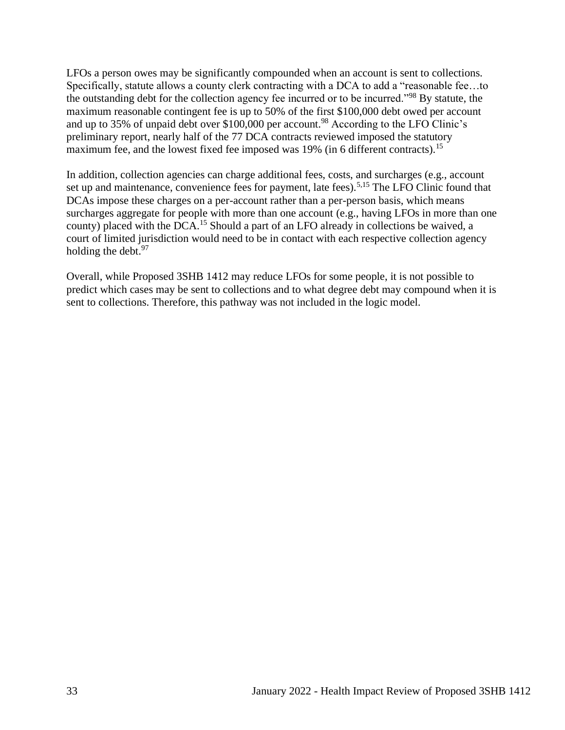LFOs a person owes may be significantly compounded when an account is sent to collections. Specifically, statute allows a county clerk contracting with a DCA to add a "reasonable fee…to the outstanding debt for the collection agency fee incurred or to be incurred."<sup>98</sup> By statute, the maximum reasonable contingent fee is up to 50% of the first \$100,000 debt owed per account and up to 35% of unpaid debt over \$100,000 per account.<sup>98</sup> According to the LFO Clinic's preliminary report, nearly half of the 77 DCA contracts reviewed imposed the statutory maximum fee, and the lowest fixed fee imposed was 19% (in 6 different contracts).<sup>15</sup>

In addition, collection agencies can charge additional fees, costs, and surcharges (e.g., account set up and maintenance, convenience fees for payment, late fees).<sup>5,15</sup> The LFO Clinic found that DCAs impose these charges on a per-account rather than a per-person basis, which means surcharges aggregate for people with more than one account (e.g., having LFOs in more than one county) placed with the DCA.<sup>15</sup> Should a part of an LFO already in collections be waived, a court of limited jurisdiction would need to be in contact with each respective collection agency holding the debt. $97$ 

Overall, while Proposed 3SHB 1412 may reduce LFOs for some people, it is not possible to predict which cases may be sent to collections and to what degree debt may compound when it is sent to collections. Therefore, this pathway was not included in the logic model.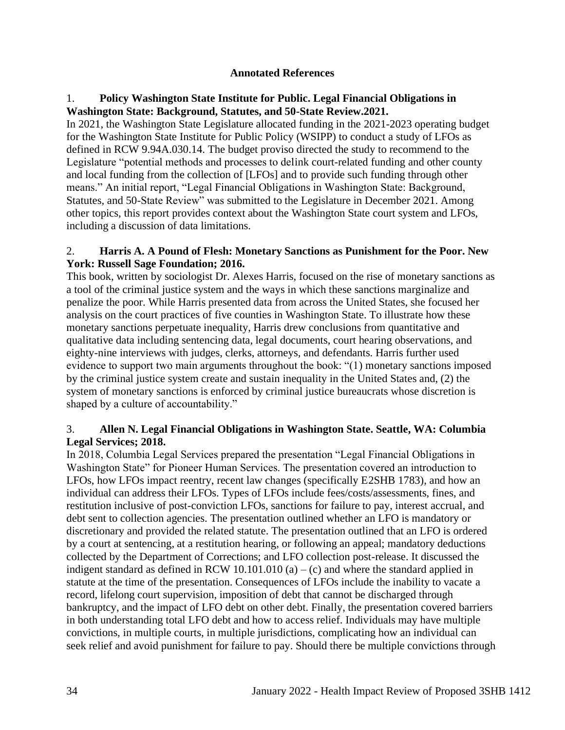#### **Annotated References**

## <span id="page-33-0"></span>1. **Policy Washington State Institute for Public. Legal Financial Obligations in Washington State: Background, Statutes, and 50-State Review.2021.**

In 2021, the Washington State Legislature allocated funding in the 2021-2023 operating budget for the Washington State Institute for Public Policy (WSIPP) to conduct a study of LFOs as defined in RCW 9.94A.030.14. The budget proviso directed the study to recommend to the Legislature "potential methods and processes to delink court-related funding and other county and local funding from the collection of [LFOs] and to provide such funding through other means." An initial report, "Legal Financial Obligations in Washington State: Background, Statutes, and 50-State Review" was submitted to the Legislature in December 2021. Among other topics, this report provides context about the Washington State court system and LFOs, including a discussion of data limitations.

#### 2. **Harris A. A Pound of Flesh: Monetary Sanctions as Punishment for the Poor. New York: Russell Sage Foundation; 2016.**

This book, written by sociologist Dr. Alexes Harris, focused on the rise of monetary sanctions as a tool of the criminal justice system and the ways in which these sanctions marginalize and penalize the poor. While Harris presented data from across the United States, she focused her analysis on the court practices of five counties in Washington State. To illustrate how these monetary sanctions perpetuate inequality, Harris drew conclusions from quantitative and qualitative data including sentencing data, legal documents, court hearing observations, and eighty-nine interviews with judges, clerks, attorneys, and defendants. Harris further used evidence to support two main arguments throughout the book: "(1) monetary sanctions imposed by the criminal justice system create and sustain inequality in the United States and, (2) the system of monetary sanctions is enforced by criminal justice bureaucrats whose discretion is shaped by a culture of accountability."

## 3. **Allen N. Legal Financial Obligations in Washington State. Seattle, WA: Columbia Legal Services; 2018.**

In 2018, Columbia Legal Services prepared the presentation "Legal Financial Obligations in Washington State" for Pioneer Human Services. The presentation covered an introduction to LFOs, how LFOs impact reentry, recent law changes (specifically E2SHB 1783), and how an individual can address their LFOs. Types of LFOs include fees/costs/assessments, fines, and restitution inclusive of post-conviction LFOs, sanctions for failure to pay, interest accrual, and debt sent to collection agencies. The presentation outlined whether an LFO is mandatory or discretionary and provided the related statute. The presentation outlined that an LFO is ordered by a court at sentencing, at a restitution hearing, or following an appeal; mandatory deductions collected by the Department of Corrections; and LFO collection post-release. It discussed the indigent standard as defined in RCW 10.101.010 (a) – (c) and where the standard applied in statute at the time of the presentation. Consequences of LFOs include the inability to vacate a record, lifelong court supervision, imposition of debt that cannot be discharged through bankruptcy, and the impact of LFO debt on other debt. Finally, the presentation covered barriers in both understanding total LFO debt and how to access relief. Individuals may have multiple convictions, in multiple courts, in multiple jurisdictions, complicating how an individual can seek relief and avoid punishment for failure to pay. Should there be multiple convictions through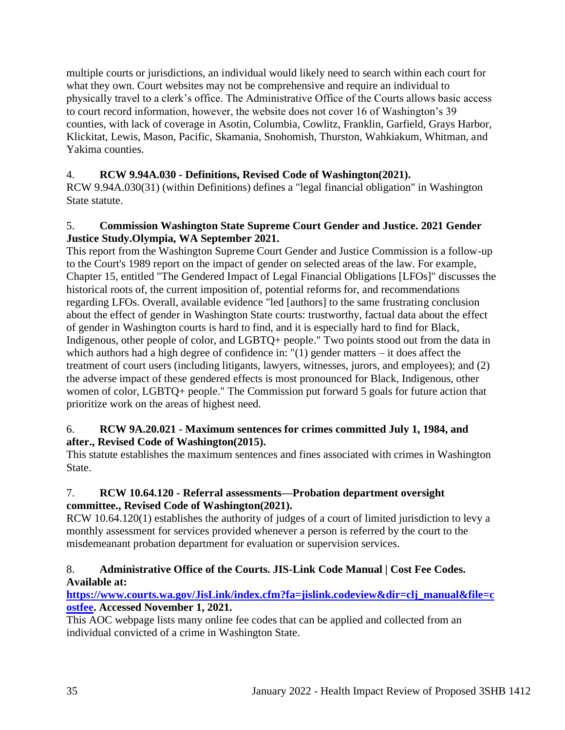multiple courts or jurisdictions, an individual would likely need to search within each court for what they own. Court websites may not be comprehensive and require an individual to physically travel to a clerk's office. The Administrative Office of the Courts allows basic access to court record information, however, the website does not cover 16 of Washington's 39 counties, with lack of coverage in Asotin, Columbia, Cowlitz, Franklin, Garfield, Grays Harbor, Klickitat, Lewis, Mason, Pacific, Skamania, Snohomish, Thurston, Wahkiakum, Whitman, and Yakima counties.

# 4. **RCW 9.94A.030 - Definitions, Revised Code of Washington(2021).**

RCW 9.94A.030(31) (within Definitions) defines a "legal financial obligation" in Washington State statute.

## 5. **Commission Washington State Supreme Court Gender and Justice. 2021 Gender Justice Study.Olympia, WA September 2021.**

This report from the Washington Supreme Court Gender and Justice Commission is a follow-up to the Court's 1989 report on the impact of gender on selected areas of the law. For example, Chapter 15, entitled "The Gendered Impact of Legal Financial Obligations [LFOs]" discusses the historical roots of, the current imposition of, potential reforms for, and recommendations regarding LFOs. Overall, available evidence "led [authors] to the same frustrating conclusion about the effect of gender in Washington State courts: trustworthy, factual data about the effect of gender in Washington courts is hard to find, and it is especially hard to find for Black, Indigenous, other people of color, and LGBTQ+ people." Two points stood out from the data in which authors had a high degree of confidence in: "(1) gender matters – it does affect the treatment of court users (including litigants, lawyers, witnesses, jurors, and employees); and (2) the adverse impact of these gendered effects is most pronounced for Black, Indigenous, other women of color, LGBTQ+ people." The Commission put forward 5 goals for future action that prioritize work on the areas of highest need.

## 6. **RCW 9A.20.021 - Maximum sentences for crimes committed July 1, 1984, and after., Revised Code of Washington(2015).**

This statute establishes the maximum sentences and fines associated with crimes in Washington State.

# 7. **RCW 10.64.120 - Referral assessments—Probation department oversight committee., Revised Code of Washington(2021).**

RCW 10.64.120(1) establishes the authority of judges of a court of limited jurisdiction to levy a monthly assessment for services provided whenever a person is referred by the court to the misdemeanant probation department for evaluation or supervision services.

# 8. **Administrative Office of the Courts. JIS-Link Code Manual | Cost Fee Codes. Available at:**

## **[https://www.courts.wa.gov/JisLink/index.cfm?fa=jislink.codeview&dir=clj\\_manual&file=c](https://www.courts.wa.gov/JisLink/index.cfm?fa=jislink.codeview&dir=clj_manual&file=costfee) [ostfee.](https://www.courts.wa.gov/JisLink/index.cfm?fa=jislink.codeview&dir=clj_manual&file=costfee) Accessed November 1, 2021.**

This AOC webpage lists many online fee codes that can be applied and collected from an individual convicted of a crime in Washington State.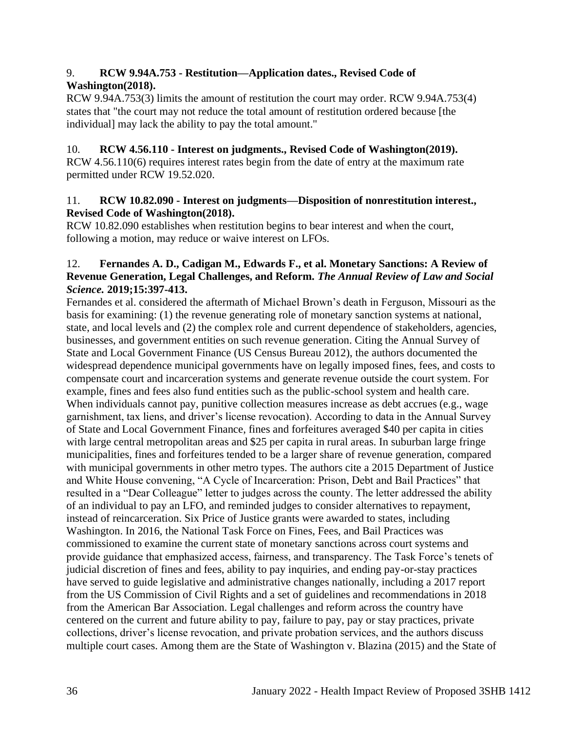## 9. **RCW 9.94A.753 - Restitution—Application dates., Revised Code of Washington(2018).**

RCW 9.94A.753(3) limits the amount of restitution the court may order. RCW 9.94A.753(4) states that "the court may not reduce the total amount of restitution ordered because [the individual] may lack the ability to pay the total amount."

# 10. **RCW 4.56.110 - Interest on judgments., Revised Code of Washington(2019).**

RCW 4.56.110(6) requires interest rates begin from the date of entry at the maximum rate permitted under RCW 19.52.020.

#### 11. **RCW 10.82.090 - Interest on judgments—Disposition of nonrestitution interest., Revised Code of Washington(2018).**

RCW 10.82.090 establishes when restitution begins to bear interest and when the court, following a motion, may reduce or waive interest on LFOs.

## 12. **Fernandes A. D., Cadigan M., Edwards F., et al. Monetary Sanctions: A Review of Revenue Generation, Legal Challenges, and Reform.** *The Annual Review of Law and Social Science.* **2019;15:397-413.**

Fernandes et al. considered the aftermath of Michael Brown's death in Ferguson, Missouri as the basis for examining: (1) the revenue generating role of monetary sanction systems at national, state, and local levels and (2) the complex role and current dependence of stakeholders, agencies, businesses, and government entities on such revenue generation. Citing the Annual Survey of State and Local Government Finance (US Census Bureau 2012), the authors documented the widespread dependence municipal governments have on legally imposed fines, fees, and costs to compensate court and incarceration systems and generate revenue outside the court system. For example, fines and fees also fund entities such as the public-school system and health care. When individuals cannot pay, punitive collection measures increase as debt accrues (e.g., wage garnishment, tax liens, and driver's license revocation). According to data in the Annual Survey of State and Local Government Finance, fines and forfeitures averaged \$40 per capita in cities with large central metropolitan areas and \$25 per capita in rural areas. In suburban large fringe municipalities, fines and forfeitures tended to be a larger share of revenue generation, compared with municipal governments in other metro types. The authors cite a 2015 Department of Justice and White House convening, "A Cycle of Incarceration: Prison, Debt and Bail Practices" that resulted in a "Dear Colleague" letter to judges across the county. The letter addressed the ability of an individual to pay an LFO, and reminded judges to consider alternatives to repayment, instead of reincarceration. Six Price of Justice grants were awarded to states, including Washington. In 2016, the National Task Force on Fines, Fees, and Bail Practices was commissioned to examine the current state of monetary sanctions across court systems and provide guidance that emphasized access, fairness, and transparency. The Task Force's tenets of judicial discretion of fines and fees, ability to pay inquiries, and ending pay-or-stay practices have served to guide legislative and administrative changes nationally, including a 2017 report from the US Commission of Civil Rights and a set of guidelines and recommendations in 2018 from the American Bar Association. Legal challenges and reform across the country have centered on the current and future ability to pay, failure to pay, pay or stay practices, private collections, driver's license revocation, and private probation services, and the authors discuss multiple court cases. Among them are the State of Washington v. Blazina (2015) and the State of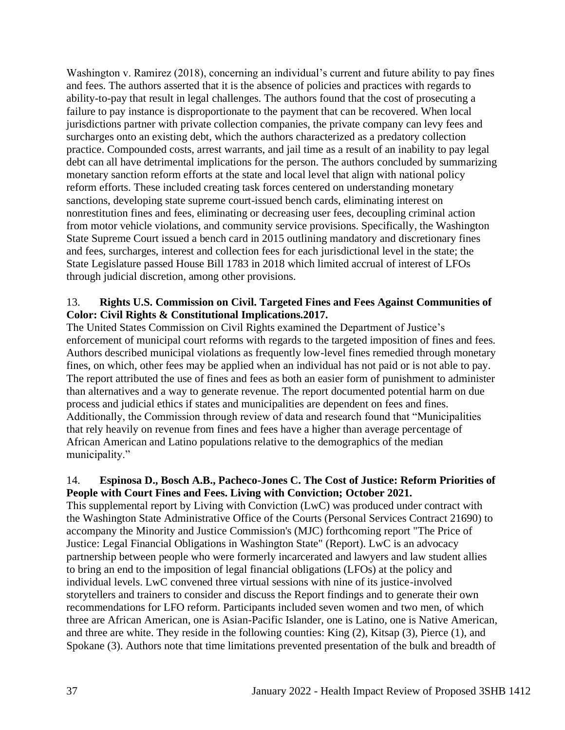Washington v. Ramirez (2018), concerning an individual's current and future ability to pay fines and fees. The authors asserted that it is the absence of policies and practices with regards to ability-to-pay that result in legal challenges. The authors found that the cost of prosecuting a failure to pay instance is disproportionate to the payment that can be recovered. When local jurisdictions partner with private collection companies, the private company can levy fees and surcharges onto an existing debt, which the authors characterized as a predatory collection practice. Compounded costs, arrest warrants, and jail time as a result of an inability to pay legal debt can all have detrimental implications for the person. The authors concluded by summarizing monetary sanction reform efforts at the state and local level that align with national policy reform efforts. These included creating task forces centered on understanding monetary sanctions, developing state supreme court-issued bench cards, eliminating interest on nonrestitution fines and fees, eliminating or decreasing user fees, decoupling criminal action from motor vehicle violations, and community service provisions. Specifically, the Washington State Supreme Court issued a bench card in 2015 outlining mandatory and discretionary fines and fees, surcharges, interest and collection fees for each jurisdictional level in the state; the State Legislature passed House Bill 1783 in 2018 which limited accrual of interest of LFOs through judicial discretion, among other provisions.

## 13. **Rights U.S. Commission on Civil. Targeted Fines and Fees Against Communities of Color: Civil Rights & Constitutional Implications.2017.**

The United States Commission on Civil Rights examined the Department of Justice's enforcement of municipal court reforms with regards to the targeted imposition of fines and fees. Authors described municipal violations as frequently low-level fines remedied through monetary fines, on which, other fees may be applied when an individual has not paid or is not able to pay. The report attributed the use of fines and fees as both an easier form of punishment to administer than alternatives and a way to generate revenue. The report documented potential harm on due process and judicial ethics if states and municipalities are dependent on fees and fines. Additionally, the Commission through review of data and research found that "Municipalities that rely heavily on revenue from fines and fees have a higher than average percentage of African American and Latino populations relative to the demographics of the median municipality."

## 14. **Espinosa D., Bosch A.B., Pacheco-Jones C. The Cost of Justice: Reform Priorities of People with Court Fines and Fees. Living with Conviction; October 2021.**

This supplemental report by Living with Conviction (LwC) was produced under contract with the Washington State Administrative Office of the Courts (Personal Services Contract 21690) to accompany the Minority and Justice Commission's (MJC) forthcoming report "The Price of Justice: Legal Financial Obligations in Washington State" (Report). LwC is an advocacy partnership between people who were formerly incarcerated and lawyers and law student allies to bring an end to the imposition of legal financial obligations (LFOs) at the policy and individual levels. LwC convened three virtual sessions with nine of its justice-involved storytellers and trainers to consider and discuss the Report findings and to generate their own recommendations for LFO reform. Participants included seven women and two men, of which three are African American, one is Asian-Pacific Islander, one is Latino, one is Native American, and three are white. They reside in the following counties: King (2), Kitsap (3), Pierce (1), and Spokane (3). Authors note that time limitations prevented presentation of the bulk and breadth of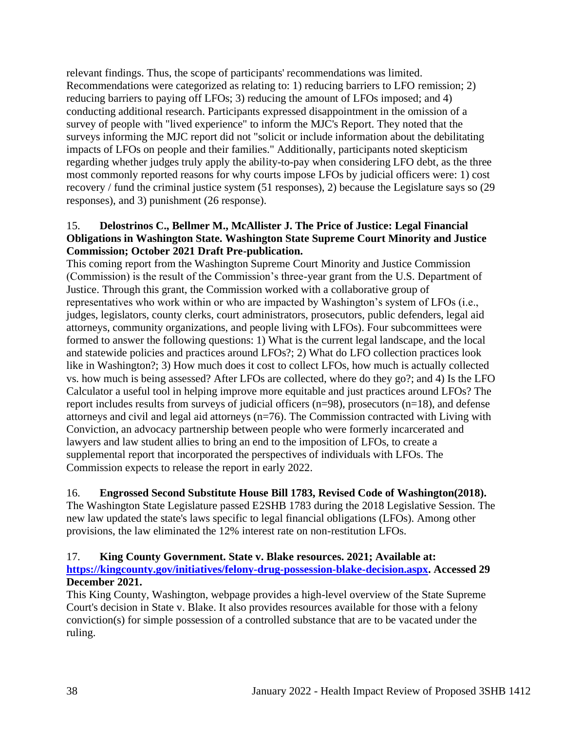relevant findings. Thus, the scope of participants' recommendations was limited. Recommendations were categorized as relating to: 1) reducing barriers to LFO remission; 2) reducing barriers to paying off LFOs; 3) reducing the amount of LFOs imposed; and 4) conducting additional research. Participants expressed disappointment in the omission of a survey of people with "lived experience" to inform the MJC's Report. They noted that the surveys informing the MJC report did not "solicit or include information about the debilitating impacts of LFOs on people and their families." Additionally, participants noted skepticism regarding whether judges truly apply the ability-to-pay when considering LFO debt, as the three most commonly reported reasons for why courts impose LFOs by judicial officers were: 1) cost recovery / fund the criminal justice system (51 responses), 2) because the Legislature says so (29 responses), and 3) punishment (26 response).

## 15. **Delostrinos C., Bellmer M., McAllister J. The Price of Justice: Legal Financial Obligations in Washington State. Washington State Supreme Court Minority and Justice Commission; October 2021 Draft Pre-publication.**

This coming report from the Washington Supreme Court Minority and Justice Commission (Commission) is the result of the Commission's three-year grant from the U.S. Department of Justice. Through this grant, the Commission worked with a collaborative group of representatives who work within or who are impacted by Washington's system of LFOs (i.e., judges, legislators, county clerks, court administrators, prosecutors, public defenders, legal aid attorneys, community organizations, and people living with LFOs). Four subcommittees were formed to answer the following questions: 1) What is the current legal landscape, and the local and statewide policies and practices around LFOs?; 2) What do LFO collection practices look like in Washington?; 3) How much does it cost to collect LFOs, how much is actually collected vs. how much is being assessed? After LFOs are collected, where do they go?; and 4) Is the LFO Calculator a useful tool in helping improve more equitable and just practices around LFOs? The report includes results from surveys of judicial officers (n=98), prosecutors (n=18), and defense attorneys and civil and legal aid attorneys (n=76). The Commission contracted with Living with Conviction, an advocacy partnership between people who were formerly incarcerated and lawyers and law student allies to bring an end to the imposition of LFOs, to create a supplemental report that incorporated the perspectives of individuals with LFOs. The Commission expects to release the report in early 2022.

# 16. **Engrossed Second Substitute House Bill 1783, Revised Code of Washington(2018).**

The Washington State Legislature passed E2SHB 1783 during the 2018 Legislative Session. The new law updated the state's laws specific to legal financial obligations (LFOs). Among other provisions, the law eliminated the 12% interest rate on non-restitution LFOs.

## 17. **King County Government. State v. Blake resources. 2021; Available at:**

## **[https://kingcounty.gov/initiatives/felony-drug-possession-blake-decision.aspx.](https://kingcounty.gov/initiatives/felony-drug-possession-blake-decision.aspx) Accessed 29 December 2021.**

This King County, Washington, webpage provides a high-level overview of the State Supreme Court's decision in State v. Blake. It also provides resources available for those with a felony conviction(s) for simple possession of a controlled substance that are to be vacated under the ruling.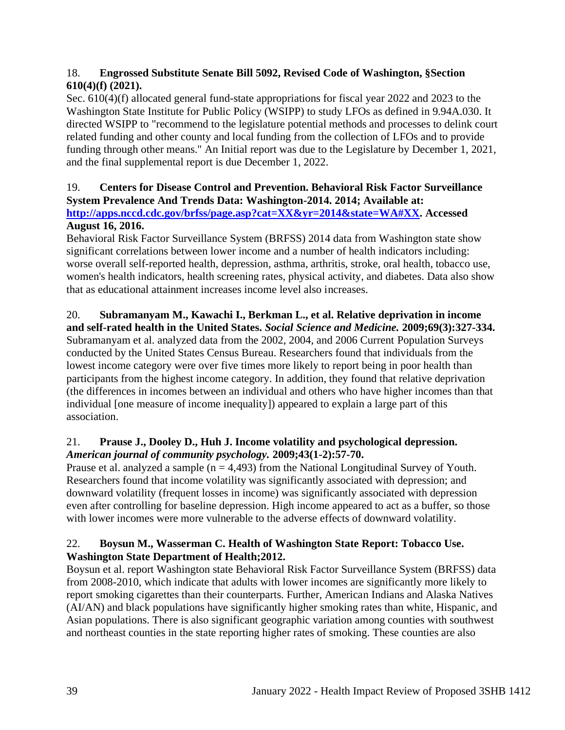## 18. **Engrossed Substitute Senate Bill 5092, Revised Code of Washington, §Section 610(4)(f) (2021).**

Sec. 610(4)(f) allocated general fund-state appropriations for fiscal year 2022 and 2023 to the Washington State Institute for Public Policy (WSIPP) to study LFOs as defined in 9.94A.030. It directed WSIPP to "recommend to the legislature potential methods and processes to delink court related funding and other county and local funding from the collection of LFOs and to provide funding through other means." An Initial report was due to the Legislature by December 1, 2021, and the final supplemental report is due December 1, 2022.

# 19. **Centers for Disease Control and Prevention. Behavioral Risk Factor Surveillance System Prevalence And Trends Data: Washington-2014. 2014; Available at: [http://apps.nccd.cdc.gov/brfss/page.asp?cat=XX&yr=2014&state=WA#XX.](http://apps.nccd.cdc.gov/brfss/page.asp?cat=XX&yr=2014&state=WA#XX) Accessed**

# **August 16, 2016.**

Behavioral Risk Factor Surveillance System (BRFSS) 2014 data from Washington state show significant correlations between lower income and a number of health indicators including: worse overall self-reported health, depression, asthma, arthritis, stroke, oral health, tobacco use, women's health indicators, health screening rates, physical activity, and diabetes. Data also show that as educational attainment increases income level also increases.

# 20. **Subramanyam M., Kawachi I., Berkman L., et al. Relative deprivation in income**

**and self-rated health in the United States.** *Social Science and Medicine.* **2009;69(3):327-334.** Subramanyam et al. analyzed data from the 2002, 2004, and 2006 Current Population Surveys conducted by the United States Census Bureau. Researchers found that individuals from the lowest income category were over five times more likely to report being in poor health than participants from the highest income category. In addition, they found that relative deprivation (the differences in incomes between an individual and others who have higher incomes than that individual [one measure of income inequality]) appeared to explain a large part of this association.

## 21. **Prause J., Dooley D., Huh J. Income volatility and psychological depression.**  *American journal of community psychology.* **2009;43(1-2):57-70.**

Prause et al. analyzed a sample  $(n = 4.493)$  from the National Longitudinal Survey of Youth. Researchers found that income volatility was significantly associated with depression; and downward volatility (frequent losses in income) was significantly associated with depression even after controlling for baseline depression. High income appeared to act as a buffer, so those with lower incomes were more vulnerable to the adverse effects of downward volatility.

## 22. **Boysun M., Wasserman C. Health of Washington State Report: Tobacco Use. Washington State Department of Health;2012.**

Boysun et al. report Washington state Behavioral Risk Factor Surveillance System (BRFSS) data from 2008-2010, which indicate that adults with lower incomes are significantly more likely to report smoking cigarettes than their counterparts. Further, American Indians and Alaska Natives (AI/AN) and black populations have significantly higher smoking rates than white, Hispanic, and Asian populations. There is also significant geographic variation among counties with southwest and northeast counties in the state reporting higher rates of smoking. These counties are also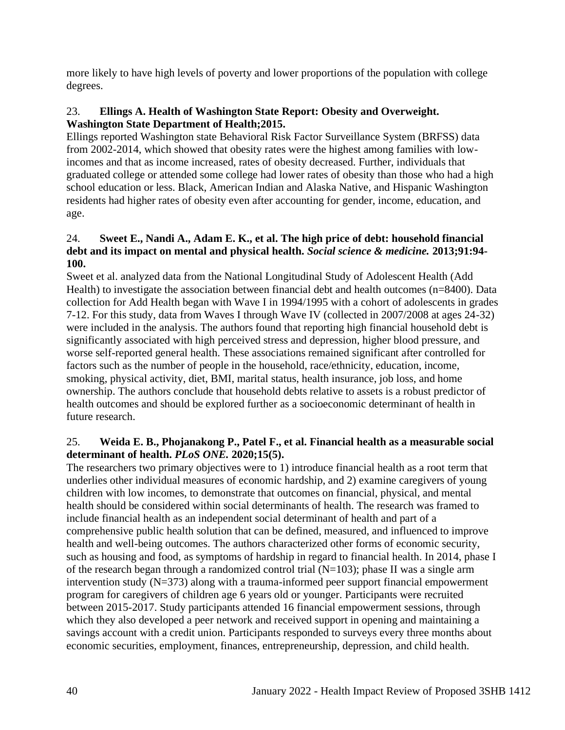more likely to have high levels of poverty and lower proportions of the population with college degrees.

## 23. **Ellings A. Health of Washington State Report: Obesity and Overweight. Washington State Department of Health;2015.**

Ellings reported Washington state Behavioral Risk Factor Surveillance System (BRFSS) data from 2002-2014, which showed that obesity rates were the highest among families with lowincomes and that as income increased, rates of obesity decreased. Further, individuals that graduated college or attended some college had lower rates of obesity than those who had a high school education or less. Black, American Indian and Alaska Native, and Hispanic Washington residents had higher rates of obesity even after accounting for gender, income, education, and age.

## 24. **Sweet E., Nandi A., Adam E. K., et al. The high price of debt: household financial debt and its impact on mental and physical health.** *Social science & medicine.* **2013;91:94- 100.**

Sweet et al. analyzed data from the National Longitudinal Study of Adolescent Health (Add Health) to investigate the association between financial debt and health outcomes (n=8400). Data collection for Add Health began with Wave I in 1994/1995 with a cohort of adolescents in grades 7-12. For this study, data from Waves I through Wave IV (collected in 2007/2008 at ages 24-32) were included in the analysis. The authors found that reporting high financial household debt is significantly associated with high perceived stress and depression, higher blood pressure, and worse self-reported general health. These associations remained significant after controlled for factors such as the number of people in the household, race/ethnicity, education, income, smoking, physical activity, diet, BMI, marital status, health insurance, job loss, and home ownership. The authors conclude that household debts relative to assets is a robust predictor of health outcomes and should be explored further as a socioeconomic determinant of health in future research.

## 25. **Weida E. B., Phojanakong P., Patel F., et al. Financial health as a measurable social determinant of health.** *PLoS ONE.* **2020;15(5).**

The researchers two primary objectives were to 1) introduce financial health as a root term that underlies other individual measures of economic hardship, and 2) examine caregivers of young children with low incomes, to demonstrate that outcomes on financial, physical, and mental health should be considered within social determinants of health. The research was framed to include financial health as an independent social determinant of health and part of a comprehensive public health solution that can be defined, measured, and influenced to improve health and well-being outcomes. The authors characterized other forms of economic security, such as housing and food, as symptoms of hardship in regard to financial health. In 2014, phase I of the research began through a randomized control trial  $(N=103)$ ; phase II was a single arm intervention study (N=373) along with a trauma-informed peer support financial empowerment program for caregivers of children age 6 years old or younger. Participants were recruited between 2015-2017. Study participants attended 16 financial empowerment sessions, through which they also developed a peer network and received support in opening and maintaining a savings account with a credit union. Participants responded to surveys every three months about economic securities, employment, finances, entrepreneurship, depression, and child health.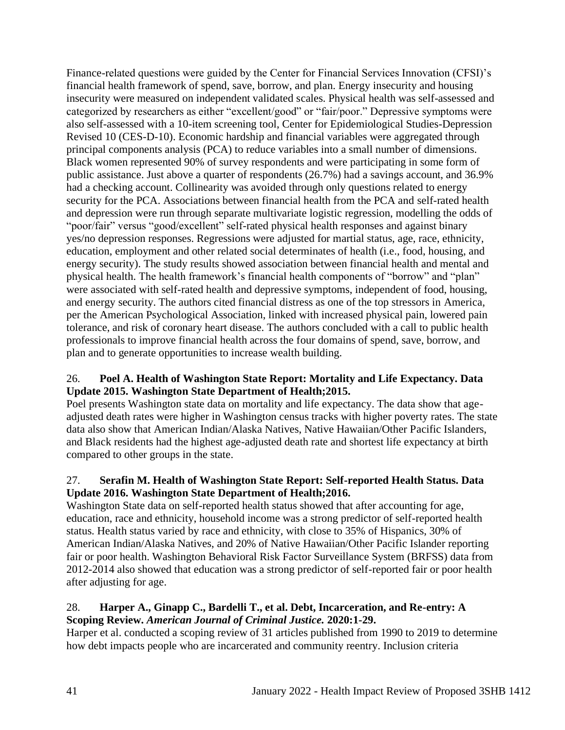Finance-related questions were guided by the Center for Financial Services Innovation (CFSI)'s financial health framework of spend, save, borrow, and plan. Energy insecurity and housing insecurity were measured on independent validated scales. Physical health was self-assessed and categorized by researchers as either "excellent/good" or "fair/poor." Depressive symptoms were also self-assessed with a 10-item screening tool, Center for Epidemiological Studies-Depression Revised 10 (CES-D-10). Economic hardship and financial variables were aggregated through principal components analysis (PCA) to reduce variables into a small number of dimensions. Black women represented 90% of survey respondents and were participating in some form of public assistance. Just above a quarter of respondents (26.7%) had a savings account, and 36.9% had a checking account. Collinearity was avoided through only questions related to energy security for the PCA. Associations between financial health from the PCA and self-rated health and depression were run through separate multivariate logistic regression, modelling the odds of "poor/fair" versus "good/excellent" self-rated physical health responses and against binary yes/no depression responses. Regressions were adjusted for martial status, age, race, ethnicity, education, employment and other related social determinates of health (i.e., food, housing, and energy security). The study results showed association between financial health and mental and physical health. The health framework's financial health components of "borrow" and "plan" were associated with self-rated health and depressive symptoms, independent of food, housing, and energy security. The authors cited financial distress as one of the top stressors in America, per the American Psychological Association, linked with increased physical pain, lowered pain tolerance, and risk of coronary heart disease. The authors concluded with a call to public health professionals to improve financial health across the four domains of spend, save, borrow, and plan and to generate opportunities to increase wealth building.

## 26. **Poel A. Health of Washington State Report: Mortality and Life Expectancy. Data Update 2015. Washington State Department of Health;2015.**

Poel presents Washington state data on mortality and life expectancy. The data show that ageadjusted death rates were higher in Washington census tracks with higher poverty rates. The state data also show that American Indian/Alaska Natives, Native Hawaiian/Other Pacific Islanders, and Black residents had the highest age-adjusted death rate and shortest life expectancy at birth compared to other groups in the state.

## 27. **Serafin M. Health of Washington State Report: Self-reported Health Status. Data Update 2016. Washington State Department of Health;2016.**

Washington State data on self-reported health status showed that after accounting for age, education, race and ethnicity, household income was a strong predictor of self-reported health status. Health status varied by race and ethnicity, with close to 35% of Hispanics, 30% of American Indian/Alaska Natives, and 20% of Native Hawaiian/Other Pacific Islander reporting fair or poor health. Washington Behavioral Risk Factor Surveillance System (BRFSS) data from 2012-2014 also showed that education was a strong predictor of self-reported fair or poor health after adjusting for age.

# 28. **Harper A., Ginapp C., Bardelli T., et al. Debt, Incarceration, and Re-entry: A Scoping Review.** *American Journal of Criminal Justice.* **2020:1-29.**

Harper et al. conducted a scoping review of 31 articles published from 1990 to 2019 to determine how debt impacts people who are incarcerated and community reentry. Inclusion criteria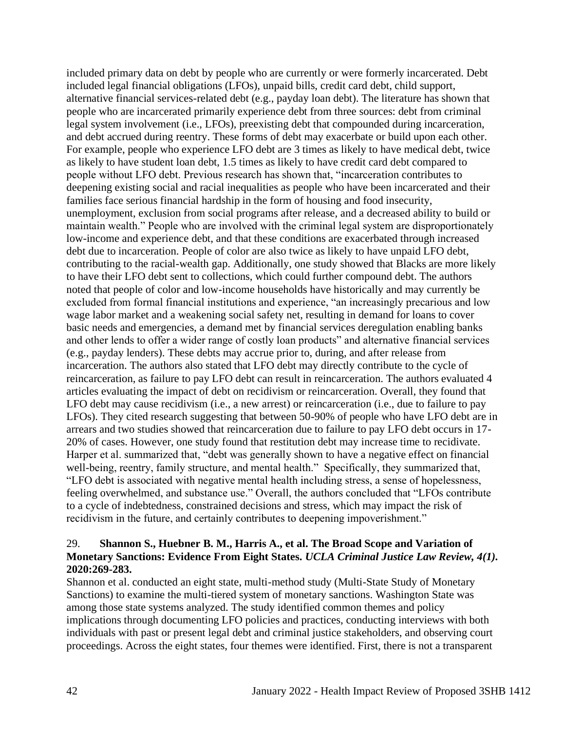included primary data on debt by people who are currently or were formerly incarcerated. Debt included legal financial obligations (LFOs), unpaid bills, credit card debt, child support, alternative financial services-related debt (e.g., payday loan debt). The literature has shown that people who are incarcerated primarily experience debt from three sources: debt from criminal legal system involvement (i.e., LFOs), preexisting debt that compounded during incarceration, and debt accrued during reentry. These forms of debt may exacerbate or build upon each other. For example, people who experience LFO debt are 3 times as likely to have medical debt, twice as likely to have student loan debt, 1.5 times as likely to have credit card debt compared to people without LFO debt. Previous research has shown that, "incarceration contributes to deepening existing social and racial inequalities as people who have been incarcerated and their families face serious financial hardship in the form of housing and food insecurity, unemployment, exclusion from social programs after release, and a decreased ability to build or maintain wealth." People who are involved with the criminal legal system are disproportionately low-income and experience debt, and that these conditions are exacerbated through increased debt due to incarceration. People of color are also twice as likely to have unpaid LFO debt, contributing to the racial-wealth gap. Additionally, one study showed that Blacks are more likely to have their LFO debt sent to collections, which could further compound debt. The authors noted that people of color and low-income households have historically and may currently be excluded from formal financial institutions and experience, "an increasingly precarious and low wage labor market and a weakening social safety net, resulting in demand for loans to cover basic needs and emergencies, a demand met by financial services deregulation enabling banks and other lends to offer a wider range of costly loan products" and alternative financial services (e.g., payday lenders). These debts may accrue prior to, during, and after release from incarceration. The authors also stated that LFO debt may directly contribute to the cycle of reincarceration, as failure to pay LFO debt can result in reincarceration. The authors evaluated 4 articles evaluating the impact of debt on recidivism or reincarceration. Overall, they found that LFO debt may cause recidivism (i.e., a new arrest) or reincarceration (i.e., due to failure to pay LFOs). They cited research suggesting that between 50-90% of people who have LFO debt are in arrears and two studies showed that reincarceration due to failure to pay LFO debt occurs in 17- 20% of cases. However, one study found that restitution debt may increase time to recidivate. Harper et al. summarized that, "debt was generally shown to have a negative effect on financial well-being, reentry, family structure, and mental health." Specifically, they summarized that, "LFO debt is associated with negative mental health including stress, a sense of hopelessness, feeling overwhelmed, and substance use." Overall, the authors concluded that "LFOs contribute to a cycle of indebtedness, constrained decisions and stress, which may impact the risk of recidivism in the future, and certainly contributes to deepening impoverishment."

## 29. **Shannon S., Huebner B. M., Harris A., et al. The Broad Scope and Variation of Monetary Sanctions: Evidence From Eight States.** *UCLA Criminal Justice Law Review, 4(1).*  **2020:269-283.**

Shannon et al. conducted an eight state, multi-method study (Multi-State Study of Monetary Sanctions) to examine the multi-tiered system of monetary sanctions. Washington State was among those state systems analyzed. The study identified common themes and policy implications through documenting LFO policies and practices, conducting interviews with both individuals with past or present legal debt and criminal justice stakeholders, and observing court proceedings. Across the eight states, four themes were identified. First, there is not a transparent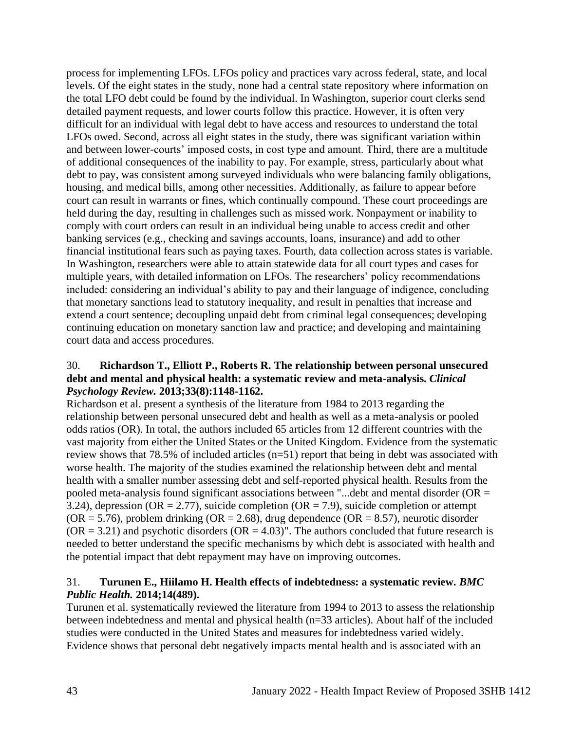process for implementing LFOs. LFOs policy and practices vary across federal, state, and local levels. Of the eight states in the study, none had a central state repository where information on the total LFO debt could be found by the individual. In Washington, superior court clerks send detailed payment requests, and lower courts follow this practice. However, it is often very difficult for an individual with legal debt to have access and resources to understand the total LFOs owed. Second, across all eight states in the study, there was significant variation within and between lower-courts' imposed costs, in cost type and amount. Third, there are a multitude of additional consequences of the inability to pay. For example, stress, particularly about what debt to pay, was consistent among surveyed individuals who were balancing family obligations, housing, and medical bills, among other necessities. Additionally, as failure to appear before court can result in warrants or fines, which continually compound. These court proceedings are held during the day, resulting in challenges such as missed work. Nonpayment or inability to comply with court orders can result in an individual being unable to access credit and other banking services (e.g., checking and savings accounts, loans, insurance) and add to other financial institutional fears such as paying taxes. Fourth, data collection across states is variable. In Washington, researchers were able to attain statewide data for all court types and cases for multiple years, with detailed information on LFOs. The researchers' policy recommendations included: considering an individual's ability to pay and their language of indigence, concluding that monetary sanctions lead to statutory inequality, and result in penalties that increase and extend a court sentence; decoupling unpaid debt from criminal legal consequences; developing continuing education on monetary sanction law and practice; and developing and maintaining court data and access procedures.

#### 30. **Richardson T., Elliott P., Roberts R. The relationship between personal unsecured debt and mental and physical health: a systematic review and meta-analysis.** *Clinical Psychology Review.* **2013;33(8):1148-1162.**

Richardson et al. present a synthesis of the literature from 1984 to 2013 regarding the relationship between personal unsecured debt and health as well as a meta-analysis or pooled odds ratios (OR). In total, the authors included 65 articles from 12 different countries with the vast majority from either the United States or the United Kingdom. Evidence from the systematic review shows that 78.5% of included articles (n=51) report that being in debt was associated with worse health. The majority of the studies examined the relationship between debt and mental health with a smaller number assessing debt and self-reported physical health. Results from the pooled meta-analysis found significant associations between "...debt and mental disorder ( $OR =$ 3.24), depression (OR = 2.77), suicide completion (OR = 7.9), suicide completion or attempt  $(OR = 5.76)$ , problem drinking  $(OR = 2.68)$ , drug dependence  $(OR = 8.57)$ , neurotic disorder  $(OR = 3.21)$  and psychotic disorders  $(OR = 4.03)$ ". The authors concluded that future research is needed to better understand the specific mechanisms by which debt is associated with health and the potential impact that debt repayment may have on improving outcomes.

## 31. **Turunen E., Hiilamo H. Health effects of indebtedness: a systematic review.** *BMC Public Health.* **2014;14(489).**

Turunen et al. systematically reviewed the literature from 1994 to 2013 to assess the relationship between indebtedness and mental and physical health (n=33 articles). About half of the included studies were conducted in the United States and measures for indebtedness varied widely. Evidence shows that personal debt negatively impacts mental health and is associated with an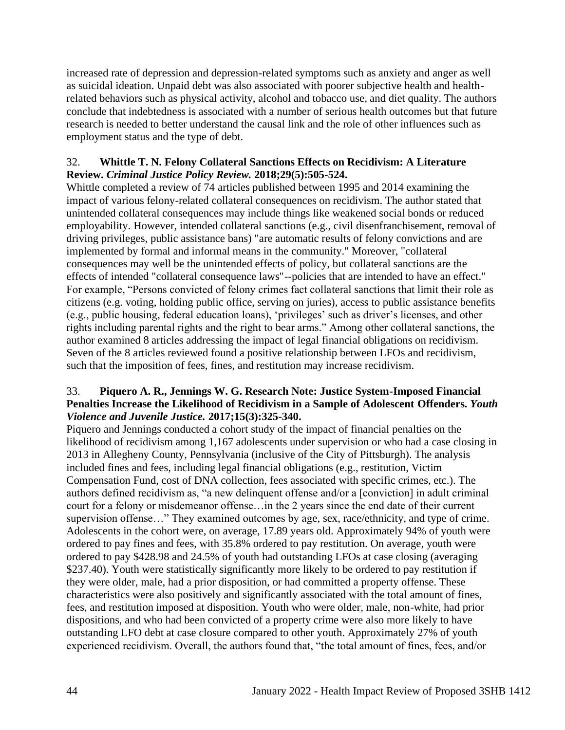increased rate of depression and depression-related symptoms such as anxiety and anger as well as suicidal ideation. Unpaid debt was also associated with poorer subjective health and healthrelated behaviors such as physical activity, alcohol and tobacco use, and diet quality. The authors conclude that indebtedness is associated with a number of serious health outcomes but that future research is needed to better understand the causal link and the role of other influences such as employment status and the type of debt.

## 32. **Whittle T. N. Felony Collateral Sanctions Effects on Recidivism: A Literature Review.** *Criminal Justice Policy Review.* **2018;29(5):505-524.**

Whittle completed a review of 74 articles published between 1995 and 2014 examining the impact of various felony-related collateral consequences on recidivism. The author stated that unintended collateral consequences may include things like weakened social bonds or reduced employability. However, intended collateral sanctions (e.g., civil disenfranchisement, removal of driving privileges, public assistance bans) "are automatic results of felony convictions and are implemented by formal and informal means in the community." Moreover, "collateral consequences may well be the unintended effects of policy, but collateral sanctions are the effects of intended "collateral consequence laws"--policies that are intended to have an effect." For example, "Persons convicted of felony crimes fact collateral sanctions that limit their role as citizens (e.g. voting, holding public office, serving on juries), access to public assistance benefits (e.g., public housing, federal education loans), 'privileges' such as driver's licenses, and other rights including parental rights and the right to bear arms." Among other collateral sanctions, the author examined 8 articles addressing the impact of legal financial obligations on recidivism. Seven of the 8 articles reviewed found a positive relationship between LFOs and recidivism, such that the imposition of fees, fines, and restitution may increase recidivism.

## 33. **Piquero A. R., Jennings W. G. Research Note: Justice System-Imposed Financial Penalties Increase the Likelihood of Recidivism in a Sample of Adolescent Offenders.** *Youth Violence and Juvenile Justice.* **2017;15(3):325-340.**

Piquero and Jennings conducted a cohort study of the impact of financial penalties on the likelihood of recidivism among 1,167 adolescents under supervision or who had a case closing in 2013 in Allegheny County, Pennsylvania (inclusive of the City of Pittsburgh). The analysis included fines and fees, including legal financial obligations (e.g., restitution, Victim Compensation Fund, cost of DNA collection, fees associated with specific crimes, etc.). The authors defined recidivism as, "a new delinquent offense and/or a [conviction] in adult criminal court for a felony or misdemeanor offense…in the 2 years since the end date of their current supervision offense…" They examined outcomes by age, sex, race/ethnicity, and type of crime. Adolescents in the cohort were, on average, 17.89 years old. Approximately 94% of youth were ordered to pay fines and fees, with 35.8% ordered to pay restitution. On average, youth were ordered to pay \$428.98 and 24.5% of youth had outstanding LFOs at case closing (averaging \$237.40). Youth were statistically significantly more likely to be ordered to pay restitution if they were older, male, had a prior disposition, or had committed a property offense. These characteristics were also positively and significantly associated with the total amount of fines, fees, and restitution imposed at disposition. Youth who were older, male, non-white, had prior dispositions, and who had been convicted of a property crime were also more likely to have outstanding LFO debt at case closure compared to other youth. Approximately 27% of youth experienced recidivism. Overall, the authors found that, "the total amount of fines, fees, and/or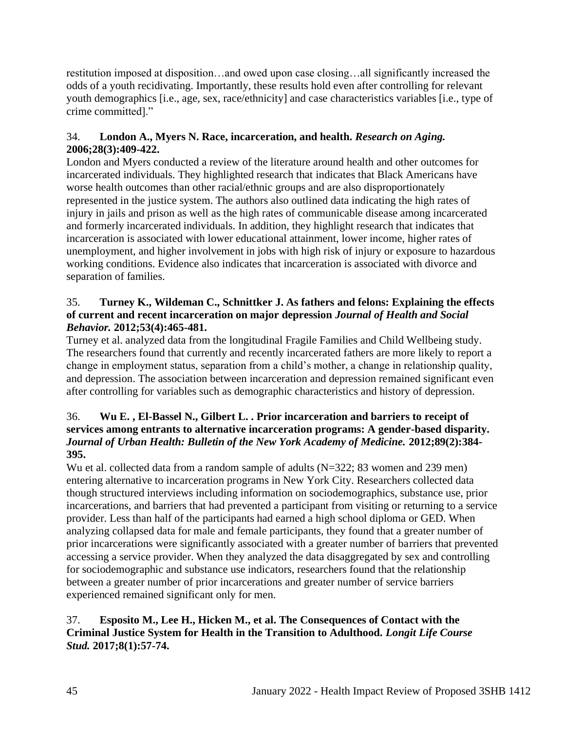restitution imposed at disposition…and owed upon case closing…all significantly increased the odds of a youth recidivating. Importantly, these results hold even after controlling for relevant youth demographics [i.e., age, sex, race/ethnicity] and case characteristics variables [i.e., type of crime committed]."

## 34. **London A., Myers N. Race, incarceration, and health.** *Research on Aging.*  **2006;28(3):409-422.**

London and Myers conducted a review of the literature around health and other outcomes for incarcerated individuals. They highlighted research that indicates that Black Americans have worse health outcomes than other racial/ethnic groups and are also disproportionately represented in the justice system. The authors also outlined data indicating the high rates of injury in jails and prison as well as the high rates of communicable disease among incarcerated and formerly incarcerated individuals. In addition, they highlight research that indicates that incarceration is associated with lower educational attainment, lower income, higher rates of unemployment, and higher involvement in jobs with high risk of injury or exposure to hazardous working conditions. Evidence also indicates that incarceration is associated with divorce and separation of families.

## 35. **Turney K., Wildeman C., Schnittker J. As fathers and felons: Explaining the effects of current and recent incarceration on major depression** *Journal of Health and Social Behavior.* **2012;53(4):465-481.**

Turney et al. analyzed data from the longitudinal Fragile Families and Child Wellbeing study. The researchers found that currently and recently incarcerated fathers are more likely to report a change in employment status, separation from a child's mother, a change in relationship quality, and depression. The association between incarceration and depression remained significant even after controlling for variables such as demographic characteristics and history of depression.

## 36. **Wu E. , El-Bassel N., Gilbert L. . Prior incarceration and barriers to receipt of services among entrants to alternative incarceration programs: A gender-based disparity.**  *Journal of Urban Health: Bulletin of the New York Academy of Medicine.* **2012;89(2):384- 395.**

Wu et al. collected data from a random sample of adults (N=322; 83 women and 239 men) entering alternative to incarceration programs in New York City. Researchers collected data though structured interviews including information on sociodemographics, substance use, prior incarcerations, and barriers that had prevented a participant from visiting or returning to a service provider. Less than half of the participants had earned a high school diploma or GED. When analyzing collapsed data for male and female participants, they found that a greater number of prior incarcerations were significantly associated with a greater number of barriers that prevented accessing a service provider. When they analyzed the data disaggregated by sex and controlling for sociodemographic and substance use indicators, researchers found that the relationship between a greater number of prior incarcerations and greater number of service barriers experienced remained significant only for men.

# 37. **Esposito M., Lee H., Hicken M., et al. The Consequences of Contact with the Criminal Justice System for Health in the Transition to Adulthood.** *Longit Life Course Stud.* **2017;8(1):57-74.**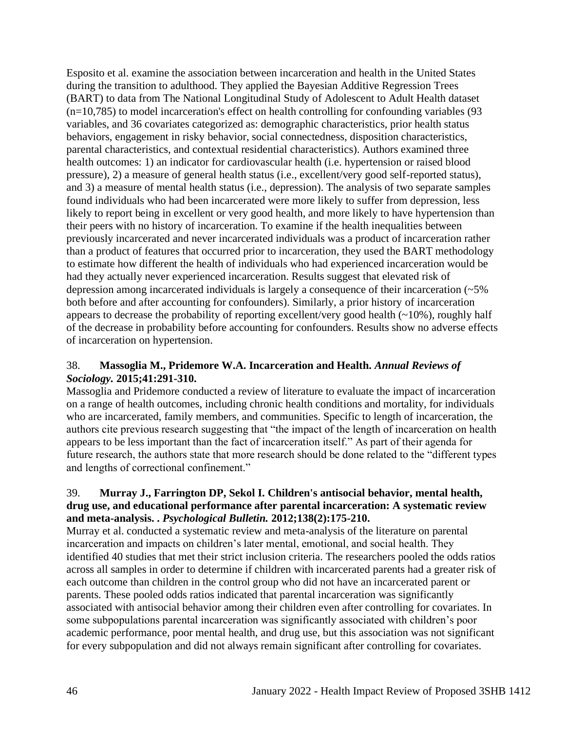Esposito et al. examine the association between incarceration and health in the United States during the transition to adulthood. They applied the Bayesian Additive Regression Trees (BART) to data from The National Longitudinal Study of Adolescent to Adult Health dataset (n=10,785) to model incarceration's effect on health controlling for confounding variables (93 variables, and 36 covariates categorized as: demographic characteristics, prior health status behaviors, engagement in risky behavior, social connectedness, disposition characteristics, parental characteristics, and contextual residential characteristics). Authors examined three health outcomes: 1) an indicator for cardiovascular health (i.e. hypertension or raised blood pressure), 2) a measure of general health status (i.e., excellent/very good self-reported status), and 3) a measure of mental health status (i.e., depression). The analysis of two separate samples found individuals who had been incarcerated were more likely to suffer from depression, less likely to report being in excellent or very good health, and more likely to have hypertension than their peers with no history of incarceration. To examine if the health inequalities between previously incarcerated and never incarcerated individuals was a product of incarceration rather than a product of features that occurred prior to incarceration, they used the BART methodology to estimate how different the health of individuals who had experienced incarceration would be had they actually never experienced incarceration. Results suggest that elevated risk of depression among incarcerated individuals is largely a consequence of their incarceration (~5% both before and after accounting for confounders). Similarly, a prior history of incarceration appears to decrease the probability of reporting excellent/very good health  $(-10\%)$ , roughly half of the decrease in probability before accounting for confounders. Results show no adverse effects of incarceration on hypertension.

## 38. **Massoglia M., Pridemore W.A. Incarceration and Health.** *Annual Reviews of Sociology.* **2015;41:291-310.**

Massoglia and Pridemore conducted a review of literature to evaluate the impact of incarceration on a range of health outcomes, including chronic health conditions and mortality, for individuals who are incarcerated, family members, and communities. Specific to length of incarceration, the authors cite previous research suggesting that "the impact of the length of incarceration on health appears to be less important than the fact of incarceration itself." As part of their agenda for future research, the authors state that more research should be done related to the "different types and lengths of correctional confinement."

## 39. **Murray J., Farrington DP, Sekol I. Children's antisocial behavior, mental health, drug use, and educational performance after parental incarceration: A systematic review and meta-analysis. .** *Psychological Bulletin.* **2012;138(2):175-210.**

Murray et al. conducted a systematic review and meta-analysis of the literature on parental incarceration and impacts on children's later mental, emotional, and social health. They identified 40 studies that met their strict inclusion criteria. The researchers pooled the odds ratios across all samples in order to determine if children with incarcerated parents had a greater risk of each outcome than children in the control group who did not have an incarcerated parent or parents. These pooled odds ratios indicated that parental incarceration was significantly associated with antisocial behavior among their children even after controlling for covariates. In some subpopulations parental incarceration was significantly associated with children's poor academic performance, poor mental health, and drug use, but this association was not significant for every subpopulation and did not always remain significant after controlling for covariates.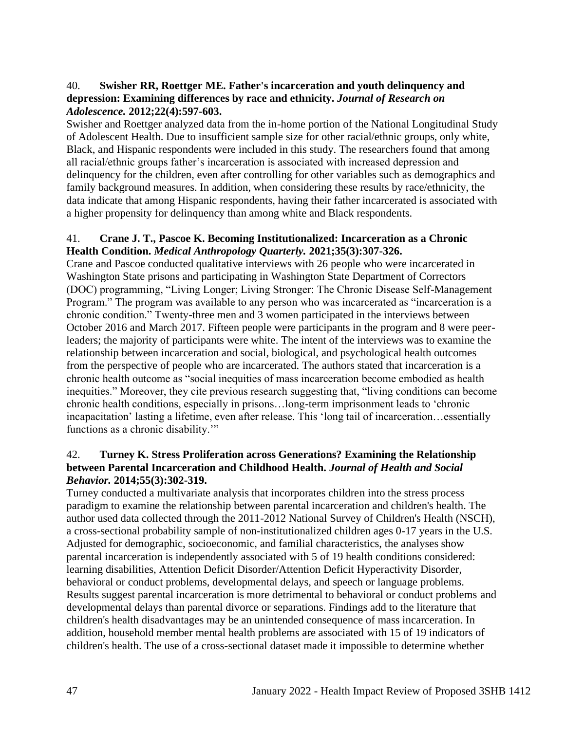## 40. **Swisher RR, Roettger ME. Father's incarceration and youth delinquency and depression: Examining differences by race and ethnicity.** *Journal of Research on Adolescence.* **2012;22(4):597-603.**

Swisher and Roettger analyzed data from the in-home portion of the National Longitudinal Study of Adolescent Health. Due to insufficient sample size for other racial/ethnic groups, only white, Black, and Hispanic respondents were included in this study. The researchers found that among all racial/ethnic groups father's incarceration is associated with increased depression and delinquency for the children, even after controlling for other variables such as demographics and family background measures. In addition, when considering these results by race/ethnicity, the data indicate that among Hispanic respondents, having their father incarcerated is associated with a higher propensity for delinquency than among white and Black respondents.

#### 41. **Crane J. T., Pascoe K. Becoming Institutionalized: Incarceration as a Chronic Health Condition.** *Medical Anthropology Quarterly.* **2021;35(3):307-326.**

Crane and Pascoe conducted qualitative interviews with 26 people who were incarcerated in Washington State prisons and participating in Washington State Department of Correctors (DOC) programming, "Living Longer; Living Stronger: The Chronic Disease Self-Management Program." The program was available to any person who was incarcerated as "incarceration is a chronic condition." Twenty-three men and 3 women participated in the interviews between October 2016 and March 2017. Fifteen people were participants in the program and 8 were peerleaders; the majority of participants were white. The intent of the interviews was to examine the relationship between incarceration and social, biological, and psychological health outcomes from the perspective of people who are incarcerated. The authors stated that incarceration is a chronic health outcome as "social inequities of mass incarceration become embodied as health inequities." Moreover, they cite previous research suggesting that, "living conditions can become chronic health conditions, especially in prisons…long-term imprisonment leads to 'chronic incapacitation' lasting a lifetime, even after release. This 'long tail of incarceration…essentially functions as a chronic disability.'"

#### 42. **Turney K. Stress Proliferation across Generations? Examining the Relationship between Parental Incarceration and Childhood Health.** *Journal of Health and Social Behavior.* **2014;55(3):302-319.**

Turney conducted a multivariate analysis that incorporates children into the stress process paradigm to examine the relationship between parental incarceration and children's health. The author used data collected through the 2011-2012 National Survey of Children's Health (NSCH), a cross-sectional probability sample of non-institutionalized children ages 0-17 years in the U.S. Adjusted for demographic, socioeconomic, and familial characteristics, the analyses show parental incarceration is independently associated with 5 of 19 health conditions considered: learning disabilities, Attention Deficit Disorder/Attention Deficit Hyperactivity Disorder, behavioral or conduct problems, developmental delays, and speech or language problems. Results suggest parental incarceration is more detrimental to behavioral or conduct problems and developmental delays than parental divorce or separations. Findings add to the literature that children's health disadvantages may be an unintended consequence of mass incarceration. In addition, household member mental health problems are associated with 15 of 19 indicators of children's health. The use of a cross-sectional dataset made it impossible to determine whether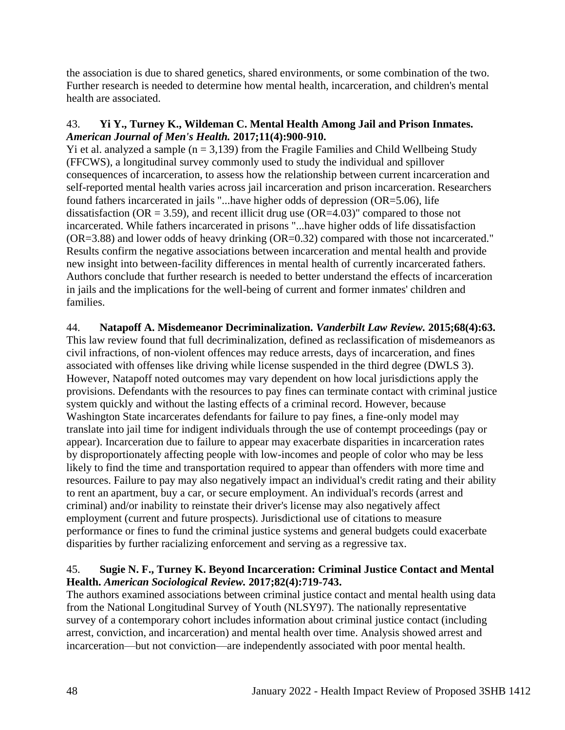the association is due to shared genetics, shared environments, or some combination of the two. Further research is needed to determine how mental health, incarceration, and children's mental health are associated.

## 43. **Yi Y., Turney K., Wildeman C. Mental Health Among Jail and Prison Inmates.**  *American Journal of Men's Health.* **2017;11(4):900-910.**

Yi et al. analyzed a sample ( $n = 3,139$ ) from the Fragile Families and Child Wellbeing Study (FFCWS), a longitudinal survey commonly used to study the individual and spillover consequences of incarceration, to assess how the relationship between current incarceration and self-reported mental health varies across jail incarceration and prison incarceration. Researchers found fathers incarcerated in jails "...have higher odds of depression (OR=5.06), life dissatisfaction ( $OR = 3.59$ ), and recent illicit drug use ( $OR = 4.03$ )" compared to those not incarcerated. While fathers incarcerated in prisons "...have higher odds of life dissatisfaction (OR=3.88) and lower odds of heavy drinking (OR=0.32) compared with those not incarcerated." Results confirm the negative associations between incarceration and mental health and provide new insight into between-facility differences in mental health of currently incarcerated fathers. Authors conclude that further research is needed to better understand the effects of incarceration in jails and the implications for the well-being of current and former inmates' children and families.

## 44. **Natapoff A. Misdemeanor Decriminalization.** *Vanderbilt Law Review.* **2015;68(4):63.**

This law review found that full decriminalization, defined as reclassification of misdemeanors as civil infractions, of non-violent offences may reduce arrests, days of incarceration, and fines associated with offenses like driving while license suspended in the third degree (DWLS 3). However, Natapoff noted outcomes may vary dependent on how local jurisdictions apply the provisions. Defendants with the resources to pay fines can terminate contact with criminal justice system quickly and without the lasting effects of a criminal record. However, because Washington State incarcerates defendants for failure to pay fines, a fine-only model may translate into jail time for indigent individuals through the use of contempt proceedings (pay or appear). Incarceration due to failure to appear may exacerbate disparities in incarceration rates by disproportionately affecting people with low-incomes and people of color who may be less likely to find the time and transportation required to appear than offenders with more time and resources. Failure to pay may also negatively impact an individual's credit rating and their ability to rent an apartment, buy a car, or secure employment. An individual's records (arrest and criminal) and/or inability to reinstate their driver's license may also negatively affect employment (current and future prospects). Jurisdictional use of citations to measure performance or fines to fund the criminal justice systems and general budgets could exacerbate disparities by further racializing enforcement and serving as a regressive tax.

## 45. **Sugie N. F., Turney K. Beyond Incarceration: Criminal Justice Contact and Mental Health.** *American Sociological Review.* **2017;82(4):719-743.**

The authors examined associations between criminal justice contact and mental health using data from the National Longitudinal Survey of Youth (NLSY97). The nationally representative survey of a contemporary cohort includes information about criminal justice contact (including arrest, conviction, and incarceration) and mental health over time. Analysis showed arrest and incarceration—but not conviction—are independently associated with poor mental health.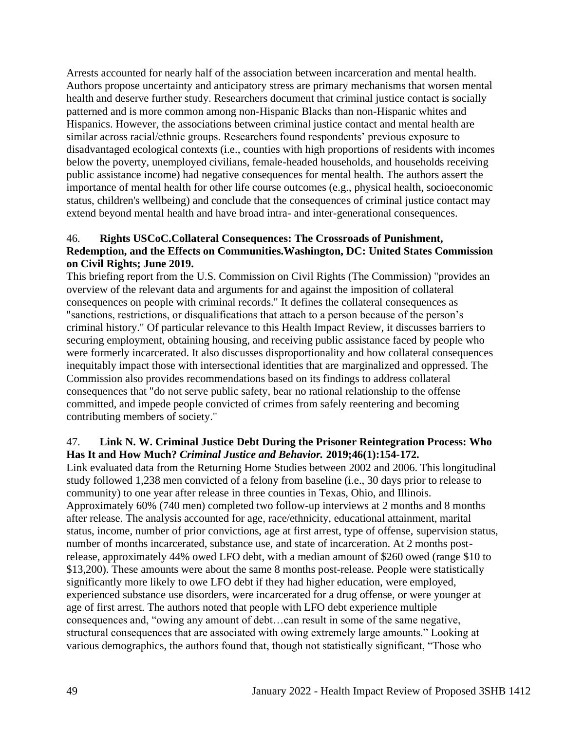Arrests accounted for nearly half of the association between incarceration and mental health. Authors propose uncertainty and anticipatory stress are primary mechanisms that worsen mental health and deserve further study. Researchers document that criminal justice contact is socially patterned and is more common among non-Hispanic Blacks than non-Hispanic whites and Hispanics. However, the associations between criminal justice contact and mental health are similar across racial/ethnic groups. Researchers found respondents' previous exposure to disadvantaged ecological contexts (i.e., counties with high proportions of residents with incomes below the poverty, unemployed civilians, female-headed households, and households receiving public assistance income) had negative consequences for mental health. The authors assert the importance of mental health for other life course outcomes (e.g., physical health, socioeconomic status, children's wellbeing) and conclude that the consequences of criminal justice contact may extend beyond mental health and have broad intra- and inter-generational consequences.

## 46. **Rights USCoC.Collateral Consequences: The Crossroads of Punishment, Redemption, and the Effects on Communities.Washington, DC: United States Commission on Civil Rights; June 2019.**

This briefing report from the U.S. Commission on Civil Rights (The Commission) "provides an overview of the relevant data and arguments for and against the imposition of collateral consequences on people with criminal records." It defines the collateral consequences as "sanctions, restrictions, or disqualifications that attach to a person because of the person's criminal history." Of particular relevance to this Health Impact Review, it discusses barriers to securing employment, obtaining housing, and receiving public assistance faced by people who were formerly incarcerated. It also discusses disproportionality and how collateral consequences inequitably impact those with intersectional identities that are marginalized and oppressed. The Commission also provides recommendations based on its findings to address collateral consequences that "do not serve public safety, bear no rational relationship to the offense committed, and impede people convicted of crimes from safely reentering and becoming contributing members of society."

#### 47. **Link N. W. Criminal Justice Debt During the Prisoner Reintegration Process: Who Has It and How Much?** *Criminal Justice and Behavior.* **2019;46(1):154-172.**

Link evaluated data from the Returning Home Studies between 2002 and 2006. This longitudinal study followed 1,238 men convicted of a felony from baseline (i.e., 30 days prior to release to community) to one year after release in three counties in Texas, Ohio, and Illinois. Approximately 60% (740 men) completed two follow-up interviews at 2 months and 8 months after release. The analysis accounted for age, race/ethnicity, educational attainment, marital status, income, number of prior convictions, age at first arrest, type of offense, supervision status, number of months incarcerated, substance use, and state of incarceration. At 2 months postrelease, approximately 44% owed LFO debt, with a median amount of \$260 owed (range \$10 to \$13,200). These amounts were about the same 8 months post-release. People were statistically significantly more likely to owe LFO debt if they had higher education, were employed, experienced substance use disorders, were incarcerated for a drug offense, or were younger at age of first arrest. The authors noted that people with LFO debt experience multiple consequences and, "owing any amount of debt…can result in some of the same negative, structural consequences that are associated with owing extremely large amounts." Looking at various demographics, the authors found that, though not statistically significant, "Those who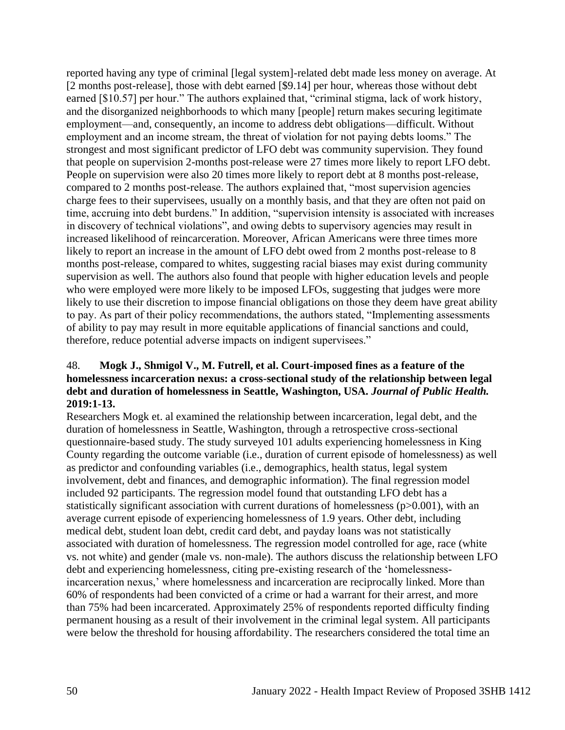reported having any type of criminal [legal system]-related debt made less money on average. At [2 months post-release], those with debt earned [\$9.14] per hour, whereas those without debt earned [\$10.57] per hour." The authors explained that, "criminal stigma, lack of work history, and the disorganized neighborhoods to which many [people] return makes securing legitimate employment—and, consequently, an income to address debt obligations—difficult. Without employment and an income stream, the threat of violation for not paying debts looms." The strongest and most significant predictor of LFO debt was community supervision. They found that people on supervision 2-months post-release were 27 times more likely to report LFO debt. People on supervision were also 20 times more likely to report debt at 8 months post-release, compared to 2 months post-release. The authors explained that, "most supervision agencies charge fees to their supervisees, usually on a monthly basis, and that they are often not paid on time, accruing into debt burdens." In addition, "supervision intensity is associated with increases in discovery of technical violations", and owing debts to supervisory agencies may result in increased likelihood of reincarceration. Moreover, African Americans were three times more likely to report an increase in the amount of LFO debt owed from 2 months post-release to 8 months post-release, compared to whites, suggesting racial biases may exist during community supervision as well. The authors also found that people with higher education levels and people who were employed were more likely to be imposed LFOs, suggesting that judges were more likely to use their discretion to impose financial obligations on those they deem have great ability to pay. As part of their policy recommendations, the authors stated, "Implementing assessments of ability to pay may result in more equitable applications of financial sanctions and could, therefore, reduce potential adverse impacts on indigent supervisees."

## 48. **Mogk J., Shmigol V., M. Futrell, et al. Court-imposed fines as a feature of the homelessness incarceration nexus: a cross-sectional study of the relationship between legal debt and duration of homelessness in Seattle, Washington, USA.** *Journal of Public Health.*  **2019:1-13.**

Researchers Mogk et. al examined the relationship between incarceration, legal debt, and the duration of homelessness in Seattle, Washington, through a retrospective cross-sectional questionnaire-based study. The study surveyed 101 adults experiencing homelessness in King County regarding the outcome variable (i.e., duration of current episode of homelessness) as well as predictor and confounding variables (i.e., demographics, health status, legal system involvement, debt and finances, and demographic information). The final regression model included 92 participants. The regression model found that outstanding LFO debt has a statistically significant association with current durations of homelessness (p>0.001), with an average current episode of experiencing homelessness of 1.9 years. Other debt, including medical debt, student loan debt, credit card debt, and payday loans was not statistically associated with duration of homelessness. The regression model controlled for age, race (white vs. not white) and gender (male vs. non-male). The authors discuss the relationship between LFO debt and experiencing homelessness, citing pre-existing research of the 'homelessnessincarceration nexus,' where homelessness and incarceration are reciprocally linked. More than 60% of respondents had been convicted of a crime or had a warrant for their arrest, and more than 75% had been incarcerated. Approximately 25% of respondents reported difficulty finding permanent housing as a result of their involvement in the criminal legal system. All participants were below the threshold for housing affordability. The researchers considered the total time an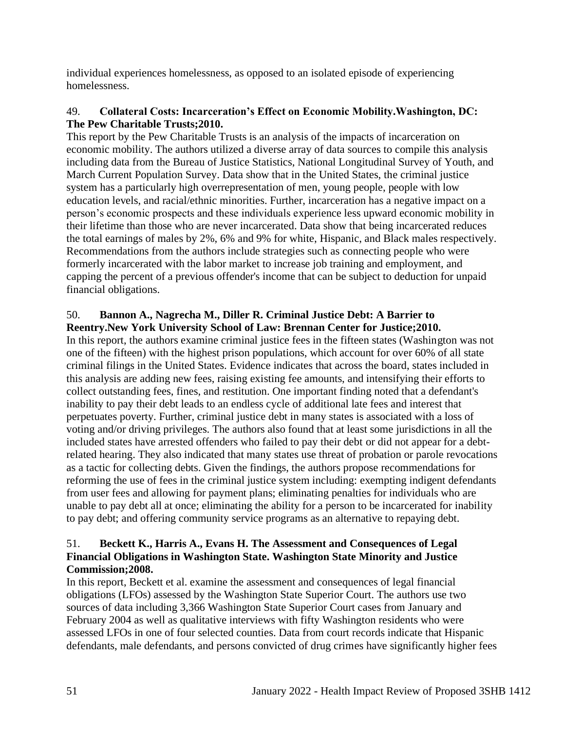individual experiences homelessness, as opposed to an isolated episode of experiencing homelessness.

## 49. **Collateral Costs: Incarceration's Effect on Economic Mobility.Washington, DC: The Pew Charitable Trusts;2010.**

This report by the Pew Charitable Trusts is an analysis of the impacts of incarceration on economic mobility. The authors utilized a diverse array of data sources to compile this analysis including data from the Bureau of Justice Statistics, National Longitudinal Survey of Youth, and March Current Population Survey. Data show that in the United States, the criminal justice system has a particularly high overrepresentation of men, young people, people with low education levels, and racial/ethnic minorities. Further, incarceration has a negative impact on a person's economic prospects and these individuals experience less upward economic mobility in their lifetime than those who are never incarcerated. Data show that being incarcerated reduces the total earnings of males by 2%, 6% and 9% for white, Hispanic, and Black males respectively. Recommendations from the authors include strategies such as connecting people who were formerly incarcerated with the labor market to increase job training and employment, and capping the percent of a previous offender's income that can be subject to deduction for unpaid financial obligations.

# 50. **Bannon A., Nagrecha M., Diller R. Criminal Justice Debt: A Barrier to Reentry.New York University School of Law: Brennan Center for Justice;2010.**

In this report, the authors examine criminal justice fees in the fifteen states (Washington was not one of the fifteen) with the highest prison populations, which account for over 60% of all state criminal filings in the United States. Evidence indicates that across the board, states included in this analysis are adding new fees, raising existing fee amounts, and intensifying their efforts to collect outstanding fees, fines, and restitution. One important finding noted that a defendant's inability to pay their debt leads to an endless cycle of additional late fees and interest that perpetuates poverty. Further, criminal justice debt in many states is associated with a loss of voting and/or driving privileges. The authors also found that at least some jurisdictions in all the included states have arrested offenders who failed to pay their debt or did not appear for a debtrelated hearing. They also indicated that many states use threat of probation or parole revocations as a tactic for collecting debts. Given the findings, the authors propose recommendations for reforming the use of fees in the criminal justice system including: exempting indigent defendants from user fees and allowing for payment plans; eliminating penalties for individuals who are unable to pay debt all at once; eliminating the ability for a person to be incarcerated for inability to pay debt; and offering community service programs as an alternative to repaying debt.

## 51. **Beckett K., Harris A., Evans H. The Assessment and Consequences of Legal Financial Obligations in Washington State. Washington State Minority and Justice Commission;2008.**

In this report, Beckett et al. examine the assessment and consequences of legal financial obligations (LFOs) assessed by the Washington State Superior Court. The authors use two sources of data including 3,366 Washington State Superior Court cases from January and February 2004 as well as qualitative interviews with fifty Washington residents who were assessed LFOs in one of four selected counties. Data from court records indicate that Hispanic defendants, male defendants, and persons convicted of drug crimes have significantly higher fees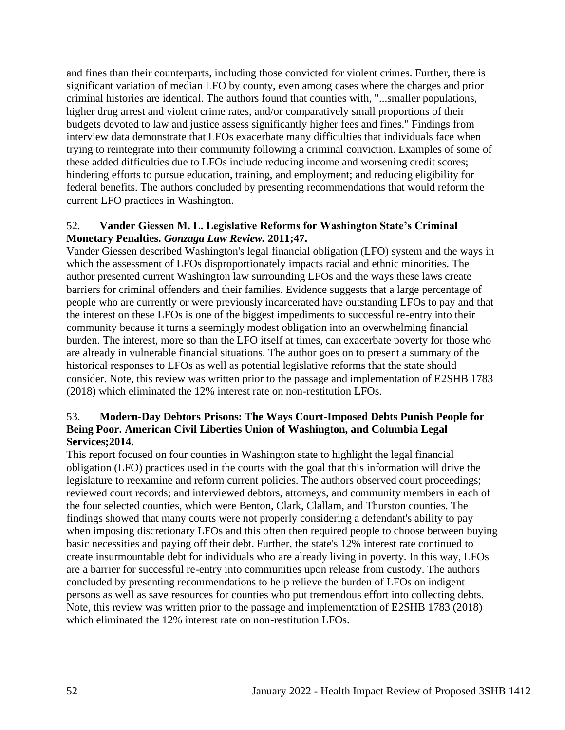and fines than their counterparts, including those convicted for violent crimes. Further, there is significant variation of median LFO by county, even among cases where the charges and prior criminal histories are identical. The authors found that counties with, "...smaller populations, higher drug arrest and violent crime rates, and/or comparatively small proportions of their budgets devoted to law and justice assess significantly higher fees and fines." Findings from interview data demonstrate that LFOs exacerbate many difficulties that individuals face when trying to reintegrate into their community following a criminal conviction. Examples of some of these added difficulties due to LFOs include reducing income and worsening credit scores; hindering efforts to pursue education, training, and employment; and reducing eligibility for federal benefits. The authors concluded by presenting recommendations that would reform the current LFO practices in Washington.

#### 52. **Vander Giessen M. L. Legislative Reforms for Washington State's Criminal Monetary Penalties.** *Gonzaga Law Review.* **2011;47.**

Vander Giessen described Washington's legal financial obligation (LFO) system and the ways in which the assessment of LFOs disproportionately impacts racial and ethnic minorities. The author presented current Washington law surrounding LFOs and the ways these laws create barriers for criminal offenders and their families. Evidence suggests that a large percentage of people who are currently or were previously incarcerated have outstanding LFOs to pay and that the interest on these LFOs is one of the biggest impediments to successful re-entry into their community because it turns a seemingly modest obligation into an overwhelming financial burden. The interest, more so than the LFO itself at times, can exacerbate poverty for those who are already in vulnerable financial situations. The author goes on to present a summary of the historical responses to LFOs as well as potential legislative reforms that the state should consider. Note, this review was written prior to the passage and implementation of E2SHB 1783 (2018) which eliminated the 12% interest rate on non-restitution LFOs.

#### 53. **Modern-Day Debtors Prisons: The Ways Court-Imposed Debts Punish People for Being Poor. American Civil Liberties Union of Washington, and Columbia Legal Services;2014.**

This report focused on four counties in Washington state to highlight the legal financial obligation (LFO) practices used in the courts with the goal that this information will drive the legislature to reexamine and reform current policies. The authors observed court proceedings; reviewed court records; and interviewed debtors, attorneys, and community members in each of the four selected counties, which were Benton, Clark, Clallam, and Thurston counties. The findings showed that many courts were not properly considering a defendant's ability to pay when imposing discretionary LFOs and this often then required people to choose between buying basic necessities and paying off their debt. Further, the state's 12% interest rate continued to create insurmountable debt for individuals who are already living in poverty. In this way, LFOs are a barrier for successful re-entry into communities upon release from custody. The authors concluded by presenting recommendations to help relieve the burden of LFOs on indigent persons as well as save resources for counties who put tremendous effort into collecting debts. Note, this review was written prior to the passage and implementation of E2SHB 1783 (2018) which eliminated the 12% interest rate on non-restitution LFOs.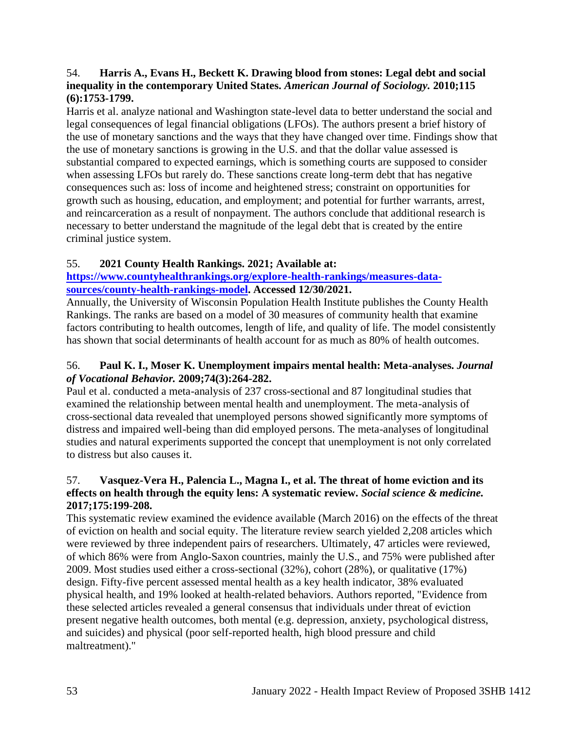## 54. **Harris A., Evans H., Beckett K. Drawing blood from stones: Legal debt and social inequality in the contemporary United States.** *American Journal of Sociology.* **2010;115 (6):1753-1799.**

Harris et al. analyze national and Washington state-level data to better understand the social and legal consequences of legal financial obligations (LFOs). The authors present a brief history of the use of monetary sanctions and the ways that they have changed over time. Findings show that the use of monetary sanctions is growing in the U.S. and that the dollar value assessed is substantial compared to expected earnings, which is something courts are supposed to consider when assessing LFOs but rarely do. These sanctions create long-term debt that has negative consequences such as: loss of income and heightened stress; constraint on opportunities for growth such as housing, education, and employment; and potential for further warrants, arrest, and reincarceration as a result of nonpayment. The authors conclude that additional research is necessary to better understand the magnitude of the legal debt that is created by the entire criminal justice system.

# 55. **2021 County Health Rankings. 2021; Available at:**

## **[https://www.countyhealthrankings.org/explore-health-rankings/measures-data](https://www.countyhealthrankings.org/explore-health-rankings/measures-data-sources/county-health-rankings-model)[sources/county-health-rankings-model.](https://www.countyhealthrankings.org/explore-health-rankings/measures-data-sources/county-health-rankings-model) Accessed 12/30/2021.**

Annually, the University of Wisconsin Population Health Institute publishes the County Health Rankings. The ranks are based on a model of 30 measures of community health that examine factors contributing to health outcomes, length of life, and quality of life. The model consistently has shown that social determinants of health account for as much as 80% of health outcomes.

## 56. **Paul K. I., Moser K. Unemployment impairs mental health: Meta-analyses.** *Journal of Vocational Behavior.* **2009;74(3):264-282.**

Paul et al. conducted a meta-analysis of 237 cross-sectional and 87 longitudinal studies that examined the relationship between mental health and unemployment. The meta-analysis of cross-sectional data revealed that unemployed persons showed significantly more symptoms of distress and impaired well-being than did employed persons. The meta-analyses of longitudinal studies and natural experiments supported the concept that unemployment is not only correlated to distress but also causes it.

## 57. **Vasquez-Vera H., Palencia L., Magna I., et al. The threat of home eviction and its effects on health through the equity lens: A systematic review.** *Social science & medicine.*  **2017;175:199-208.**

This systematic review examined the evidence available (March 2016) on the effects of the threat of eviction on health and social equity. The literature review search yielded 2,208 articles which were reviewed by three independent pairs of researchers. Ultimately, 47 articles were reviewed, of which 86% were from Anglo-Saxon countries, mainly the U.S., and 75% were published after 2009. Most studies used either a cross-sectional (32%), cohort (28%), or qualitative (17%) design. Fifty-five percent assessed mental health as a key health indicator, 38% evaluated physical health, and 19% looked at health-related behaviors. Authors reported, "Evidence from these selected articles revealed a general consensus that individuals under threat of eviction present negative health outcomes, both mental (e.g. depression, anxiety, psychological distress, and suicides) and physical (poor self-reported health, high blood pressure and child maltreatment)."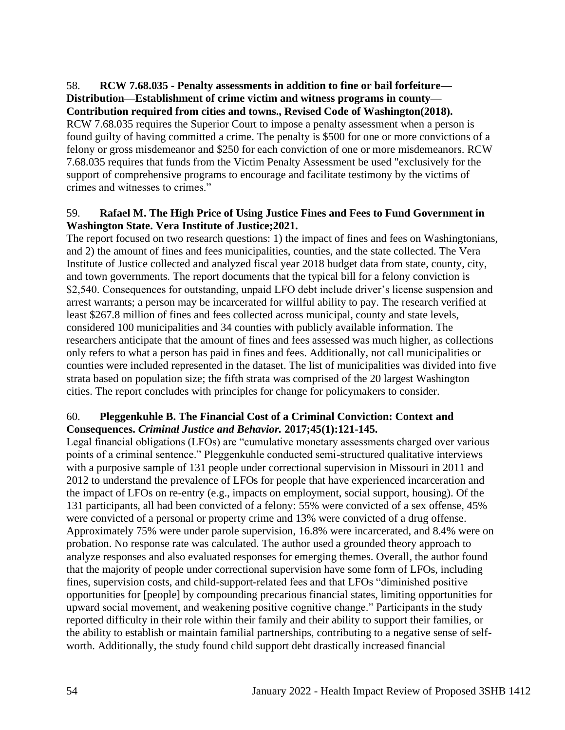#### 58. **RCW 7.68.035 - Penalty assessments in addition to fine or bail forfeiture— Distribution—Establishment of crime victim and witness programs in county— Contribution required from cities and towns., Revised Code of Washington(2018).**

RCW 7.68.035 requires the Superior Court to impose a penalty assessment when a person is found guilty of having committed a crime. The penalty is \$500 for one or more convictions of a felony or gross misdemeanor and \$250 for each conviction of one or more misdemeanors. RCW 7.68.035 requires that funds from the Victim Penalty Assessment be used "exclusively for the support of comprehensive programs to encourage and facilitate testimony by the victims of crimes and witnesses to crimes."

## 59. **Rafael M. The High Price of Using Justice Fines and Fees to Fund Government in Washington State. Vera Institute of Justice;2021.**

The report focused on two research questions: 1) the impact of fines and fees on Washingtonians, and 2) the amount of fines and fees municipalities, counties, and the state collected. The Vera Institute of Justice collected and analyzed fiscal year 2018 budget data from state, county, city, and town governments. The report documents that the typical bill for a felony conviction is \$2,540. Consequences for outstanding, unpaid LFO debt include driver's license suspension and arrest warrants; a person may be incarcerated for willful ability to pay. The research verified at least \$267.8 million of fines and fees collected across municipal, county and state levels, considered 100 municipalities and 34 counties with publicly available information. The researchers anticipate that the amount of fines and fees assessed was much higher, as collections only refers to what a person has paid in fines and fees. Additionally, not call municipalities or counties were included represented in the dataset. The list of municipalities was divided into five strata based on population size; the fifth strata was comprised of the 20 largest Washington cities. The report concludes with principles for change for policymakers to consider.

# 60. **Pleggenkuhle B. The Financial Cost of a Criminal Conviction: Context and Consequences.** *Criminal Justice and Behavior.* **2017;45(1):121-145.**

Legal financial obligations (LFOs) are "cumulative monetary assessments charged over various points of a criminal sentence." Pleggenkuhle conducted semi-structured qualitative interviews with a purposive sample of 131 people under correctional supervision in Missouri in 2011 and 2012 to understand the prevalence of LFOs for people that have experienced incarceration and the impact of LFOs on re-entry (e.g., impacts on employment, social support, housing). Of the 131 participants, all had been convicted of a felony: 55% were convicted of a sex offense, 45% were convicted of a personal or property crime and 13% were convicted of a drug offense. Approximately 75% were under parole supervision, 16.8% were incarcerated, and 8.4% were on probation. No response rate was calculated. The author used a grounded theory approach to analyze responses and also evaluated responses for emerging themes. Overall, the author found that the majority of people under correctional supervision have some form of LFOs, including fines, supervision costs, and child-support-related fees and that LFOs "diminished positive opportunities for [people] by compounding precarious financial states, limiting opportunities for upward social movement, and weakening positive cognitive change." Participants in the study reported difficulty in their role within their family and their ability to support their families, or the ability to establish or maintain familial partnerships, contributing to a negative sense of selfworth. Additionally, the study found child support debt drastically increased financial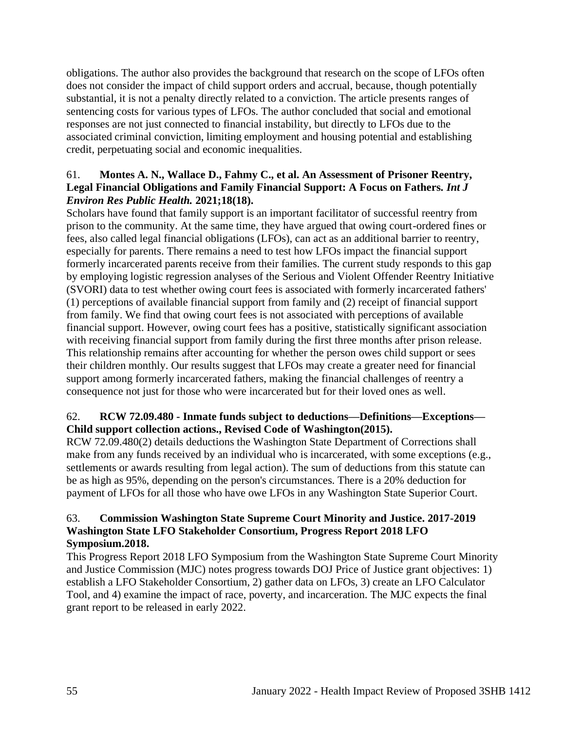obligations. The author also provides the background that research on the scope of LFOs often does not consider the impact of child support orders and accrual, because, though potentially substantial, it is not a penalty directly related to a conviction. The article presents ranges of sentencing costs for various types of LFOs. The author concluded that social and emotional responses are not just connected to financial instability, but directly to LFOs due to the associated criminal conviction, limiting employment and housing potential and establishing credit, perpetuating social and economic inequalities.

## 61. **Montes A. N., Wallace D., Fahmy C., et al. An Assessment of Prisoner Reentry, Legal Financial Obligations and Family Financial Support: A Focus on Fathers.** *Int J Environ Res Public Health.* **2021;18(18).**

Scholars have found that family support is an important facilitator of successful reentry from prison to the community. At the same time, they have argued that owing court-ordered fines or fees, also called legal financial obligations (LFOs), can act as an additional barrier to reentry, especially for parents. There remains a need to test how LFOs impact the financial support formerly incarcerated parents receive from their families. The current study responds to this gap by employing logistic regression analyses of the Serious and Violent Offender Reentry Initiative (SVORI) data to test whether owing court fees is associated with formerly incarcerated fathers' (1) perceptions of available financial support from family and (2) receipt of financial support from family. We find that owing court fees is not associated with perceptions of available financial support. However, owing court fees has a positive, statistically significant association with receiving financial support from family during the first three months after prison release. This relationship remains after accounting for whether the person owes child support or sees their children monthly. Our results suggest that LFOs may create a greater need for financial support among formerly incarcerated fathers, making the financial challenges of reentry a consequence not just for those who were incarcerated but for their loved ones as well.

## 62. **RCW 72.09.480 - Inmate funds subject to deductions—Definitions—Exceptions— Child support collection actions., Revised Code of Washington(2015).**

RCW 72.09.480(2) details deductions the Washington State Department of Corrections shall make from any funds received by an individual who is incarcerated, with some exceptions (e.g., settlements or awards resulting from legal action). The sum of deductions from this statute can be as high as 95%, depending on the person's circumstances. There is a 20% deduction for payment of LFOs for all those who have owe LFOs in any Washington State Superior Court.

## 63. **Commission Washington State Supreme Court Minority and Justice. 2017-2019 Washington State LFO Stakeholder Consortium, Progress Report 2018 LFO Symposium.2018.**

This Progress Report 2018 LFO Symposium from the Washington State Supreme Court Minority and Justice Commission (MJC) notes progress towards DOJ Price of Justice grant objectives: 1) establish a LFO Stakeholder Consortium, 2) gather data on LFOs, 3) create an LFO Calculator Tool, and 4) examine the impact of race, poverty, and incarceration. The MJC expects the final grant report to be released in early 2022.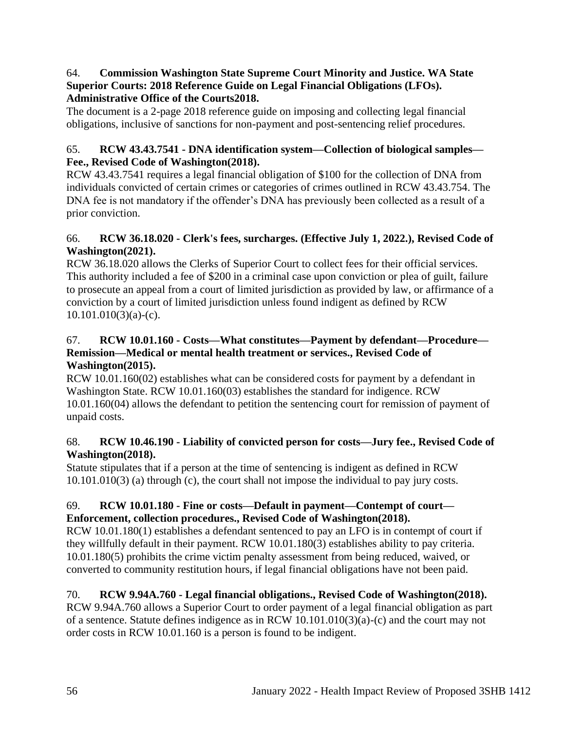## 64. **Commission Washington State Supreme Court Minority and Justice. WA State Superior Courts: 2018 Reference Guide on Legal Financial Obligations (LFOs). Administrative Office of the Courts2018.**

The document is a 2-page 2018 reference guide on imposing and collecting legal financial obligations, inclusive of sanctions for non-payment and post-sentencing relief procedures.

# 65. **RCW 43.43.7541 - DNA identification system—Collection of biological samples— Fee., Revised Code of Washington(2018).**

RCW 43.43.7541 requires a legal financial obligation of \$100 for the collection of DNA from individuals convicted of certain crimes or categories of crimes outlined in RCW 43.43.754. The DNA fee is not mandatory if the offender's DNA has previously been collected as a result of a prior conviction.

# 66. **RCW 36.18.020 - Clerk's fees, surcharges. (Effective July 1, 2022.), Revised Code of Washington(2021).**

RCW 36.18.020 allows the Clerks of Superior Court to collect fees for their official services. This authority included a fee of \$200 in a criminal case upon conviction or plea of guilt, failure to prosecute an appeal from a court of limited jurisdiction as provided by law, or affirmance of a conviction by a court of limited jurisdiction unless found indigent as defined by RCW  $10.101.010(3)(a)-(c)$ .

# 67. **RCW 10.01.160 - Costs—What constitutes—Payment by defendant—Procedure— Remission—Medical or mental health treatment or services., Revised Code of Washington(2015).**

RCW 10.01.160(02) establishes what can be considered costs for payment by a defendant in Washington State. RCW 10.01.160(03) establishes the standard for indigence. RCW 10.01.160(04) allows the defendant to petition the sentencing court for remission of payment of unpaid costs.

# 68. **RCW 10.46.190 - Liability of convicted person for costs—Jury fee., Revised Code of Washington(2018).**

Statute stipulates that if a person at the time of sentencing is indigent as defined in RCW 10.101.010(3) (a) through (c), the court shall not impose the individual to pay jury costs.

# 69. **RCW 10.01.180 - Fine or costs—Default in payment—Contempt of court— Enforcement, collection procedures., Revised Code of Washington(2018).**

RCW 10.01.180(1) establishes a defendant sentenced to pay an LFO is in contempt of court if they willfully default in their payment. RCW 10.01.180(3) establishes ability to pay criteria. 10.01.180(5) prohibits the crime victim penalty assessment from being reduced, waived, or converted to community restitution hours, if legal financial obligations have not been paid.

# 70. **RCW 9.94A.760 - Legal financial obligations., Revised Code of Washington(2018).**

RCW 9.94A.760 allows a Superior Court to order payment of a legal financial obligation as part of a sentence. Statute defines indigence as in RCW 10.101.010(3)(a)-(c) and the court may not order costs in RCW 10.01.160 is a person is found to be indigent.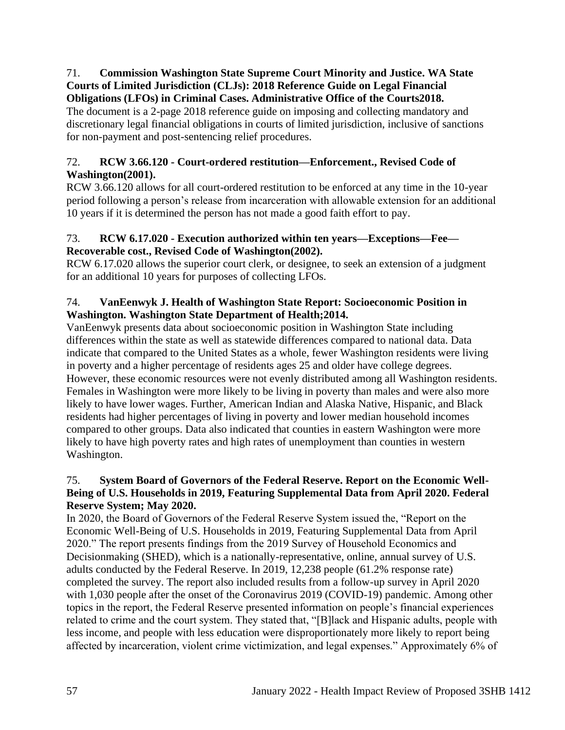#### 71. **Commission Washington State Supreme Court Minority and Justice. WA State Courts of Limited Jurisdiction (CLJs): 2018 Reference Guide on Legal Financial Obligations (LFOs) in Criminal Cases. Administrative Office of the Courts2018.**

The document is a 2-page 2018 reference guide on imposing and collecting mandatory and discretionary legal financial obligations in courts of limited jurisdiction, inclusive of sanctions for non-payment and post-sentencing relief procedures.

# 72. **RCW 3.66.120 - Court-ordered restitution—Enforcement., Revised Code of Washington(2001).**

RCW 3.66.120 allows for all court-ordered restitution to be enforced at any time in the 10-year period following a person's release from incarceration with allowable extension for an additional 10 years if it is determined the person has not made a good faith effort to pay.

# 73. **RCW 6.17.020 - Execution authorized within ten years—Exceptions—Fee— Recoverable cost., Revised Code of Washington(2002).**

RCW 6.17.020 allows the superior court clerk, or designee, to seek an extension of a judgment for an additional 10 years for purposes of collecting LFOs.

# 74. **VanEenwyk J. Health of Washington State Report: Socioeconomic Position in Washington. Washington State Department of Health;2014.**

VanEenwyk presents data about socioeconomic position in Washington State including differences within the state as well as statewide differences compared to national data. Data indicate that compared to the United States as a whole, fewer Washington residents were living in poverty and a higher percentage of residents ages 25 and older have college degrees. However, these economic resources were not evenly distributed among all Washington residents. Females in Washington were more likely to be living in poverty than males and were also more likely to have lower wages. Further, American Indian and Alaska Native, Hispanic, and Black residents had higher percentages of living in poverty and lower median household incomes compared to other groups. Data also indicated that counties in eastern Washington were more likely to have high poverty rates and high rates of unemployment than counties in western Washington.

# 75. **System Board of Governors of the Federal Reserve. Report on the Economic Well-Being of U.S. Households in 2019, Featuring Supplemental Data from April 2020. Federal Reserve System; May 2020.**

In 2020, the Board of Governors of the Federal Reserve System issued the, "Report on the Economic Well-Being of U.S. Households in 2019, Featuring Supplemental Data from April 2020." The report presents findings from the 2019 Survey of Household Economics and Decisionmaking (SHED), which is a nationally-representative, online, annual survey of U.S. adults conducted by the Federal Reserve. In 2019, 12,238 people (61.2% response rate) completed the survey. The report also included results from a follow-up survey in April 2020 with 1,030 people after the onset of the Coronavirus 2019 (COVID-19) pandemic. Among other topics in the report, the Federal Reserve presented information on people's financial experiences related to crime and the court system. They stated that, "[B]lack and Hispanic adults, people with less income, and people with less education were disproportionately more likely to report being affected by incarceration, violent crime victimization, and legal expenses." Approximately 6% of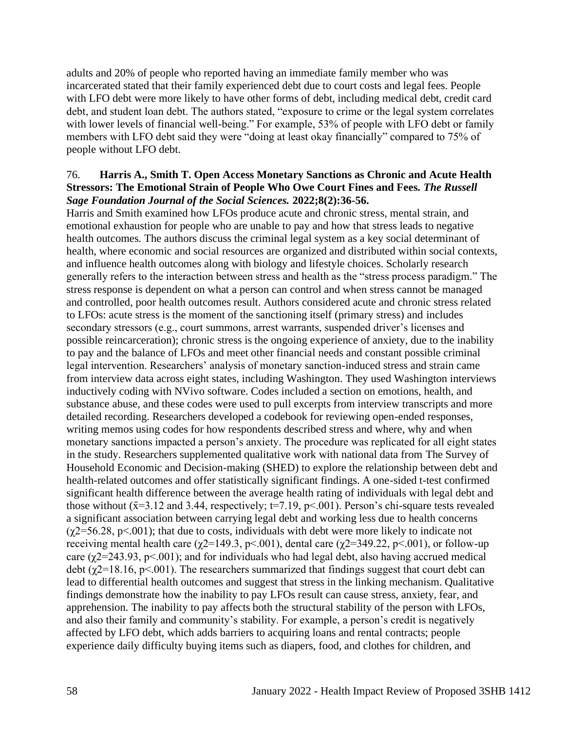adults and 20% of people who reported having an immediate family member who was incarcerated stated that their family experienced debt due to court costs and legal fees. People with LFO debt were more likely to have other forms of debt, including medical debt, credit card debt, and student loan debt. The authors stated, "exposure to crime or the legal system correlates with lower levels of financial well-being." For example, 53% of people with LFO debt or family members with LFO debt said they were "doing at least okay financially" compared to 75% of people without LFO debt.

#### 76. **Harris A., Smith T. Open Access Monetary Sanctions as Chronic and Acute Health Stressors: The Emotional Strain of People Who Owe Court Fines and Fees.** *The Russell Sage Foundation Journal of the Social Sciences.* **2022;8(2):36-56.**

Harris and Smith examined how LFOs produce acute and chronic stress, mental strain, and emotional exhaustion for people who are unable to pay and how that stress leads to negative health outcomes. The authors discuss the criminal legal system as a key social determinant of health, where economic and social resources are organized and distributed within social contexts, and influence health outcomes along with biology and lifestyle choices. Scholarly research generally refers to the interaction between stress and health as the "stress process paradigm." The stress response is dependent on what a person can control and when stress cannot be managed and controlled, poor health outcomes result. Authors considered acute and chronic stress related to LFOs: acute stress is the moment of the sanctioning itself (primary stress) and includes secondary stressors (e.g., court summons, arrest warrants, suspended driver's licenses and possible reincarceration); chronic stress is the ongoing experience of anxiety, due to the inability to pay and the balance of LFOs and meet other financial needs and constant possible criminal legal intervention. Researchers' analysis of monetary sanction-induced stress and strain came from interview data across eight states, including Washington. They used Washington interviews inductively coding with NVivo software. Codes included a section on emotions, health, and substance abuse, and these codes were used to pull excerpts from interview transcripts and more detailed recording. Researchers developed a codebook for reviewing open-ended responses, writing memos using codes for how respondents described stress and where, why and when monetary sanctions impacted a person's anxiety. The procedure was replicated for all eight states in the study. Researchers supplemented qualitative work with national data from The Survey of Household Economic and Decision-making (SHED) to explore the relationship between debt and health-related outcomes and offer statistically significant findings. A one-sided t-test confirmed significant health difference between the average health rating of individuals with legal debt and those without ( $\bar{x}=3.12$  and 3.44, respectively;  $t=7.19$ ,  $p<.001$ ). Person's chi-square tests revealed a significant association between carrying legal debt and working less due to health concerns  $(\gamma$ 2=56.28, p<.001); that due to costs, individuals with debt were more likely to indicate not receiving mental health care ( $\gamma$ 2=149.3, p < 0.001), dental care ( $\gamma$ 2=349.22, p < 0.001), or follow-up care ( $\gamma$ 2=243.93, p<.001); and for individuals who had legal debt, also having accrued medical debt ( $\chi$ 2=18.16, p<.001). The researchers summarized that findings suggest that court debt can lead to differential health outcomes and suggest that stress in the linking mechanism. Qualitative findings demonstrate how the inability to pay LFOs result can cause stress, anxiety, fear, and apprehension. The inability to pay affects both the structural stability of the person with LFOs, and also their family and community's stability. For example, a person's credit is negatively affected by LFO debt, which adds barriers to acquiring loans and rental contracts; people experience daily difficulty buying items such as diapers, food, and clothes for children, and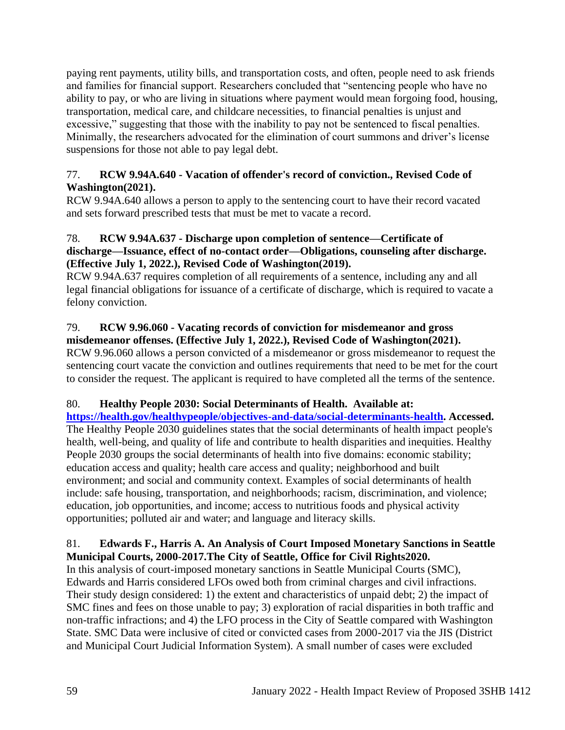paying rent payments, utility bills, and transportation costs, and often, people need to ask friends and families for financial support. Researchers concluded that "sentencing people who have no ability to pay, or who are living in situations where payment would mean forgoing food, housing, transportation, medical care, and childcare necessities, to financial penalties is unjust and excessive," suggesting that those with the inability to pay not be sentenced to fiscal penalties. Minimally, the researchers advocated for the elimination of court summons and driver's license suspensions for those not able to pay legal debt.

## 77. **RCW 9.94A.640 - Vacation of offender's record of conviction., Revised Code of Washington(2021).**

RCW 9.94A.640 allows a person to apply to the sentencing court to have their record vacated and sets forward prescribed tests that must be met to vacate a record.

## 78. **RCW 9.94A.637 - Discharge upon completion of sentence—Certificate of discharge—Issuance, effect of no-contact order—Obligations, counseling after discharge. (Effective July 1, 2022.), Revised Code of Washington(2019).**

RCW 9.94A.637 requires completion of all requirements of a sentence, including any and all legal financial obligations for issuance of a certificate of discharge, which is required to vacate a felony conviction.

## 79. **RCW 9.96.060 - Vacating records of conviction for misdemeanor and gross misdemeanor offenses. (Effective July 1, 2022.), Revised Code of Washington(2021).**

RCW 9.96.060 allows a person convicted of a misdemeanor or gross misdemeanor to request the sentencing court vacate the conviction and outlines requirements that need to be met for the court to consider the request. The applicant is required to have completed all the terms of the sentence.

# 80. **Healthy People 2030: Social Determinants of Health. Available at:**

**[https://health.gov/healthypeople/objectives-and-data/social-determinants-health.](https://health.gov/healthypeople/objectives-and-data/social-determinants-health) Accessed.** The Healthy People 2030 guidelines states that the social determinants of health impact people's health, well-being, and quality of life and contribute to health disparities and inequities. Healthy People 2030 groups the social determinants of health into five domains: economic stability; education access and quality; health care access and quality; neighborhood and built environment; and social and community context. Examples of social determinants of health include: safe housing, transportation, and neighborhoods; racism, discrimination, and violence; education, job opportunities, and income; access to nutritious foods and physical activity opportunities; polluted air and water; and language and literacy skills.

# 81. **Edwards F., Harris A. An Analysis of Court Imposed Monetary Sanctions in Seattle Municipal Courts, 2000-2017.The City of Seattle, Office for Civil Rights2020.**

In this analysis of court-imposed monetary sanctions in Seattle Municipal Courts (SMC), Edwards and Harris considered LFOs owed both from criminal charges and civil infractions. Their study design considered: 1) the extent and characteristics of unpaid debt; 2) the impact of SMC fines and fees on those unable to pay; 3) exploration of racial disparities in both traffic and non-traffic infractions; and 4) the LFO process in the City of Seattle compared with Washington State. SMC Data were inclusive of cited or convicted cases from 2000-2017 via the JIS (District and Municipal Court Judicial Information System). A small number of cases were excluded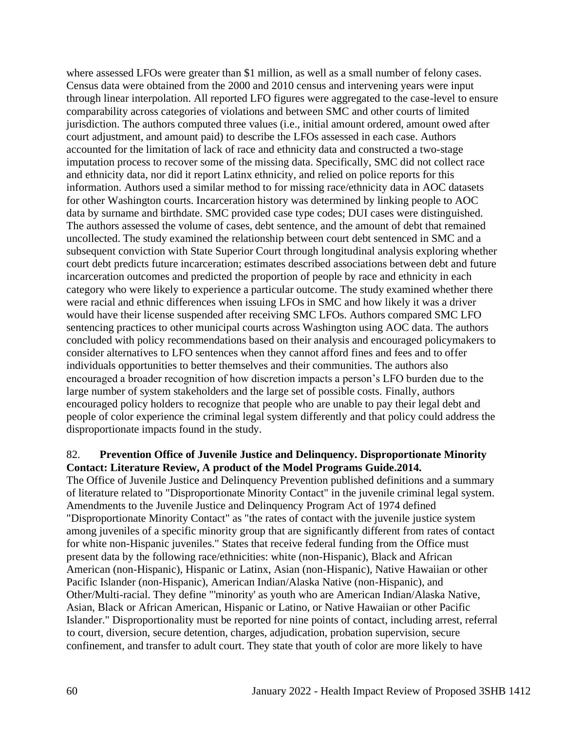where assessed LFOs were greater than \$1 million, as well as a small number of felony cases. Census data were obtained from the 2000 and 2010 census and intervening years were input through linear interpolation. All reported LFO figures were aggregated to the case-level to ensure comparability across categories of violations and between SMC and other courts of limited jurisdiction. The authors computed three values (i.e., initial amount ordered, amount owed after court adjustment, and amount paid) to describe the LFOs assessed in each case. Authors accounted for the limitation of lack of race and ethnicity data and constructed a two-stage imputation process to recover some of the missing data. Specifically, SMC did not collect race and ethnicity data, nor did it report Latinx ethnicity, and relied on police reports for this information. Authors used a similar method to for missing race/ethnicity data in AOC datasets for other Washington courts. Incarceration history was determined by linking people to AOC data by surname and birthdate. SMC provided case type codes; DUI cases were distinguished. The authors assessed the volume of cases, debt sentence, and the amount of debt that remained uncollected. The study examined the relationship between court debt sentenced in SMC and a subsequent conviction with State Superior Court through longitudinal analysis exploring whether court debt predicts future incarceration; estimates described associations between debt and future incarceration outcomes and predicted the proportion of people by race and ethnicity in each category who were likely to experience a particular outcome. The study examined whether there were racial and ethnic differences when issuing LFOs in SMC and how likely it was a driver would have their license suspended after receiving SMC LFOs. Authors compared SMC LFO sentencing practices to other municipal courts across Washington using AOC data. The authors concluded with policy recommendations based on their analysis and encouraged policymakers to consider alternatives to LFO sentences when they cannot afford fines and fees and to offer individuals opportunities to better themselves and their communities. The authors also encouraged a broader recognition of how discretion impacts a person's LFO burden due to the large number of system stakeholders and the large set of possible costs. Finally, authors encouraged policy holders to recognize that people who are unable to pay their legal debt and people of color experience the criminal legal system differently and that policy could address the disproportionate impacts found in the study.

#### 82. **Prevention Office of Juvenile Justice and Delinquency. Disproportionate Minority Contact: Literature Review, A product of the Model Programs Guide.2014.**

The Office of Juvenile Justice and Delinquency Prevention published definitions and a summary of literature related to "Disproportionate Minority Contact" in the juvenile criminal legal system. Amendments to the Juvenile Justice and Delinquency Program Act of 1974 defined "Disproportionate Minority Contact" as "the rates of contact with the juvenile justice system among juveniles of a specific minority group that are significantly different from rates of contact for white non-Hispanic juveniles." States that receive federal funding from the Office must present data by the following race/ethnicities: white (non-Hispanic), Black and African American (non-Hispanic), Hispanic or Latinx, Asian (non-Hispanic), Native Hawaiian or other Pacific Islander (non-Hispanic), American Indian/Alaska Native (non-Hispanic), and Other/Multi-racial. They define "'minority' as youth who are American Indian/Alaska Native, Asian, Black or African American, Hispanic or Latino, or Native Hawaiian or other Pacific Islander." Disproportionality must be reported for nine points of contact, including arrest, referral to court, diversion, secure detention, charges, adjudication, probation supervision, secure confinement, and transfer to adult court. They state that youth of color are more likely to have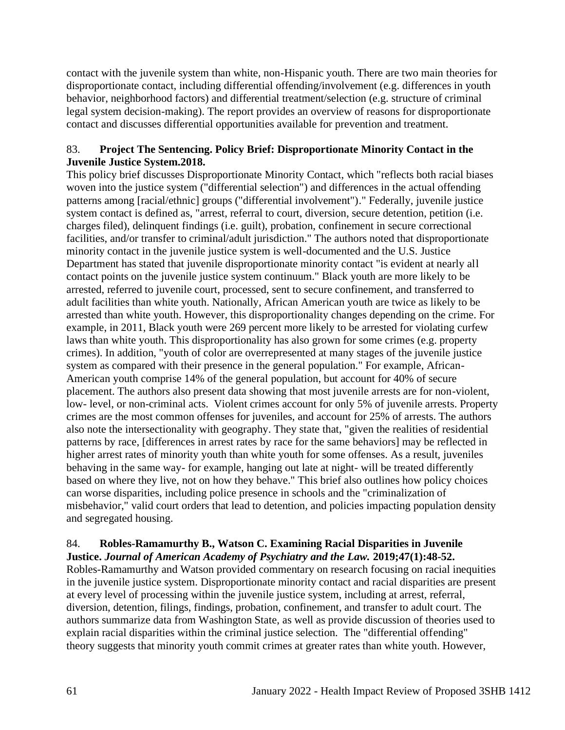contact with the juvenile system than white, non-Hispanic youth. There are two main theories for disproportionate contact, including differential offending/involvement (e.g. differences in youth behavior, neighborhood factors) and differential treatment/selection (e.g. structure of criminal legal system decision-making). The report provides an overview of reasons for disproportionate contact and discusses differential opportunities available for prevention and treatment.

## 83. **Project The Sentencing. Policy Brief: Disproportionate Minority Contact in the Juvenile Justice System.2018.**

This policy brief discusses Disproportionate Minority Contact, which "reflects both racial biases woven into the justice system ("differential selection") and differences in the actual offending patterns among [racial/ethnic] groups ("differential involvement")." Federally, juvenile justice system contact is defined as, "arrest, referral to court, diversion, secure detention, petition (i.e. charges filed), delinquent findings (i.e. guilt), probation, confinement in secure correctional facilities, and/or transfer to criminal/adult jurisdiction." The authors noted that disproportionate minority contact in the juvenile justice system is well-documented and the U.S. Justice Department has stated that juvenile disproportionate minority contact "is evident at nearly all contact points on the juvenile justice system continuum." Black youth are more likely to be arrested, referred to juvenile court, processed, sent to secure confinement, and transferred to adult facilities than white youth. Nationally, African American youth are twice as likely to be arrested than white youth. However, this disproportionality changes depending on the crime. For example, in 2011, Black youth were 269 percent more likely to be arrested for violating curfew laws than white youth. This disproportionality has also grown for some crimes (e.g. property crimes). In addition, "youth of color are overrepresented at many stages of the juvenile justice system as compared with their presence in the general population." For example, African-American youth comprise 14% of the general population, but account for 40% of secure placement. The authors also present data showing that most juvenile arrests are for non-violent, low- level, or non-criminal acts. Violent crimes account for only 5% of juvenile arrests. Property crimes are the most common offenses for juveniles, and account for 25% of arrests. The authors also note the intersectionality with geography. They state that, "given the realities of residential patterns by race, [differences in arrest rates by race for the same behaviors] may be reflected in higher arrest rates of minority youth than white youth for some offenses. As a result, juveniles behaving in the same way- for example, hanging out late at night- will be treated differently based on where they live, not on how they behave." This brief also outlines how policy choices can worse disparities, including police presence in schools and the "criminalization of misbehavior," valid court orders that lead to detention, and policies impacting population density and segregated housing.

#### 84. **Robles-Ramamurthy B., Watson C. Examining Racial Disparities in Juvenile Justice.** *Journal of American Academy of Psychiatry and the Law.* **2019;47(1):48-52.**

Robles-Ramamurthy and Watson provided commentary on research focusing on racial inequities in the juvenile justice system. Disproportionate minority contact and racial disparities are present at every level of processing within the juvenile justice system, including at arrest, referral, diversion, detention, filings, findings, probation, confinement, and transfer to adult court. The authors summarize data from Washington State, as well as provide discussion of theories used to explain racial disparities within the criminal justice selection. The "differential offending" theory suggests that minority youth commit crimes at greater rates than white youth. However,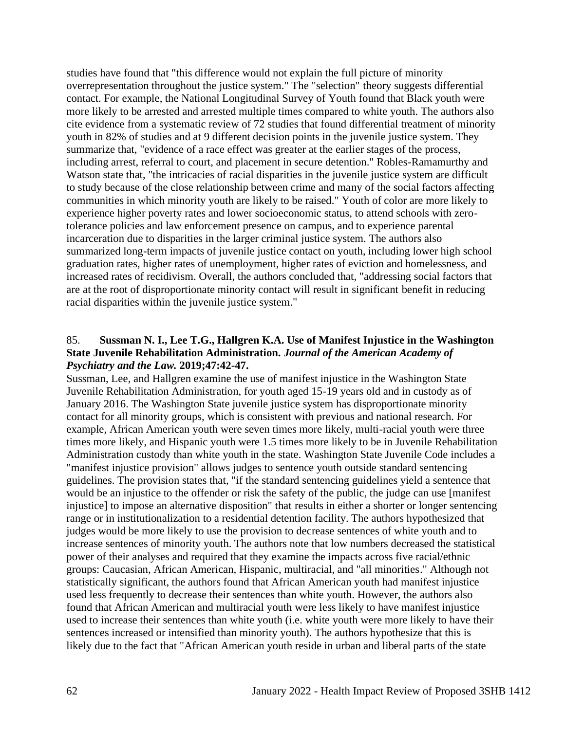studies have found that "this difference would not explain the full picture of minority overrepresentation throughout the justice system." The "selection" theory suggests differential contact. For example, the National Longitudinal Survey of Youth found that Black youth were more likely to be arrested and arrested multiple times compared to white youth. The authors also cite evidence from a systematic review of 72 studies that found differential treatment of minority youth in 82% of studies and at 9 different decision points in the juvenile justice system. They summarize that, "evidence of a race effect was greater at the earlier stages of the process, including arrest, referral to court, and placement in secure detention." Robles-Ramamurthy and Watson state that, "the intricacies of racial disparities in the juvenile justice system are difficult to study because of the close relationship between crime and many of the social factors affecting communities in which minority youth are likely to be raised." Youth of color are more likely to experience higher poverty rates and lower socioeconomic status, to attend schools with zerotolerance policies and law enforcement presence on campus, and to experience parental incarceration due to disparities in the larger criminal justice system. The authors also summarized long-term impacts of juvenile justice contact on youth, including lower high school graduation rates, higher rates of unemployment, higher rates of eviction and homelessness, and increased rates of recidivism. Overall, the authors concluded that, "addressing social factors that are at the root of disproportionate minority contact will result in significant benefit in reducing racial disparities within the juvenile justice system."

## 85. **Sussman N. I., Lee T.G., Hallgren K.A. Use of Manifest Injustice in the Washington State Juvenile Rehabilitation Administration.** *Journal of the American Academy of Psychiatry and the Law.* **2019;47:42-47.**

Sussman, Lee, and Hallgren examine the use of manifest injustice in the Washington State Juvenile Rehabilitation Administration, for youth aged 15-19 years old and in custody as of January 2016. The Washington State juvenile justice system has disproportionate minority contact for all minority groups, which is consistent with previous and national research. For example, African American youth were seven times more likely, multi-racial youth were three times more likely, and Hispanic youth were 1.5 times more likely to be in Juvenile Rehabilitation Administration custody than white youth in the state. Washington State Juvenile Code includes a "manifest injustice provision" allows judges to sentence youth outside standard sentencing guidelines. The provision states that, "if the standard sentencing guidelines yield a sentence that would be an injustice to the offender or risk the safety of the public, the judge can use [manifest injustice] to impose an alternative disposition" that results in either a shorter or longer sentencing range or in institutionalization to a residential detention facility. The authors hypothesized that judges would be more likely to use the provision to decrease sentences of white youth and to increase sentences of minority youth. The authors note that low numbers decreased the statistical power of their analyses and required that they examine the impacts across five racial/ethnic groups: Caucasian, African American, Hispanic, multiracial, and "all minorities." Although not statistically significant, the authors found that African American youth had manifest injustice used less frequently to decrease their sentences than white youth. However, the authors also found that African American and multiracial youth were less likely to have manifest injustice used to increase their sentences than white youth (i.e. white youth were more likely to have their sentences increased or intensified than minority youth). The authors hypothesize that this is likely due to the fact that "African American youth reside in urban and liberal parts of the state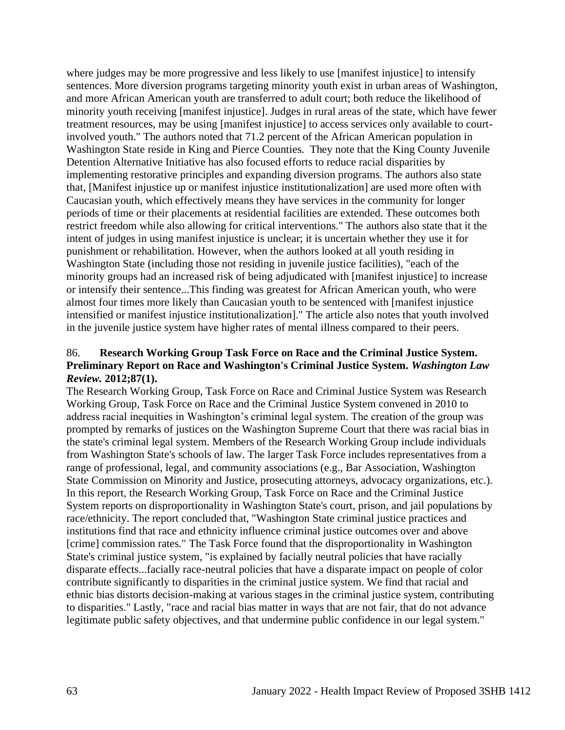where judges may be more progressive and less likely to use [manifest injustice] to intensify sentences. More diversion programs targeting minority youth exist in urban areas of Washington, and more African American youth are transferred to adult court; both reduce the likelihood of minority youth receiving [manifest injustice]. Judges in rural areas of the state, which have fewer treatment resources, may be using [manifest injustice] to access services only available to courtinvolved youth." The authors noted that 71.2 percent of the African American population in Washington State reside in King and Pierce Counties. They note that the King County Juvenile Detention Alternative Initiative has also focused efforts to reduce racial disparities by implementing restorative principles and expanding diversion programs. The authors also state that, [Manifest injustice up or manifest injustice institutionalization] are used more often with Caucasian youth, which effectively means they have services in the community for longer periods of time or their placements at residential facilities are extended. These outcomes both restrict freedom while also allowing for critical interventions." The authors also state that it the intent of judges in using manifest injustice is unclear; it is uncertain whether they use it for punishment or rehabilitation. However, when the authors looked at all youth residing in Washington State (including those not residing in juvenile justice facilities), "each of the minority groups had an increased risk of being adjudicated with [manifest injustice] to increase or intensify their sentence...This finding was greatest for African American youth, who were almost four times more likely than Caucasian youth to be sentenced with [manifest injustice intensified or manifest injustice institutionalization]." The article also notes that youth involved in the juvenile justice system have higher rates of mental illness compared to their peers.

#### 86. **Research Working Group Task Force on Race and the Criminal Justice System. Preliminary Report on Race and Washington's Criminal Justice System.** *Washington Law Review.* **2012;87(1).**

The Research Working Group, Task Force on Race and Criminal Justice System was Research Working Group, Task Force on Race and the Criminal Justice System convened in 2010 to address racial inequities in Washington's criminal legal system. The creation of the group was prompted by remarks of justices on the Washington Supreme Court that there was racial bias in the state's criminal legal system. Members of the Research Working Group include individuals from Washington State's schools of law. The larger Task Force includes representatives from a range of professional, legal, and community associations (e.g., Bar Association, Washington State Commission on Minority and Justice, prosecuting attorneys, advocacy organizations, etc.). In this report, the Research Working Group, Task Force on Race and the Criminal Justice System reports on disproportionality in Washington State's court, prison, and jail populations by race/ethnicity. The report concluded that, "Washington State criminal justice practices and institutions find that race and ethnicity influence criminal justice outcomes over and above [crime] commission rates." The Task Force found that the disproportionality in Washington State's criminal justice system, "is explained by facially neutral policies that have racially disparate effects...facially race-neutral policies that have a disparate impact on people of color contribute significantly to disparities in the criminal justice system. We find that racial and ethnic bias distorts decision-making at various stages in the criminal justice system, contributing to disparities." Lastly, "race and racial bias matter in ways that are not fair, that do not advance legitimate public safety objectives, and that undermine public confidence in our legal system."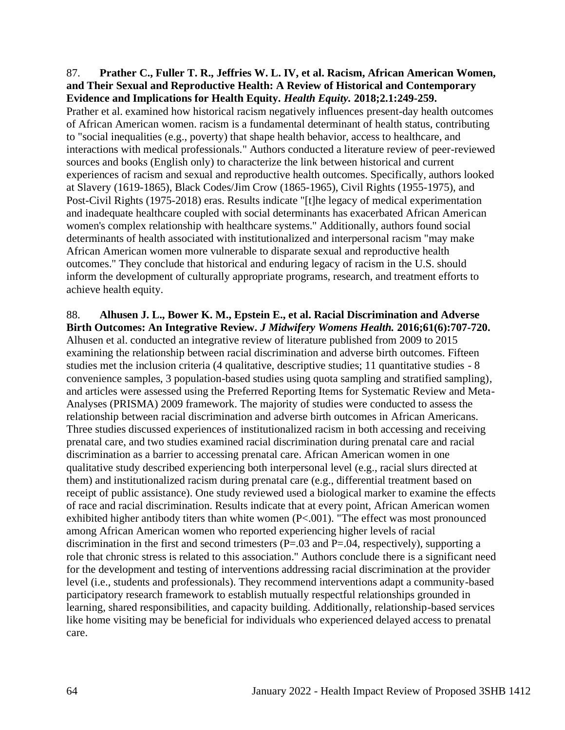#### 87. **Prather C., Fuller T. R., Jeffries W. L. IV, et al. Racism, African American Women, and Their Sexual and Reproductive Health: A Review of Historical and Contemporary Evidence and Implications for Health Equity.** *Health Equity.* **2018;2.1:249-259.**

Prather et al. examined how historical racism negatively influences present-day health outcomes of African American women. racism is a fundamental determinant of health status, contributing to "social inequalities (e.g., poverty) that shape health behavior, access to healthcare, and interactions with medical professionals." Authors conducted a literature review of peer-reviewed sources and books (English only) to characterize the link between historical and current experiences of racism and sexual and reproductive health outcomes. Specifically, authors looked at Slavery (1619-1865), Black Codes/Jim Crow (1865-1965), Civil Rights (1955-1975), and Post-Civil Rights (1975-2018) eras. Results indicate "[t]he legacy of medical experimentation and inadequate healthcare coupled with social determinants has exacerbated African American women's complex relationship with healthcare systems." Additionally, authors found social determinants of health associated with institutionalized and interpersonal racism "may make African American women more vulnerable to disparate sexual and reproductive health outcomes." They conclude that historical and enduring legacy of racism in the U.S. should inform the development of culturally appropriate programs, research, and treatment efforts to achieve health equity.

88. **Alhusen J. L., Bower K. M., Epstein E., et al. Racial Discrimination and Adverse Birth Outcomes: An Integrative Review.** *J Midwifery Womens Health.* **2016;61(6):707-720.** Alhusen et al. conducted an integrative review of literature published from 2009 to 2015 examining the relationship between racial discrimination and adverse birth outcomes. Fifteen studies met the inclusion criteria (4 qualitative, descriptive studies; 11 quantitative studies - 8 convenience samples, 3 population-based studies using quota sampling and stratified sampling), and articles were assessed using the Preferred Reporting Items for Systematic Review and Meta-Analyses (PRISMA) 2009 framework. The majority of studies were conducted to assess the relationship between racial discrimination and adverse birth outcomes in African Americans. Three studies discussed experiences of institutionalized racism in both accessing and receiving prenatal care, and two studies examined racial discrimination during prenatal care and racial discrimination as a barrier to accessing prenatal care. African American women in one qualitative study described experiencing both interpersonal level (e.g., racial slurs directed at them) and institutionalized racism during prenatal care (e.g., differential treatment based on receipt of public assistance). One study reviewed used a biological marker to examine the effects of race and racial discrimination. Results indicate that at every point, African American women exhibited higher antibody titers than white women (P<.001). "The effect was most pronounced among African American women who reported experiencing higher levels of racial discrimination in the first and second trimesters  $(P=.03$  and  $P=.04$ , respectively), supporting a role that chronic stress is related to this association." Authors conclude there is a significant need for the development and testing of interventions addressing racial discrimination at the provider level (i.e., students and professionals). They recommend interventions adapt a community-based participatory research framework to establish mutually respectful relationships grounded in learning, shared responsibilities, and capacity building. Additionally, relationship-based services like home visiting may be beneficial for individuals who experienced delayed access to prenatal care.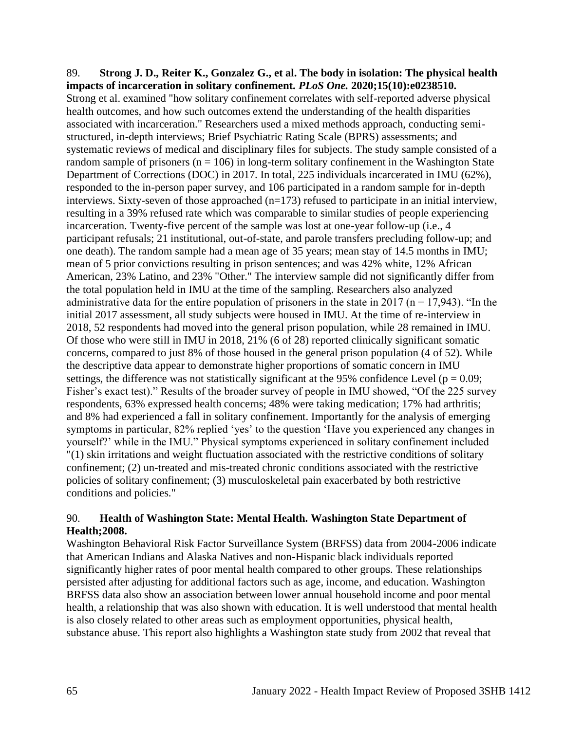## 89. **Strong J. D., Reiter K., Gonzalez G., et al. The body in isolation: The physical health impacts of incarceration in solitary confinement.** *PLoS One.* **2020;15(10):e0238510.** Strong et al. examined "how solitary confinement correlates with self-reported adverse physical health outcomes, and how such outcomes extend the understanding of the health disparities associated with incarceration." Researchers used a mixed methods approach, conducting semistructured, in-depth interviews; Brief Psychiatric Rating Scale (BPRS) assessments; and systematic reviews of medical and disciplinary files for subjects. The study sample consisted of a random sample of prisoners ( $n = 106$ ) in long-term solitary confinement in the Washington State Department of Corrections (DOC) in 2017. In total, 225 individuals incarcerated in IMU (62%), responded to the in-person paper survey, and 106 participated in a random sample for in-depth interviews. Sixty-seven of those approached  $(n=173)$  refused to participate in an initial interview, resulting in a 39% refused rate which was comparable to similar studies of people experiencing incarceration. Twenty-five percent of the sample was lost at one-year follow-up (i.e., 4 participant refusals; 21 institutional, out-of-state, and parole transfers precluding follow-up; and one death). The random sample had a mean age of 35 years; mean stay of 14.5 months in IMU; mean of 5 prior convictions resulting in prison sentences; and was 42% white, 12% African American, 23% Latino, and 23% "Other." The interview sample did not significantly differ from the total population held in IMU at the time of the sampling. Researchers also analyzed administrative data for the entire population of prisoners in the state in 2017 ( $n = 17,943$ ). "In the initial 2017 assessment, all study subjects were housed in IMU. At the time of re-interview in 2018, 52 respondents had moved into the general prison population, while 28 remained in IMU. Of those who were still in IMU in 2018, 21% (6 of 28) reported clinically significant somatic concerns, compared to just 8% of those housed in the general prison population (4 of 52). While the descriptive data appear to demonstrate higher proportions of somatic concern in IMU settings, the difference was not statistically significant at the 95% confidence Level ( $p = 0.09$ ; Fisher's exact test)." Results of the broader survey of people in IMU showed, "Of the 225 survey respondents, 63% expressed health concerns; 48% were taking medication; 17% had arthritis; and 8% had experienced a fall in solitary confinement. Importantly for the analysis of emerging symptoms in particular, 82% replied 'yes' to the question 'Have you experienced any changes in yourself?' while in the IMU." Physical symptoms experienced in solitary confinement included "(1) skin irritations and weight fluctuation associated with the restrictive conditions of solitary confinement; (2) un-treated and mis-treated chronic conditions associated with the restrictive policies of solitary confinement; (3) musculoskeletal pain exacerbated by both restrictive conditions and policies."

## 90. **Health of Washington State: Mental Health. Washington State Department of Health;2008.**

Washington Behavioral Risk Factor Surveillance System (BRFSS) data from 2004-2006 indicate that American Indians and Alaska Natives and non-Hispanic black individuals reported significantly higher rates of poor mental health compared to other groups. These relationships persisted after adjusting for additional factors such as age, income, and education. Washington BRFSS data also show an association between lower annual household income and poor mental health, a relationship that was also shown with education. It is well understood that mental health is also closely related to other areas such as employment opportunities, physical health, substance abuse. This report also highlights a Washington state study from 2002 that reveal that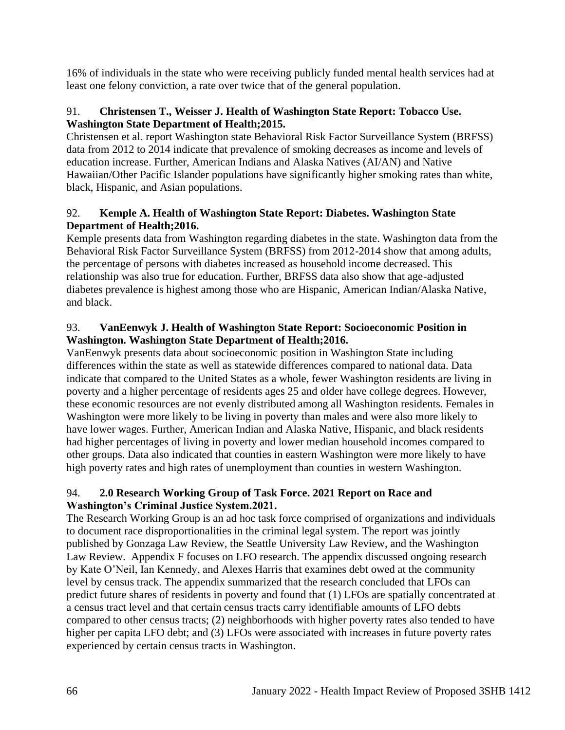16% of individuals in the state who were receiving publicly funded mental health services had at least one felony conviction, a rate over twice that of the general population.

## 91. **Christensen T., Weisser J. Health of Washington State Report: Tobacco Use. Washington State Department of Health;2015.**

Christensen et al. report Washington state Behavioral Risk Factor Surveillance System (BRFSS) data from 2012 to 2014 indicate that prevalence of smoking decreases as income and levels of education increase. Further, American Indians and Alaska Natives (AI/AN) and Native Hawaiian/Other Pacific Islander populations have significantly higher smoking rates than white, black, Hispanic, and Asian populations.

# 92. **Kemple A. Health of Washington State Report: Diabetes. Washington State Department of Health;2016.**

Kemple presents data from Washington regarding diabetes in the state. Washington data from the Behavioral Risk Factor Surveillance System (BRFSS) from 2012-2014 show that among adults, the percentage of persons with diabetes increased as household income decreased. This relationship was also true for education. Further, BRFSS data also show that age-adjusted diabetes prevalence is highest among those who are Hispanic, American Indian/Alaska Native, and black.

# 93. **VanEenwyk J. Health of Washington State Report: Socioeconomic Position in Washington. Washington State Department of Health;2016.**

VanEenwyk presents data about socioeconomic position in Washington State including differences within the state as well as statewide differences compared to national data. Data indicate that compared to the United States as a whole, fewer Washington residents are living in poverty and a higher percentage of residents ages 25 and older have college degrees. However, these economic resources are not evenly distributed among all Washington residents. Females in Washington were more likely to be living in poverty than males and were also more likely to have lower wages. Further, American Indian and Alaska Native, Hispanic, and black residents had higher percentages of living in poverty and lower median household incomes compared to other groups. Data also indicated that counties in eastern Washington were more likely to have high poverty rates and high rates of unemployment than counties in western Washington.

# 94. **2.0 Research Working Group of Task Force. 2021 Report on Race and Washington's Criminal Justice System.2021.**

The Research Working Group is an ad hoc task force comprised of organizations and individuals to document race disproportionalities in the criminal legal system. The report was jointly published by Gonzaga Law Review, the Seattle University Law Review, and the Washington Law Review. Appendix F focuses on LFO research. The appendix discussed ongoing research by Kate O'Neil, Ian Kennedy, and Alexes Harris that examines debt owed at the community level by census track. The appendix summarized that the research concluded that LFOs can predict future shares of residents in poverty and found that (1) LFOs are spatially concentrated at a census tract level and that certain census tracts carry identifiable amounts of LFO debts compared to other census tracts; (2) neighborhoods with higher poverty rates also tended to have higher per capita LFO debt; and (3) LFOs were associated with increases in future poverty rates experienced by certain census tracts in Washington.